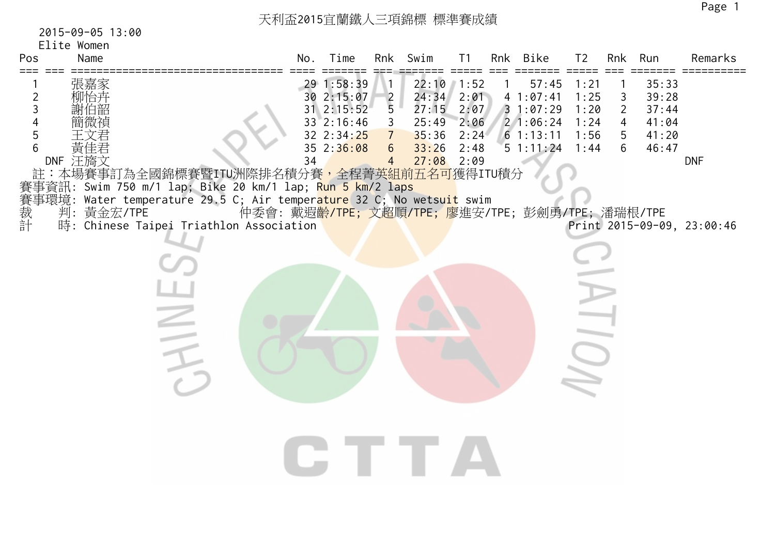## 天利盃2015宜蘭鐵人三項錦標 標準賽成績

## 2015-09-05 13:00

| Pos                            | Elite Women<br>Name         |                                                                                                                                                                                                                                                                    | No. | Time                                                                             |                                                                                       | Rnk Swim                                                                  | T <sub>1</sub>                       | Rnk Bike                                                                                                              | T <sub>2</sub>                               |                                                          | Rnk Run                                            | Remarks                                  |
|--------------------------------|-----------------------------|--------------------------------------------------------------------------------------------------------------------------------------------------------------------------------------------------------------------------------------------------------------------|-----|----------------------------------------------------------------------------------|---------------------------------------------------------------------------------------|---------------------------------------------------------------------------|--------------------------------------|-----------------------------------------------------------------------------------------------------------------------|----------------------------------------------|----------------------------------------------------------|----------------------------------------------------|------------------------------------------|
| ===<br>2<br>3<br>5<br>6<br>賽裁計 | 黃佳君<br>DNF 汪旖文<br>判:黃金宏/TPE | 註:本場賽事訂為全國錦標賽暨ITU洲際排名積分賽,全程菁英組前五名可獲得ITU積分<br>賽事資訊: Swim 750 m/1 lap; Bike 20 km/1 lap; <mark>Run 5 km/2 laps</mark><br>事環境: Water temperature 29.5 C; Air temper <mark>ature</mark> 32 C; No wetsu <mark>it</mark> swim<br>時: Chinese Taipei Triathlon Association | 34  | 29 1:58:39<br>30 2:15:07<br>31 2:15:52<br>33 2:16:46<br>32 2:34:25<br>35 2:36:08 | $\frac{2}{5}$<br>$\mathbf{3}$<br>$7\overline{ }$<br>$6\overline{6}$<br>$\overline{4}$ | $22:10$ 1:52<br>24:34<br>27:15<br>25:49<br>35:36<br>33:26<br>$27:08$ 2:09 | 2:01<br>2:07<br>2:06<br>2:24<br>2:48 | 57:45<br>41:07:41<br>31:07:29<br>21:06:24<br>61:13:11<br>51:11:24<br>仲委會: 戴遐齡/TPE; 文超順/TPE; 廖進安/TPE; 彭劍勇/TPE; 潘瑞根/TPE | 1:21<br>1:25<br>1:20<br>1:24<br>1:56<br>1:44 | 3<br>$\overline{2}$<br>$\overline{4}$<br>$\sqrt{5}$<br>6 | 35:33<br>39:28<br>37:44<br>41:04<br>41:20<br>46:47 | <b>DNF</b><br>Print 2015-09-09, 23:00:46 |
|                                |                             |                                                                                                                                                                                                                                                                    |     |                                                                                  |                                                                                       |                                                                           |                                      |                                                                                                                       |                                              |                                                          |                                                    |                                          |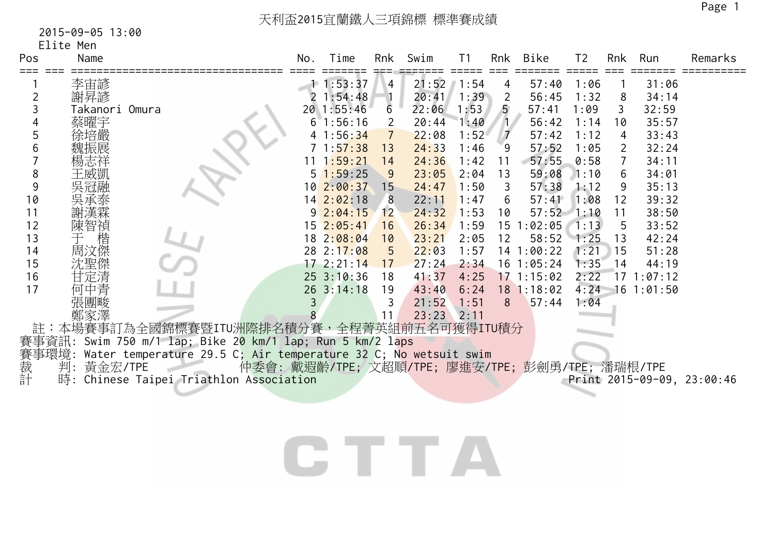## 2015-09-05 13:00

|  |  | Elite Men |
|--|--|-----------|
|  |  |           |

| Pos            | Name           |                                                                 | No. | Time           | Rnk            | Swim  | T <sub>1</sub> | Rnk            | Bike         | T <sub>2</sub> | Rnk | Run            | Remarks                    |
|----------------|----------------|-----------------------------------------------------------------|-----|----------------|----------------|-------|----------------|----------------|--------------|----------------|-----|----------------|----------------------------|
|                | 李宙諺            |                                                                 |     | 11:53:37       | $\overline{4}$ | 21:52 | 1:54           | 4              | 57:40        | 1:06           |     | 31:06          |                            |
| $\overline{2}$ | 謝昇諺            |                                                                 |     | 1:54:48        |                | 20:41 | 1:39           | $\overline{2}$ | 56:45        | 1:32           | 8   | 34:14          |                            |
| 3              | Takanori Omura |                                                                 |     | 20 1:55:46     | 6              | 22:06 | 1:53           | $\overline{5}$ | 57:41        | 1:09           | 3   | 32:59          |                            |
|                | 蔡曜宇            |                                                                 |     | 1:56:16        |                | 20:44 | 1:40           |                | 56:42        | 1:14           | 10  | 35:57          |                            |
| 5              | 涂培嚴            |                                                                 |     | 1:56:34        |                | 22:08 | 1:52           | $\overline{7}$ | 57:42        | 1:12           | 4   | 33:43          |                            |
| 6              |                |                                                                 |     | 71:57:38       | 13             | 24:33 | 1:46           | 9              | 57:52        | 1:05           | 2   | 32:24          |                            |
|                |                |                                                                 |     | 1:59:21        | 14             | 24:36 | 1:42           | 11             | 57:55        | 0:58           |     | 34:11          |                            |
| 8              |                |                                                                 |     | $5\;1:59:25$   | 9              | 23:05 | 2:04           | 13             | 59:08        | 1:10           | 6   | 34:01          |                            |
| 9              |                |                                                                 |     | 10 2:00:37     | 15             | 24:47 | 1:50           | 3              | 57:38        | 1:12           | 9   | 35:13          |                            |
| 10             |                |                                                                 |     | 14 2:02:18     | 8              | 22:11 | 1:47           | 6              | 57:41        | 1:08           | 12  | 39:32          |                            |
| 11             |                |                                                                 |     | $9\ 2:04:15$   | 12             | 24:32 | 1:53           | 10             | 57:52        | 1:10           | 11  | 38:50          |                            |
| 12             | 陳智禎            |                                                                 |     | 15 2:05:41     | 16             | 26:34 | 1:59           | 15             | 1:02:05      | 1:13           | -5  | 33:52          |                            |
| 13             | 楷              |                                                                 |     | 18 2:08:04     | 10             | 23:21 | 2:05           | 12             | 58:52        | 1:25           | 13  | 42:24          |                            |
| 14             | 周汶傑            |                                                                 |     | 28 2:17:08     | 5              | 22:03 | 1:57           |                | 14 1:00:22   | 1:21           | 15  | 51:28          |                            |
| 15             | 沈聖傑            |                                                                 |     | 172:21:14      | 17             | 27:24 | 2:34           |                | $16$ 1:05:24 | 1:35           | 14  | 44:19          |                            |
| 16             | 甘定清            |                                                                 |     | $25 \t3:10:36$ | 18             | 41:37 | 4:25           |                | 17 1:15:02   | 2:22           |     | 171:07:12      |                            |
| 17             | 何中青            |                                                                 |     | 26 3:14:18     | 19             | 43:40 | 6:24           |                | 18 1:18:02   | 4:24           |     | $16$ $1:01:50$ |                            |
|                | 張團畯            |                                                                 | 3   |                | 3              | 21:52 | 1:51           | 8              | 57:44        | 1:04           |     |                |                            |
|                |                |                                                                 |     |                | 11             | 23:23 | 2:11           |                |              |                |     |                |                            |
|                |                | 註:本場賽事訂為全國錦標賽暨ITU洲際排名積分賽,全程菁英組前五名可獲得ITU積分                       |     |                |                |       |                |                |              |                |     |                |                            |
|                |                | 賽事資訊: Swim 750 m/1 lap; Bike 20 km/1 lap; Run 5 km/2 laps       |     |                |                |       |                |                |              |                |     |                |                            |
| 賽事環境:<br>裁 判:  |                | Water temperature 29.5 C; Air temperature 32 C; No wetsuit swim |     |                |                |       |                |                |              |                |     |                |                            |
|                | 黃金宏/TPE        | 仲委會: 戴遐齡/TPE; 文超順/TPE; 廖進安/TPE; 彭劍勇/TPE; 潘瑞根/TPE                |     |                |                |       |                |                |              |                |     |                |                            |
| 計              | 時:             | Chinese Taipei Triathlon Association                            |     |                |                |       |                |                |              |                |     |                | Print 2015-09-09, 23:00:46 |
|                |                |                                                                 |     |                |                |       |                |                |              |                |     |                |                            |
|                |                |                                                                 |     |                |                |       |                |                |              |                |     |                |                            |
|                |                |                                                                 |     |                |                |       |                |                |              |                |     |                |                            |
|                |                |                                                                 |     |                |                |       |                |                |              |                |     |                |                            |
|                |                |                                                                 |     |                |                |       |                |                |              |                |     |                |                            |
|                |                |                                                                 |     |                |                |       |                |                |              |                |     |                |                            |

.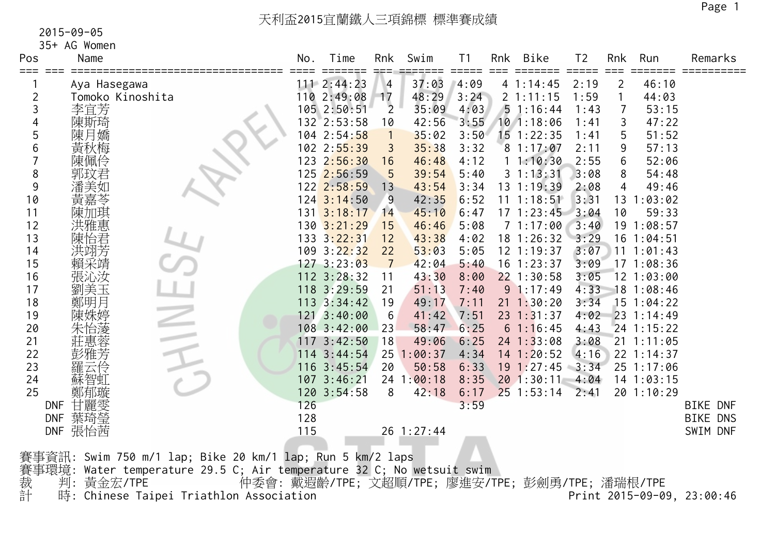35+ AG Women

| Pos        | Name                             |                                                                 | No. | Time                            | Rnk                   | Swim           | T1           | Rnk | Bike                                             | T <sub>2</sub> | Rnk                 | Run            | Remarks                    |
|------------|----------------------------------|-----------------------------------------------------------------|-----|---------------------------------|-----------------------|----------------|--------------|-----|--------------------------------------------------|----------------|---------------------|----------------|----------------------------|
| ===        |                                  |                                                                 |     | 111 2:44:23                     |                       |                |              |     |                                                  |                |                     | 46:10          |                            |
|            | Aya Hasegawa<br>Tomoko Kinoshita |                                                                 |     | 110 2:49:08                     | $\vert 4 \vert$<br>17 | 37:03<br>48:29 | 4:09<br>3:24 |     | 41:14:45<br>21:11:15                             | 2:19<br>1:59   | $\overline{2}$<br>1 | 44:03          |                            |
| 2          |                                  |                                                                 |     | 105 2:50:51                     | $\overline{2}$        | 35:09          | 4:03         |     | 51:16:44                                         | 1:43           | $\overline{7}$      | 53:15          |                            |
| 3          | 李宜芳                              |                                                                 |     |                                 |                       |                |              |     | $10$ 1:18:06                                     |                |                     |                |                            |
|            | 陳斯琦                              |                                                                 |     | $132$ 2:53:58                   | 10                    | 42:56          | 3:55         |     |                                                  | 1:41           | 3                   | 47:22          |                            |
| 5          | 陳月嬌                              |                                                                 |     | 104 2:54:58                     | $\overline{1}$        | 35:02          | 3:50         |     | $15$ 1:22:35                                     | 1:41           | 5                   | 51:52          |                            |
| 6          | 黃秋梅                              |                                                                 |     | 102 2:55:39                     | 3                     | 35:38          | 3:32         |     | 81:17:07                                         | 2:11           | 9                   | 57:13          |                            |
|            | 陳佩伶                              |                                                                 |     | 123 2:56:30                     | 16                    | 46:48          | 4:12         |     | 11:10:30                                         | 2:55           | 6                   | 52:06          |                            |
| 8          |                                  |                                                                 |     | 125 2:56:59                     | 5                     | 39:54          | 5:40         |     | 31:13:31                                         | 3:08           | 8                   | 54:48          |                            |
| 9          |                                  |                                                                 |     | 122 2:58:59                     | 13                    | 43:54          | 3:34         |     | $13 \t1:19:39$                                   | 2:08           | 4                   | 49:46          |                            |
| 10         |                                  |                                                                 |     | $124$ $3:14:50$                 | 9                     | 42:35          | 6:52         |     | $11 \t1:18:51$                                   | 3:31           | 13                  | 1:03:02        |                            |
| 11         | 陳加琪                              |                                                                 |     | $131 \overline{\smash)3:18:17}$ | 14                    | 45:10          | 6:47         |     | 171:23:45                                        | 3:04           | 10                  | 59:33          |                            |
| 12         | 洪雅惠                              |                                                                 |     | 130 3:21:29                     | 15                    | 46:46          | 5:08         |     | 71:17:00                                         | 3:40           |                     | 19 1:08:57     |                            |
| 13         | 陳怡君                              |                                                                 |     | 133 3:22:31                     | 12                    | 43:38          | 4:02         |     | 18 1:26:32                                       | 3:29           |                     | 16 1:04:51     |                            |
| 14         | 洪翊芳                              |                                                                 |     | 109 3:22:32                     | 22                    | 53:03          | 5:05         |     | $12$ $1:19:37$                                   | 3:07           |                     | 11 1:01:43     |                            |
| 15         | 賴采靖                              |                                                                 |     | 127 3:23:03                     | $\overline{7}$        | 42:04          | 5:40         |     | $16$ 1:23:37                                     | 3:09           |                     | 171:08:36      |                            |
| 16         | 張沁汝                              |                                                                 |     | 112 3:28:32                     | 11                    | 43:30          | 8:00         |     | $22$ 1:30:58                                     | 3:05           |                     | $12$ $1:03:00$ |                            |
| 17         | 劉美玉                              |                                                                 |     | 118 3:29:59                     | 21                    | 51:13          | 7:40         |     | 91:17:49                                         | 4:33           |                     | 18 1:08:46     |                            |
| 18         | 鄭明月                              |                                                                 |     | $113 \t3:34:42$                 | 19                    | 49:17          | 7:11         |     | $21 \t1:30:20$                                   | 3:34           |                     | $15$ 1:04:22   |                            |
| 19         |                                  |                                                                 |     | 121 3:40:00                     | 6                     | 41:42          | 7:51         |     | $23 \t1:31:37$                                   | 4:02           |                     | $23 \t1:14:49$ |                            |
| 20         |                                  |                                                                 |     | 1083:42:00                      | 23                    | 58:47          | 6:25         |     | 61:16:45                                         | 4:43           |                     | $24$ 1:15:22   |                            |
| 21         |                                  |                                                                 |     | 117 3:42:50                     | 18                    | 49:06          | 6:25         |     | $24$ 1:33:08                                     | 3:08           |                     | $21 \t1:11:05$ |                            |
| 22         |                                  |                                                                 |     | 114 3:44:54                     |                       | 25 1:00:37     | 4:34         |     | 14 1:20:52                                       | 4:16           |                     | 22 1:14:37     |                            |
| 23         |                                  |                                                                 |     | 116 3:45:54                     | 20                    | 50:58          | 6:33         |     | $19 \t1:27:45$                                   | 3:34           |                     | 25 1:17:06     |                            |
| 24         |                                  |                                                                 |     | 107 3:46:21                     |                       | 24 1:00:18     | 8:35         |     | 20 1:30:11                                       | 4:04           |                     | 14 1:03:15     |                            |
| 25         | 鄭郁璇                              |                                                                 |     | 120 3:54:58                     | 8                     | 42:18          | 6:17         |     | $25$ 1:53:14                                     | 2:41           |                     | 20 1:10:29     |                            |
| <b>DNF</b> | 甘麗雯                              |                                                                 | 126 |                                 |                       |                | 3:59         |     |                                                  |                |                     |                | <b>BIKE DNF</b>            |
| <b>DNF</b> | 葉琦瑩                              |                                                                 | 128 |                                 |                       |                |              |     |                                                  |                |                     |                | <b>BIKE DNS</b>            |
|            | DNF 張怡茜                          |                                                                 | 115 |                                 |                       | 26 1:27:44     |              |     |                                                  |                |                     |                | SWIM DNF                   |
|            |                                  |                                                                 |     |                                 |                       |                |              |     |                                                  |                |                     |                |                            |
|            |                                  | 賽事資訊: Swim 750 m/1 lap; Bike 20 km/1 lap; Run 5 km/2 laps       |     |                                 |                       |                |              |     |                                                  |                |                     |                |                            |
| 賽事環境:      |                                  | Water temperature 29.5 C; Air temperature 32 C; No wetsuit swim |     |                                 |                       |                |              |     |                                                  |                |                     |                |                            |
|            | 判:<br>黃金宏/TPE                    |                                                                 |     |                                 |                       |                |              |     | 仲委會: 戴遐齡/TPE; 文超順/TPE; 廖進安/TPE; 彭劍勇/TPE; 潘瑞根/TPE |                |                     |                |                            |
| 裁計         |                                  | 時: Chinese Taipei Triathlon Association                         |     |                                 |                       |                |              |     |                                                  |                |                     |                | Print 2015-09-09, 23:00:46 |
|            |                                  |                                                                 |     |                                 |                       |                |              |     |                                                  |                |                     |                |                            |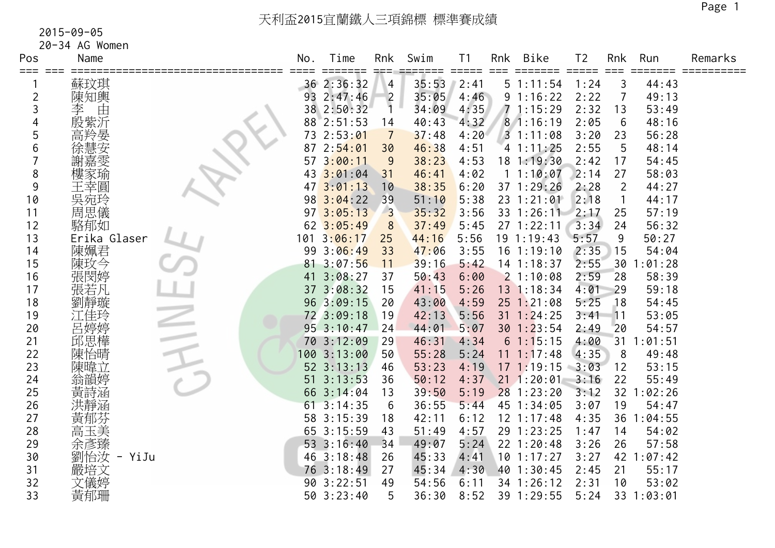| Pos            | Name          | No. | Time                    | Rnk                     | Swim  | Τ1                          | <b>Rnk</b> | <b>Bike</b>    | T <sub>2</sub> | Rnk            | Run        | Remarks |
|----------------|---------------|-----|-------------------------|-------------------------|-------|-----------------------------|------------|----------------|----------------|----------------|------------|---------|
| ===            | 蘇玟琪           |     | ≔===<br>36 2:36:32      | 4                       | 35:53 | $=$ $=$ $=$ $=$ $=$<br>2:41 |            | 51:11:54       | 1:24           | 3              | 44:43      |         |
| $\overline{c}$ | 陳知輿           |     | 93 2:47:46              | $\overline{2}$          | 35:05 | 4:46                        |            | 91:16:22       | 2:22           | 7              | 49:13      |         |
| 3              | 。<br>由<br>李   |     | 38 2:50:32              | $\overline{1}$          | 34:09 | 4:35                        |            | 71:15:29       | 2:32           | 13             | 53:49      |         |
| 4              | 殷紫沂           |     | 88 2:51:53              | 14                      | 40:43 | 4:32                        |            | 81:16:19       | 2:05           | 6              | 48:16      |         |
| 5              | 高羚晏           | 73  | 2:53:01                 | $\overline{7}$          | 37:48 | 4:20                        |            | 31:11:08       | 3:20           | 23             | 56:28      |         |
| 6              | 徐慧安           | 87  | 2:54:01                 | 30                      | 46:38 | 4:51                        |            | 41:11:25       | 2:55           | 5              | 48:14      |         |
|                | 謝嘉雯           | 57  | 3:00:11                 | 9                       | 38:23 | 4:53                        |            | 18 1:19:30     | 2:42           | 17             | 54:45      |         |
| 8              | 樓家瑜           | 43  | 3:01:04                 | 31                      | 46:41 | 4:02                        |            | 1 1:10:07      | 2:14           | 27             | 58:03      |         |
| 9              | 王幸圓           |     | 3:01:13                 | 10                      | 38:35 | 6:20                        |            | 37 1:29:26     | 2:28           | $\overline{2}$ | 44:27      |         |
| 10             | 吳宛玲           |     | 98 3:04:22              | 39                      | 51:10 | 5:38                        |            | $23 \t1:21:01$ | 2:18           |                | 44:17      |         |
| 11             | 周思儀           |     | $97 \overline{3:05:13}$ | $\overline{\mathbf{3}}$ | 35:32 | 3:56                        |            | 33 1:26:11     | 2:17           | 25             | 57:19      |         |
| 12             | 駱郁如           |     | 62 3:05:49              | 8                       | 37:49 | 5:45                        |            | 27 1:22:11     | 3:34           | 24             | 56:32      |         |
| 13             | Erika Glaser  | 101 | 3:06:17                 | 25                      | 44:16 | 5:56                        |            | 19 1:19:43     | 5:57           | 9              | 50:27      |         |
| 14             | 陳姵君           |     | 99 3:06:49              | 33                      | 47:06 | 3:55                        |            | $16$ 1:19:10   | 2:35           | 15             | 54:04      |         |
| 15             | 陳玫今           |     | 81 3:07:56              | 11                      | 39:16 | 5:42                        |            | $14$ 1:18:37   | 2:55           | 30             | 1:01:28    |         |
| 16             | 張閔婷           | 41  | 3:08:27                 | 37                      | 50:43 | 6:00                        |            | 21:10:08       | 2:59           | 28             | 58:39      |         |
| 17             | 張若凡           |     | 37 3:08:32              | 15                      | 41:15 | 5:26                        |            | 13 1:18:34     | 4:01           | 29             | 59:18      |         |
| 18             | 劉靜璇           |     | 96 3:09:15              | 20                      | 43:00 | 4:59                        |            | $25$ 1:21:08   | 5:25           | 18             | 54:45      |         |
| 19             | 江佳玲           |     | 72 3:09:18              | 19                      | 42:13 | 5:56                        |            | $31 \t1:24:25$ | 3:41           | 11             | 53:05      |         |
| 20             | 呂婷婷           |     | 95 3:10:47              | 24                      | 44:01 | 5:07                        |            | $30$ 1:23:54   | 2:49           | 20             | 54:57      |         |
| 21             | 邱思樺           |     | 70 3:12:09              | 29                      | 46:31 | 4:34                        |            | 61:15:15       | 4:00           | 31             | 1:01:51    |         |
| 22             | 陳怡晴           |     | 100 3:13:00             | 50                      | 55:28 | 5:24                        |            | $11 \t1:17:48$ | 4:35           | 8              | 49:48      |         |
| 23             | 陳暐立           |     | 52 3:13:13              | 46                      | 53:23 | 4:19                        |            | 171:19:15      | 3:03           | 12             | 53:15      |         |
| 24             | 翁韻婷           | 51  | 3:13:53                 | 36                      | 50:12 | 4:37                        |            | $21 \t1:20:01$ | 3:16           | 22             | 55:49      |         |
| 25             | 黃詩涵           | 66  | 3:14:04                 | 13                      | 39:50 | 5:19                        |            | $28$ 1:23:20   | 3:12           |                | 32 1:02:26 |         |
| 26             | 洪靜涵           |     | $61 \t3:14:35$          | 6                       | 36:55 | 5:44                        |            | 45 1:34:05     | 3:07           | 19             | 54:47      |         |
| 27             | 黃郁芬           |     | 58 3:15:39              | 18                      | 42:11 | 6:12                        |            | $12 \t1:17:48$ | 4:35           | 36             | 1:04:55    |         |
| 28             | 高玉美           |     | 65 3:15:59              | 43                      | 51:49 | 4:57                        |            | 29 1:23:25     | 1:47           | 14             | 54:02      |         |
| 29             | 余彥臻           |     | 53 3:16:40              | 34                      | 49:07 | 5:24                        |            | 22 1:20:48     | 3:26           | 26             | 57:58      |         |
| 30             | 劉怡汝<br>- YiJu |     | 46 3:18:48              | 26                      | 45:33 | 4:41                        |            | $10$ 1:17:27   | 3:27           |                | 42 1:07:42 |         |
| 31             | 嚴培文           |     | 76 3:18:49              | 27                      | 45:34 | 4:30                        |            | 40 1:30:45     | 2:45           | 21             | 55:17      |         |
| 32             | 文儀婷           |     | 90 3:22:51              | 49                      | 54:56 | 6:11                        |            | 34 1:26:12     | 2:31           | 10             | 53:02      |         |
| 33             | 黃郁珊           |     | 50 3:23:40              | 5                       | 36:30 | 8:52                        |            | 39 1:29:55     | 5:24           |                | 33 1:03:01 |         |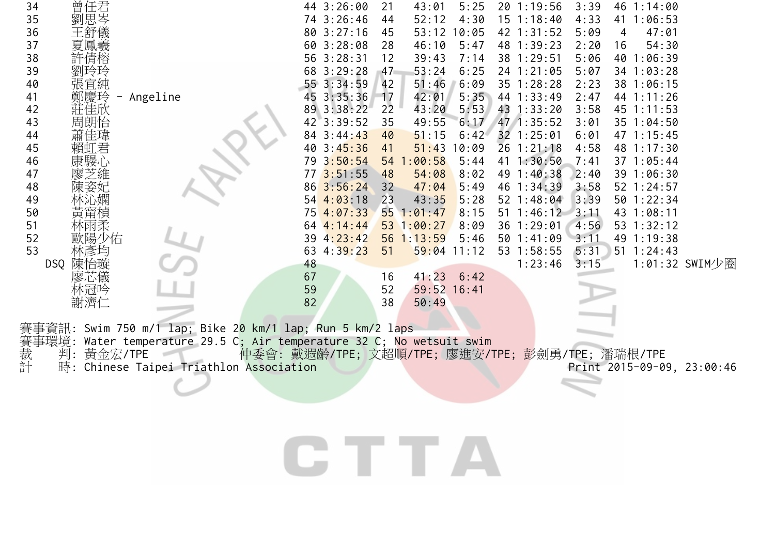| 曾任君<br>劉思岑<br>34<br>44 3:26:00<br>20 1:19:56<br>5:25<br>3:39<br>35<br>74 3:26:46<br>4:30<br>4:33<br>52:12<br>$15 \t1:18:40$<br>41 1:06:53<br>44<br>36<br>80 3:27:16<br>53:12<br>42 1:31:52<br>47:01<br>10:05<br>5:09<br>45<br>4<br>37<br>60 3:28:08<br>46:10<br>48 1:39:23<br>2:20<br>54:30<br>28<br>5:47<br>16<br>38<br>56 3:28:31<br>38 1:29:51<br>許倩榕<br>5:06<br>40 1:06:39<br>39:43<br>7:14<br>12<br>39<br>68 3:29:28<br>53:24<br>6:25<br>24 1:21:05<br>5:07<br>47<br>34 1:03:28<br>55 3:34:59<br>51:46<br>40<br>張宜純<br>6:09<br>35 1:28:28<br>2:23<br>42<br>38 1:06:15<br>45 3:35:36<br>44 1:33:49<br>41<br>42:01<br>5:35<br>2:47<br>Angeline<br>17<br>44 1:11:26<br>42<br>莊佳欣<br>89 3:38:22<br>22<br>43:20<br>5:53<br>43 1:33:20<br>3:58<br>45 1:11:53<br>43<br>47 1:35:52<br>周朗怡<br>42 3:39:52<br>35<br>49:55<br>6:17<br>3:01<br>35 1:04:50<br>32 1:25:01<br>44<br>84 3:44:43<br>47 1:15:45<br>40<br>51:15<br>6:42<br>6:01<br>45<br>40 3:45:36<br>51:43<br>10:09<br>$26$ 1:21:18<br>4:58<br>48 1:17:30<br>賴虹君<br>41<br>康騴心<br>79 3:50:54<br>46<br>54 1:00:58<br>41 1:30:50<br>37 1:05:44<br>5:44<br>7:41<br>773:51:55<br>47<br>8:02<br>49 1:40:38<br>48<br>54:08<br>2:40<br>39 1:06:30<br>86 3:56:24<br>48<br>5:49<br>46 1:34:39<br>3:58<br>52 1:24:57<br>32<br>47:04<br>49<br>$54$ $4:03:18$<br>43:35<br>5:28<br>52 1:48:04<br>3:39<br>50 1:22:34<br>23<br>75 4:07:33<br>$51 \t1:46:12$<br>50<br>551:01:47<br>8:15<br>43 1:08:11<br>3:11<br>黃甯楨<br>林雨柔<br>51<br>64 4:14:44<br>53 1:00:27<br>36 1:29:01<br>4:56<br>53 1:32:12<br>8:09<br>52<br>歐陽少佑<br>39 4:23:42<br>56 1:13:59<br>50 1:41:09<br>49 1:19:38<br>5:46<br>3:11<br>53<br>4:39:23<br>$59:04$ 11:12<br>53 1:58:55<br>51<br>5:31<br>$51 \t1:24:43$<br>63<br>林彦均<br>3:15<br>DSQ 陳怡璇<br>48<br>1:23:46<br>1:01:32 SWIM少圈<br>廖芯儀<br>67<br>$41:23$ 6:42<br>16<br>林冠吟<br>59<br>52<br>59:52 16:41<br>謝濟仁<br>82<br>38<br>50:49<br>事資訊: Swim 750 m/1 lap; Bike 2 <mark>0 km/1</mark> lap; Run 5 km/2 laps<br>事環境:<br>Water temperature 29.5 C; Air temperature 32 C; No wetsuit swim |  |
|--------------------------------------------------------------------------------------------------------------------------------------------------------------------------------------------------------------------------------------------------------------------------------------------------------------------------------------------------------------------------------------------------------------------------------------------------------------------------------------------------------------------------------------------------------------------------------------------------------------------------------------------------------------------------------------------------------------------------------------------------------------------------------------------------------------------------------------------------------------------------------------------------------------------------------------------------------------------------------------------------------------------------------------------------------------------------------------------------------------------------------------------------------------------------------------------------------------------------------------------------------------------------------------------------------------------------------------------------------------------------------------------------------------------------------------------------------------------------------------------------------------------------------------------------------------------------------------------------------------------------------------------------------------------------------------------------------------------------------------------------------------------------------------------------------------------------------------------------------------------------------------------------------------------------------------------------------------------------------------------------------------------------------------------|--|
|                                                                                                                                                                                                                                                                                                                                                                                                                                                                                                                                                                                                                                                                                                                                                                                                                                                                                                                                                                                                                                                                                                                                                                                                                                                                                                                                                                                                                                                                                                                                                                                                                                                                                                                                                                                                                                                                                                                                                                                                                                            |  |
|                                                                                                                                                                                                                                                                                                                                                                                                                                                                                                                                                                                                                                                                                                                                                                                                                                                                                                                                                                                                                                                                                                                                                                                                                                                                                                                                                                                                                                                                                                                                                                                                                                                                                                                                                                                                                                                                                                                                                                                                                                            |  |
|                                                                                                                                                                                                                                                                                                                                                                                                                                                                                                                                                                                                                                                                                                                                                                                                                                                                                                                                                                                                                                                                                                                                                                                                                                                                                                                                                                                                                                                                                                                                                                                                                                                                                                                                                                                                                                                                                                                                                                                                                                            |  |
|                                                                                                                                                                                                                                                                                                                                                                                                                                                                                                                                                                                                                                                                                                                                                                                                                                                                                                                                                                                                                                                                                                                                                                                                                                                                                                                                                                                                                                                                                                                                                                                                                                                                                                                                                                                                                                                                                                                                                                                                                                            |  |
|                                                                                                                                                                                                                                                                                                                                                                                                                                                                                                                                                                                                                                                                                                                                                                                                                                                                                                                                                                                                                                                                                                                                                                                                                                                                                                                                                                                                                                                                                                                                                                                                                                                                                                                                                                                                                                                                                                                                                                                                                                            |  |
|                                                                                                                                                                                                                                                                                                                                                                                                                                                                                                                                                                                                                                                                                                                                                                                                                                                                                                                                                                                                                                                                                                                                                                                                                                                                                                                                                                                                                                                                                                                                                                                                                                                                                                                                                                                                                                                                                                                                                                                                                                            |  |
|                                                                                                                                                                                                                                                                                                                                                                                                                                                                                                                                                                                                                                                                                                                                                                                                                                                                                                                                                                                                                                                                                                                                                                                                                                                                                                                                                                                                                                                                                                                                                                                                                                                                                                                                                                                                                                                                                                                                                                                                                                            |  |
|                                                                                                                                                                                                                                                                                                                                                                                                                                                                                                                                                                                                                                                                                                                                                                                                                                                                                                                                                                                                                                                                                                                                                                                                                                                                                                                                                                                                                                                                                                                                                                                                                                                                                                                                                                                                                                                                                                                                                                                                                                            |  |
|                                                                                                                                                                                                                                                                                                                                                                                                                                                                                                                                                                                                                                                                                                                                                                                                                                                                                                                                                                                                                                                                                                                                                                                                                                                                                                                                                                                                                                                                                                                                                                                                                                                                                                                                                                                                                                                                                                                                                                                                                                            |  |
|                                                                                                                                                                                                                                                                                                                                                                                                                                                                                                                                                                                                                                                                                                                                                                                                                                                                                                                                                                                                                                                                                                                                                                                                                                                                                                                                                                                                                                                                                                                                                                                                                                                                                                                                                                                                                                                                                                                                                                                                                                            |  |
|                                                                                                                                                                                                                                                                                                                                                                                                                                                                                                                                                                                                                                                                                                                                                                                                                                                                                                                                                                                                                                                                                                                                                                                                                                                                                                                                                                                                                                                                                                                                                                                                                                                                                                                                                                                                                                                                                                                                                                                                                                            |  |
|                                                                                                                                                                                                                                                                                                                                                                                                                                                                                                                                                                                                                                                                                                                                                                                                                                                                                                                                                                                                                                                                                                                                                                                                                                                                                                                                                                                                                                                                                                                                                                                                                                                                                                                                                                                                                                                                                                                                                                                                                                            |  |
|                                                                                                                                                                                                                                                                                                                                                                                                                                                                                                                                                                                                                                                                                                                                                                                                                                                                                                                                                                                                                                                                                                                                                                                                                                                                                                                                                                                                                                                                                                                                                                                                                                                                                                                                                                                                                                                                                                                                                                                                                                            |  |
|                                                                                                                                                                                                                                                                                                                                                                                                                                                                                                                                                                                                                                                                                                                                                                                                                                                                                                                                                                                                                                                                                                                                                                                                                                                                                                                                                                                                                                                                                                                                                                                                                                                                                                                                                                                                                                                                                                                                                                                                                                            |  |
|                                                                                                                                                                                                                                                                                                                                                                                                                                                                                                                                                                                                                                                                                                                                                                                                                                                                                                                                                                                                                                                                                                                                                                                                                                                                                                                                                                                                                                                                                                                                                                                                                                                                                                                                                                                                                                                                                                                                                                                                                                            |  |
|                                                                                                                                                                                                                                                                                                                                                                                                                                                                                                                                                                                                                                                                                                                                                                                                                                                                                                                                                                                                                                                                                                                                                                                                                                                                                                                                                                                                                                                                                                                                                                                                                                                                                                                                                                                                                                                                                                                                                                                                                                            |  |
|                                                                                                                                                                                                                                                                                                                                                                                                                                                                                                                                                                                                                                                                                                                                                                                                                                                                                                                                                                                                                                                                                                                                                                                                                                                                                                                                                                                                                                                                                                                                                                                                                                                                                                                                                                                                                                                                                                                                                                                                                                            |  |
|                                                                                                                                                                                                                                                                                                                                                                                                                                                                                                                                                                                                                                                                                                                                                                                                                                                                                                                                                                                                                                                                                                                                                                                                                                                                                                                                                                                                                                                                                                                                                                                                                                                                                                                                                                                                                                                                                                                                                                                                                                            |  |
|                                                                                                                                                                                                                                                                                                                                                                                                                                                                                                                                                                                                                                                                                                                                                                                                                                                                                                                                                                                                                                                                                                                                                                                                                                                                                                                                                                                                                                                                                                                                                                                                                                                                                                                                                                                                                                                                                                                                                                                                                                            |  |
|                                                                                                                                                                                                                                                                                                                                                                                                                                                                                                                                                                                                                                                                                                                                                                                                                                                                                                                                                                                                                                                                                                                                                                                                                                                                                                                                                                                                                                                                                                                                                                                                                                                                                                                                                                                                                                                                                                                                                                                                                                            |  |
|                                                                                                                                                                                                                                                                                                                                                                                                                                                                                                                                                                                                                                                                                                                                                                                                                                                                                                                                                                                                                                                                                                                                                                                                                                                                                                                                                                                                                                                                                                                                                                                                                                                                                                                                                                                                                                                                                                                                                                                                                                            |  |
|                                                                                                                                                                                                                                                                                                                                                                                                                                                                                                                                                                                                                                                                                                                                                                                                                                                                                                                                                                                                                                                                                                                                                                                                                                                                                                                                                                                                                                                                                                                                                                                                                                                                                                                                                                                                                                                                                                                                                                                                                                            |  |
|                                                                                                                                                                                                                                                                                                                                                                                                                                                                                                                                                                                                                                                                                                                                                                                                                                                                                                                                                                                                                                                                                                                                                                                                                                                                                                                                                                                                                                                                                                                                                                                                                                                                                                                                                                                                                                                                                                                                                                                                                                            |  |
|                                                                                                                                                                                                                                                                                                                                                                                                                                                                                                                                                                                                                                                                                                                                                                                                                                                                                                                                                                                                                                                                                                                                                                                                                                                                                                                                                                                                                                                                                                                                                                                                                                                                                                                                                                                                                                                                                                                                                                                                                                            |  |
|                                                                                                                                                                                                                                                                                                                                                                                                                                                                                                                                                                                                                                                                                                                                                                                                                                                                                                                                                                                                                                                                                                                                                                                                                                                                                                                                                                                                                                                                                                                                                                                                                                                                                                                                                                                                                                                                                                                                                                                                                                            |  |
|                                                                                                                                                                                                                                                                                                                                                                                                                                                                                                                                                                                                                                                                                                                                                                                                                                                                                                                                                                                                                                                                                                                                                                                                                                                                                                                                                                                                                                                                                                                                                                                                                                                                                                                                                                                                                                                                                                                                                                                                                                            |  |
| 裁計<br>判:<br>黃金宏/TPE<br>仲委會: 戴遐齡/TPE; 文超順/TPE; 廖進安/TPE; 彭劍勇/TPE; 潘瑞根/TPE                                                                                                                                                                                                                                                                                                                                                                                                                                                                                                                                                                                                                                                                                                                                                                                                                                                                                                                                                                                                                                                                                                                                                                                                                                                                                                                                                                                                                                                                                                                                                                                                                                                                                                                                                                                                                                                                                                                                                                    |  |
| 時:<br>Chinese Taipei Triathlon Association<br>Print 2015-09-09, 23:00:46                                                                                                                                                                                                                                                                                                                                                                                                                                                                                                                                                                                                                                                                                                                                                                                                                                                                                                                                                                                                                                                                                                                                                                                                                                                                                                                                                                                                                                                                                                                                                                                                                                                                                                                                                                                                                                                                                                                                                                   |  |
|                                                                                                                                                                                                                                                                                                                                                                                                                                                                                                                                                                                                                                                                                                                                                                                                                                                                                                                                                                                                                                                                                                                                                                                                                                                                                                                                                                                                                                                                                                                                                                                                                                                                                                                                                                                                                                                                                                                                                                                                                                            |  |
|                                                                                                                                                                                                                                                                                                                                                                                                                                                                                                                                                                                                                                                                                                                                                                                                                                                                                                                                                                                                                                                                                                                                                                                                                                                                                                                                                                                                                                                                                                                                                                                                                                                                                                                                                                                                                                                                                                                                                                                                                                            |  |
|                                                                                                                                                                                                                                                                                                                                                                                                                                                                                                                                                                                                                                                                                                                                                                                                                                                                                                                                                                                                                                                                                                                                                                                                                                                                                                                                                                                                                                                                                                                                                                                                                                                                                                                                                                                                                                                                                                                                                                                                                                            |  |
|                                                                                                                                                                                                                                                                                                                                                                                                                                                                                                                                                                                                                                                                                                                                                                                                                                                                                                                                                                                                                                                                                                                                                                                                                                                                                                                                                                                                                                                                                                                                                                                                                                                                                                                                                                                                                                                                                                                                                                                                                                            |  |
|                                                                                                                                                                                                                                                                                                                                                                                                                                                                                                                                                                                                                                                                                                                                                                                                                                                                                                                                                                                                                                                                                                                                                                                                                                                                                                                                                                                                                                                                                                                                                                                                                                                                                                                                                                                                                                                                                                                                                                                                                                            |  |
| <b>CTTTA</b>                                                                                                                                                                                                                                                                                                                                                                                                                                                                                                                                                                                                                                                                                                                                                                                                                                                                                                                                                                                                                                                                                                                                                                                                                                                                                                                                                                                                                                                                                                                                                                                                                                                                                                                                                                                                                                                                                                                                                                                                                               |  |
|                                                                                                                                                                                                                                                                                                                                                                                                                                                                                                                                                                                                                                                                                                                                                                                                                                                                                                                                                                                                                                                                                                                                                                                                                                                                                                                                                                                                                                                                                                                                                                                                                                                                                                                                                                                                                                                                                                                                                                                                                                            |  |
|                                                                                                                                                                                                                                                                                                                                                                                                                                                                                                                                                                                                                                                                                                                                                                                                                                                                                                                                                                                                                                                                                                                                                                                                                                                                                                                                                                                                                                                                                                                                                                                                                                                                                                                                                                                                                                                                                                                                                                                                                                            |  |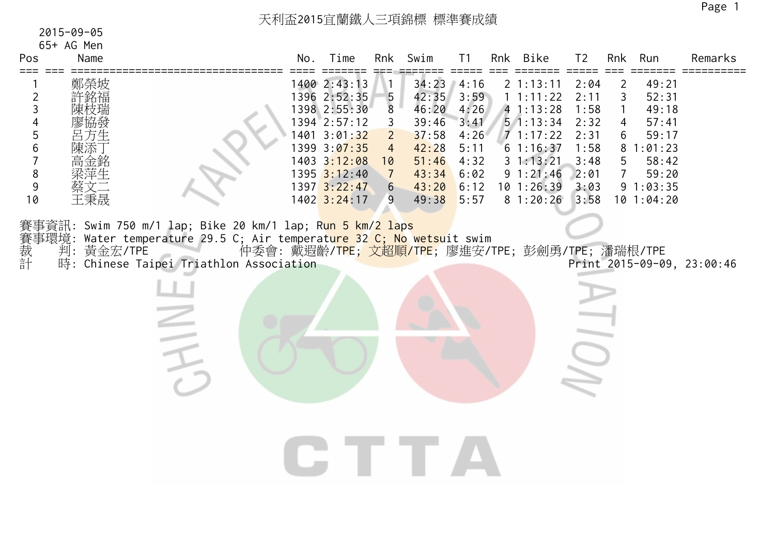天利盃2015宜蘭鐵人三項錦標 標準賽成績

| 2015-09-05 |  |  |
|------------|--|--|
| 65+ AG Men |  |  |

| Pos                                                                                        | Name                                  |                                                                                                                                                                         | No. | Time                                                                                                                                                                        | Rnk                                                                               | Swim                                                                                          | T <sub>1</sub>                                                       | Rnk | <b>Bike</b>                                                                                                                                                                                        | T <sub>2</sub>                                                               | Rnk                                                  | Run                                                                                                 | Remarks                    |
|--------------------------------------------------------------------------------------------|---------------------------------------|-------------------------------------------------------------------------------------------------------------------------------------------------------------------------|-----|-----------------------------------------------------------------------------------------------------------------------------------------------------------------------------|-----------------------------------------------------------------------------------|-----------------------------------------------------------------------------------------------|----------------------------------------------------------------------|-----|----------------------------------------------------------------------------------------------------------------------------------------------------------------------------------------------------|------------------------------------------------------------------------------|------------------------------------------------------|-----------------------------------------------------------------------------------------------------|----------------------------|
| $==$<br>$\overline{2}$<br>3<br>4<br>5<br>6<br>$\,8\,$<br>9<br>10<br>賽事<br>裁<br>計<br>計<br>計 | 鄭榮坡<br>許銘福<br>祭文<br>王秉晟<br>判: 黃金宏/TPE | 賽事資訊: Swim 750 m/1 lap; Bike 20 km/1 lap; Run 5 km/2 laps<br>Water temperature 29.5 C; Air temperature 32 C; No wetsuit swim<br>時: Chinese Taipei Triathlon Association |     | 1400 2:43:13<br>1396 2:52:35<br>1398 2:55:30<br>1394 2:57:12<br>1401 3:01:32<br>1399 3:07:35<br>1403 3:12:08<br>1395 3:12:40<br>$1397 \overline{3:22:47}$<br>$1402$ 3:24:17 | 5<br>8<br>3<br>$\mathbf{2}$<br>4<br>10<br>$\overline{7}$<br>$6 \overline{6}$<br>9 | $34:23$ 4:16<br>42:35<br>46:20<br>39:46<br>37:58<br>42:28<br>51:46<br>43:34<br>43:20<br>49:38 | 3:59<br>4:26<br>3:41<br>4:26<br>5:11<br>4:32<br>6:02<br>6:12<br>5:57 |     | $2 \; 1:13:11$<br>1 1:11:22<br>41:13:28<br>51:13:34<br>71:17:22<br>61:16:37<br>31:13:21<br>91:21:46<br>$10$ 1:26:39<br>81:20:26<br>仲委會: 戴遐齡/T <mark>PE; 文超順/TPE</mark> ; 廖進安/TPE; 彭劍勇/TPE; 潘瑞根/TPE | 2:04<br>2:11<br>1:58<br>2:32<br>2:31<br>1:58<br>3:48<br>2:01<br>3:03<br>3:58 | 2<br>3<br>$\overline{4}$<br>6<br>5<br>$\overline{7}$ | 49:21<br>52:31<br>49:18<br>57:41<br>59:17<br>81:01:23<br>58:42<br>59:20<br>91:03:35<br>$10$ 1:04:20 | Print 2015-09-09, 23:00:46 |
|                                                                                            |                                       |                                                                                                                                                                         |     |                                                                                                                                                                             |                                                                                   |                                                                                               |                                                                      |     |                                                                                                                                                                                                    |                                                                              |                                                      |                                                                                                     |                            |
|                                                                                            |                                       |                                                                                                                                                                         |     |                                                                                                                                                                             |                                                                                   |                                                                                               |                                                                      |     |                                                                                                                                                                                                    |                                                                              |                                                      |                                                                                                     |                            |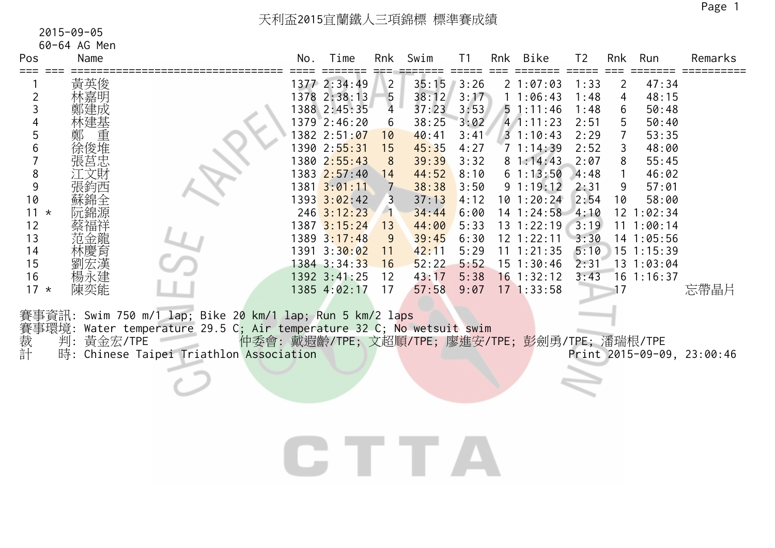| Pos                                                                     | 60-64 AG Men<br>Name                   |                                                                                                                                                                         | No. | Time                                                                                                                                                                                                                                                                      | Rnk                                                                                                              | Swim                                                                                                                                       | T <sub>1</sub>                                                                                               | Rnk | Bike                                                                                                                                                                                                               | T <sub>2</sub>                                                                                               | Rnk                                        | Run                                                                                                                                                             | Remarks                            |
|-------------------------------------------------------------------------|----------------------------------------|-------------------------------------------------------------------------------------------------------------------------------------------------------------------------|-----|---------------------------------------------------------------------------------------------------------------------------------------------------------------------------------------------------------------------------------------------------------------------------|------------------------------------------------------------------------------------------------------------------|--------------------------------------------------------------------------------------------------------------------------------------------|--------------------------------------------------------------------------------------------------------------|-----|--------------------------------------------------------------------------------------------------------------------------------------------------------------------------------------------------------------------|--------------------------------------------------------------------------------------------------------------|--------------------------------------------|-----------------------------------------------------------------------------------------------------------------------------------------------------------------|------------------------------------|
| 2<br>3<br>4<br>5<br>6<br>8<br>9<br>10<br>$11 *$<br>12<br>13<br>14<br>15 | 黃英俊<br>木嘉明<br>沅錦源<br>蔡福祥<br>范金龍<br>林慶育 |                                                                                                                                                                         |     | 1377 2:34:49<br>1378 2:38:13<br>1388 2:45:35<br>1379 2:46:20<br>1382 2:51:07<br>1390 2:55:31<br>1380 2:55:43<br>1383 2:57:40<br>$1381 \overline{3:01:11}$<br>$1393$ $3:02:42$<br>$246 \overline{3:12:23}$<br>1387 3:15:24<br>1389 3:17:48<br>1391 3:30:02<br>1384 3:34:33 | $\sqrt{2}$<br>5<br>$\overline{4}$<br>6<br>10<br>15<br>8<br>14<br>7<br>3<br>$\blacksquare$<br>13<br>9<br>11<br>16 | $35:15$ 3:26<br>38:12<br>37:23<br>38:25<br>40:41<br>45:35<br>39:39<br>44:52<br>38:38<br>37:13<br>34:44<br>44:00<br>39:45<br>42:11<br>52:22 | 3:17<br>3:53<br>3:02<br>3:41<br>4:27<br>3:32<br>8:10<br>3:50<br>4:12<br>6:00<br>5:33<br>6:30<br>5:29<br>5:52 |     | 21:07:03<br>11:06:43<br>$5 \t1:11:46$<br>41:11:23<br>31:10:43<br>71:14:39<br>81:14:43<br>61:13:50<br>91:19:12<br>10 1:20:24<br>14 1:24:58 4:10<br>$13 \t1:22:19$<br>$12$ $1:22:11$<br>11 1:21:35<br>$15$ $1:30:46$ | 1:33<br>1:48<br>1:48<br>2:51<br>2:29<br>2:52<br>2:07<br>4:48<br>2:31<br>2:54<br>3:19<br>3:30<br>5:10<br>2:31 | 2<br>4<br>6<br>5<br>7<br>3<br>8<br>9<br>10 | 47:34<br>48:15<br>50:48<br>50:40<br>53:35<br>48:00<br>55:45<br>46:02<br>57:01<br>58:00<br>$12$ $1:02:34$<br>11 1:00:14<br>14 1:05:56<br>15 1:15:39<br>131:03:04 |                                    |
| 16<br>$17 *$<br>賽事環境:<br>裁計                                             | 楊永建<br>陳奕能<br>黃金宏/TPE<br>判:            | 賽事資訊: Swim 750 m/1 lap; Bike 20 km/1 lap; Run 5 km/2 laps<br>Water temperature 29.5 C; Air temperature 32 C; No wetsuit swim<br>時: Chinese Taipei Triathlon Association |     | 1392 3:41:25<br>1385 4:02:17                                                                                                                                                                                                                                              | 12<br>17                                                                                                         | 43:17<br>57:58<br>仲委會: 戴遐齡/TPE; 文超順/TPE; 廖進安/TPE; 彭劍勇/TPE; 潘瑞根/TPE                                                                         | 5:38<br>9:07                                                                                                 |     | $16$ 1:32:12<br>$17$ 1:33:58                                                                                                                                                                                       | 3:43                                                                                                         | 17                                         | $16$ 1:16:37                                                                                                                                                    | 忘帶晶片<br>Print 2015-09-09, 23:00:46 |
|                                                                         |                                        |                                                                                                                                                                         |     |                                                                                                                                                                                                                                                                           |                                                                                                                  |                                                                                                                                            |                                                                                                              |     |                                                                                                                                                                                                                    |                                                                                                              |                                            |                                                                                                                                                                 |                                    |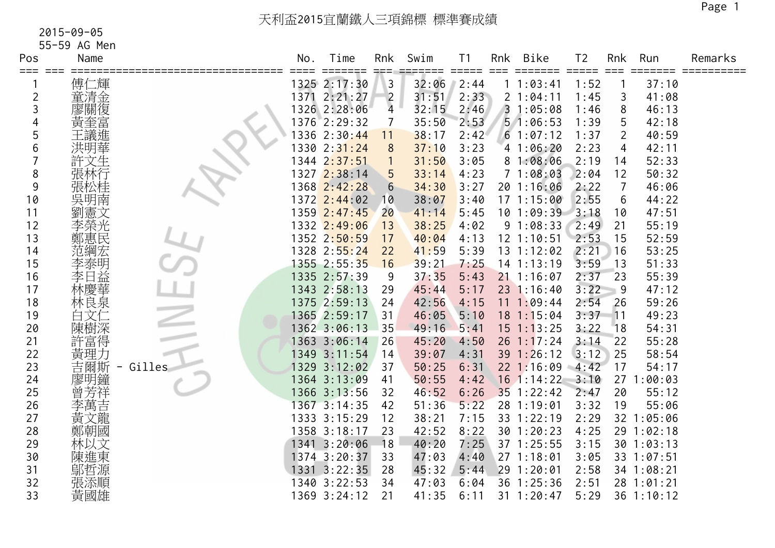55-59 AG Men

| Pos | Name |        | No. | Time<br>====       | Rnk            | Swim  | T <sub>1</sub>              | Rnk | Bike            | T <sub>2</sub> | Rnk             | Run        | Remarks |
|-----|------|--------|-----|--------------------|----------------|-------|-----------------------------|-----|-----------------|----------------|-----------------|------------|---------|
|     | 傅仁輝  |        |     | 1325 2:17:30       | $\mathsf{3}$   | 32:06 | $=$ $=$ $=$ $=$ $=$<br>2:44 |     | 11:03:41        | 1:52           |                 | 37:10      |         |
| 2   | 童清金  |        |     | 1371 2:21:27       | $\overline{2}$ | 31:51 | 2:33                        |     | 21:04:11        | 1:45           | 3               | 41:08      |         |
| 3   | 廖關復  |        |     | 1326 2:28:06       | $\overline{4}$ | 32:15 | 2:46                        |     | 31:05:08        | 1:46           | 8               | 46:13      |         |
|     | 黃奎富  |        |     | 1376 2:29:32       | 7              | 35:50 | 2:53                        |     | 51:06:53        | 1:39           | 5               | 42:18      |         |
| 5   | 王議進  |        |     | 1336 2:30:44       | 11             | 38:17 | 2:42                        |     | 61:07:12        | 1:37           | 2               | 40:59      |         |
| 6   | 洪明華  |        |     | 1330 2:31:24       | 8              | 37:10 | 3:23                        |     | 41:06:20        | 2:23           | $\overline{4}$  | 42:11      |         |
|     | 許文生  |        |     | 1344 2:37:51       |                | 31:50 | 3:05                        |     | 81:08:06        | 2:19           | 14              | 52:33      |         |
| 8   |      |        |     | 1327 2:38:14       | 5              | 33:14 | 4:23                        |     | 71:08:03        | 2:04           | 12              | 50:32      |         |
| 9   |      |        |     | 1368 2:42:28       | 6              | 34:30 | 3:27                        |     | 20 1:16:06      | 2:22           | 7               | 46:06      |         |
| 10  | 吳明南  |        |     | 1372 2:44:02       | 10             | 38:07 | 3:40                        |     | 171:15:00       | 2:55           | $6\phantom{1}6$ | 44:22      |         |
| 11  | 劉憲文  |        |     | 1359 2:47:45       | 20             | 41:14 | 5:45                        |     | 10 1:09:39 3:18 |                | 10              | 47:51      |         |
| 12  | 李榮光  |        |     | 1332 2:49:06       | 13             | 38:25 | 4:02                        |     | 91:08:33        | 2:49           | 21              | 55:19      |         |
| 13  | 鄭惠民  |        |     | 1352 2:50:59       | 17             | 40:04 | 4:13                        |     | $12$ $1:10:51$  | 2:53           | 15              | 52:59      |         |
| 14  | 范綱宏  |        |     | 1328 2:55:24       | 22             | 41:59 | 5:39                        |     | $13 \t1:12:02$  | 2:21           | 16              | 53:25      |         |
| 15  | 李泰明益 |        |     | 1355 2:55:35       | 16             | 39:21 | 7:25                        |     | $14$ 1:13:19    | 3:59           | 13              | 51:33      |         |
| 16  |      |        |     | 1335 2:57:39       | 9              | 37:35 | 5:43                        |     | $21$ 1:16:07    | 2:37           | 23              | 55:39      |         |
| 17  | 林慶華  |        |     | 1343 2:58:13       | 29             | 45:44 | 5:17                        |     | 23 1:16:40      | 3:22           | 9               | 47:12      |         |
| 18  | 林良泉  |        |     | 1375 2:59:13       | 24             | 42:56 | 4:15                        |     | 111:09:44       | 2:54           | 26              | 59:26      |         |
| 19  | 文亻   |        |     | 1365 2:59:17       | 31             | 46:05 | 5:10                        |     | 18 1:15:04      | 3:37           | 11              | 49:23      |         |
| 20  | 陳樹深  |        |     | 1362 3:06:13       | 35             | 49:16 | 5:41                        |     | $15 \t1:13:25$  | 3:22           | 18              | 54:31      |         |
| 21  | 許富得  |        |     | 1363 3:06:14       | 26             | 45:20 | 4:50                        | 26  | 1:17:24         | 3:14           | 22              | 55:28      |         |
| 22  | 黃理力  |        |     | 1349 3:11:54       | 14             | 39:07 | 4:31                        |     | 39 1:26:12      | 3:12           | 25              | 58:54      |         |
| 23  | 吉爾斯  | Gilles |     | 1329 3:12:02       | 37             | 50:25 | 6:31                        |     | $22$ 1:16:09    | $-4:42$        | 17              | 54:17      |         |
| 24  | 廖明鐘  |        |     | 1364 3:13:09       | 41             | 50:55 | 4:42                        |     | $16$ 1:14:22    | 3:10           | 27              | 1:00:03    |         |
| 25  | 會芳洋  |        |     | 1366 3:13:56       | 32             | 46:52 | 6:26                        |     | $35$ 1:22:42    | 2:47           | 20              | 55:12      |         |
| 26  | 李萬吉  |        |     | 1367 3:14:35       | 42             | 51:36 | 5:22                        |     | 28 1:19:01      | 3:32           | 19              | 55:06      |         |
| 27  | 黃文龍  |        |     | 1333 3:15:29       | 12             | 38:21 | 7:15                        |     | 33 1:22:19      | 2:29           |                 | 32 1:05:06 |         |
| 28  | 鄭朝國  |        |     | 1358 3:18:17       | 23             | 42:52 | 8:22                        |     | 30 1:20:23      | 4:25           |                 | 29 1:02:18 |         |
| 29  | 林以文  |        |     | 1341 3:20:06       | 18             | 40:20 | 7:25                        |     | 37 1:25:55      | 3:15           |                 | 301:03:13  |         |
| 30  | 陳進東  |        |     | 1374 3:20:37       | 33             | 47:03 | 4:40                        |     | 27 1:18:01      | 3:05           |                 | 33 1:07:51 |         |
| 31  | 鄔哲源  |        |     | $1331 \ \ 3:22:35$ | 28             | 45:32 | 5:44                        |     | 29 1:20:01      | 2:58           |                 | 34 1:08:21 |         |
| 32  | 張添順  |        |     | 1340 3:22:53       | 34             | 47:03 | 6:04                        |     | 36 1:25:36      | 2:51           |                 | 28 1:01:21 |         |
| 33  | 黃國雄  |        |     | 1369 3:24:12       | 21             | 41:35 | 6:11                        |     | 31 1:20:47      | 5:29           |                 | 36 1:10:12 |         |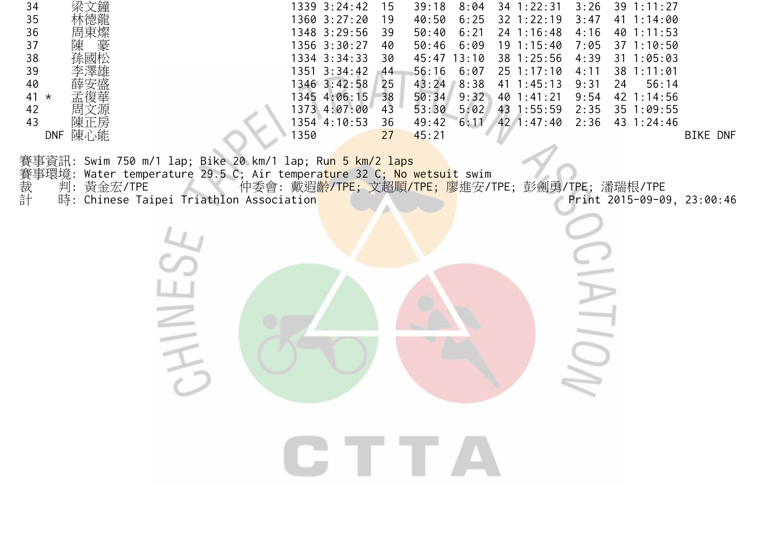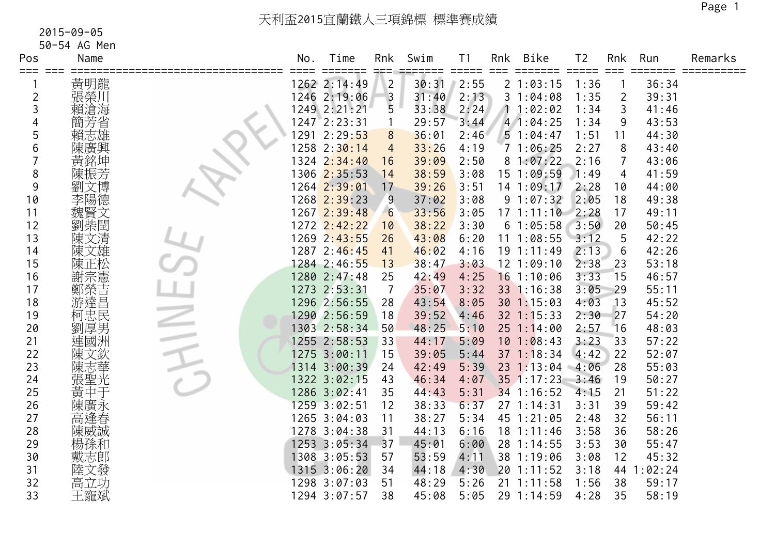50-54 AG Men

| Pos            | Name | No.  | Time                 | Rnk            | Swim  | T <sub>1</sub><br>$=$ $=$ $=$ $=$ $=$ | Rnk | <b>Bike</b>    | T <sub>2</sub><br>===== | Rnk            | Run     | Remarks |
|----------------|------|------|----------------------|----------------|-------|---------------------------------------|-----|----------------|-------------------------|----------------|---------|---------|
| ===            | 黃明龍  |      | 1262 2:14:49         | $\overline{2}$ | 30:31 | 2:55                                  |     | 21:03:15       | 1:36                    |                | 36:34   |         |
| $\overline{c}$ | 張榮川  |      | 1246 2:19:06         | $\overline{3}$ | 31:40 | 2:13                                  |     | 31:04:08       | 1:35                    | $\overline{2}$ | 39:31   |         |
| 3              | 賴滄海  |      | 1249 2:21:21         | 5              | 33:38 | 2:24                                  |     | 11:02:02       | 1:34                    | 3              | 41:46   |         |
|                | 簡芳省  |      | $1247 \quad 2:23:31$ |                | 29:57 | 3:44                                  |     | 41:04:25       | 1:34                    | 9              | 43:53   |         |
| 5              | 賴志雄  | 1291 | 2:29:53              | 8              | 36:01 | 2:46                                  |     | 51:04:47       | 1:51                    | 11             | 44:30   |         |
| 6              | 陳廣興  |      | 1258 2:30:14         | $\overline{4}$ | 33:26 | 4:19                                  |     | 71:06:25       | 2:27                    | 8              | 43:40   |         |
|                | 黃銘坤  |      | 1324 2:34:40         | 16             | 39:09 | 2:50                                  |     | 81:07:22       | 2:16                    | 7              | 43:06   |         |
| 8              | 陳振芳  |      | 1306 2:35:53         | 14             | 38:59 | 3:08                                  |     | 15 1:09:59     | 1:49                    | 4              | 41:59   |         |
| 9              |      |      | 1264 2:39:01         | 17             | 39:26 | 3:51                                  |     | 14 1:09:17     | 2:28                    | 10             | 44:00   |         |
| 10             | 李陽德  |      | 1268 2:39:23         | 9              | 37:02 | 3:08                                  |     | 91:07:32       | 2:05                    | 18             | 49:38   |         |
| 11             | 魏賢文  |      | 1267 2:39:48         | 6              | 33:56 | 3:05                                  |     | $17 \t1:11:10$ | 2:28                    | 17             | 49:11   |         |
| 12             | 劉柴閏  |      | 1272 2:42:22         | 10             | 38:22 | 3:30                                  |     | 61:05:58       | 3:50                    | 20             | 50:45   |         |
| 13             | 陳文清  |      | 1269 2:43:55         | 26             | 43:08 | 6:20                                  |     | 111:08:55      | 3:12                    | 5              | 42:22   |         |
| 14             | 陳文雄  |      | 1287 2:46:45         | 41             | 46:02 | 4:16                                  |     | 191:11:49      | 2:13                    | 6              | 42:26   |         |
| 15             | 陳正松  |      | 1284 2:46:55         | 13             | 38:47 | 3:03                                  |     | 12 1:09:10     | 2:38                    | 23             | 53:18   |         |
| 16             | 謝宗憲  |      | 1280 2:47:48         | 25             | 42:49 | 4:25                                  |     | $16$ 1:10:06   | 3:33                    | 15             | 46:57   |         |
| 17             | 鄭榮達昌 |      | 1273 2:53:31         | -7             | 35:07 | 3:32                                  |     | 33 1:16:38     | 3:05                    | 29             | 55:11   |         |
| 18             |      |      | 1296 2:56:55         | 28             | 43:54 | 8:05                                  |     | 301:15:03      | 4:03                    | 13             | 45:52   |         |
| 19             | 柯忠民  |      | 1290 2:56:59         | 18             | 39:52 | 4:46                                  |     | $32$ 1:15:33   | 2:30                    | 27             | 54:20   |         |
| 20             | 劉厚男  |      | 1303 2:58:34         | 50             | 48:25 | 5:10                                  |     | $25 \t1:14:00$ | 2:57                    | 16             | 48:03   |         |
| 21             | 連國洲  |      | 1255 2:58:53         | 33             | 44:17 | 5:09                                  |     | 10 1:08:43     | 3:23                    | 33             | 57:22   |         |
| 22             | 陳文欽  |      | 1275 3:00:11         | 15             | 39:05 | 5:44                                  |     | $37 \t1:18:34$ | 4:42                    | 22             | 52:07   |         |
| 23             | 陳志華  |      | 1314 3:00:39         | 24             | 42:49 | 5:39                                  | 23  | 1:13:04        | 4:06                    | 28             | 55:03   |         |
| 24             | 張聖光  |      | 1322 3:02:15         | 43             | 46:34 | 4:07                                  |     | $35 \t1:17:23$ | 3:46                    | 19             | 50:27   |         |
| 25             | 黃中于  |      | 1286 3:02:41         | 35             | 44:43 | 5:31                                  |     | 34 1:16:52     | 4:15                    | 21             | 51:22   |         |
| 26             | 陳廣永  |      | 1259 3:02:51         | 12             | 38:33 | 6:37                                  |     | 27 1:14:31     | 3:31                    | 39             | 59:42   |         |
| 27             | 高逢春  |      | 1265 3:04:03         | 11             | 38:27 | 5:34                                  |     | 45 1:21:05     | 2:48                    | 32             | 56:11   |         |
| 28             | 陳威誠  |      | 1278 3:04:38         | 31             | 44:13 | 6:16                                  |     | $18$ 1:11:46   | 3:58                    | 36             | 58:26   |         |
| 29             | 楊孫和  |      | 1253 3:05:34         | 37             | 45:01 | 6:00                                  |     | 28 1:14:55     | 3:53                    | 30             | 55:47   |         |
| 30             | 戴志郎  |      | 1308 3:05:53         | 57             | 53:59 | 4:11                                  |     | 38 1:19:06     | 3:08                    | 12             | 45:32   |         |
| 31             | 陸文發  |      | 1315 3:06:20         | 34             | 44:18 | 4:30                                  |     | $20$ 1:11:52   | 3:18                    | 44             | 1:02:24 |         |
| 32             | 高立功  |      | 1298 3:07:03         | 51             | 48:29 | 5:26                                  |     | $21 \t1:11:58$ | 1:56                    | 38             | 59:17   |         |
| 33             | 王寵斌  |      | 1294 3:07:57         | 38             | 45:08 | 5:05                                  |     | 29 1:14:59     | 4:28                    | 35             | 58:19   |         |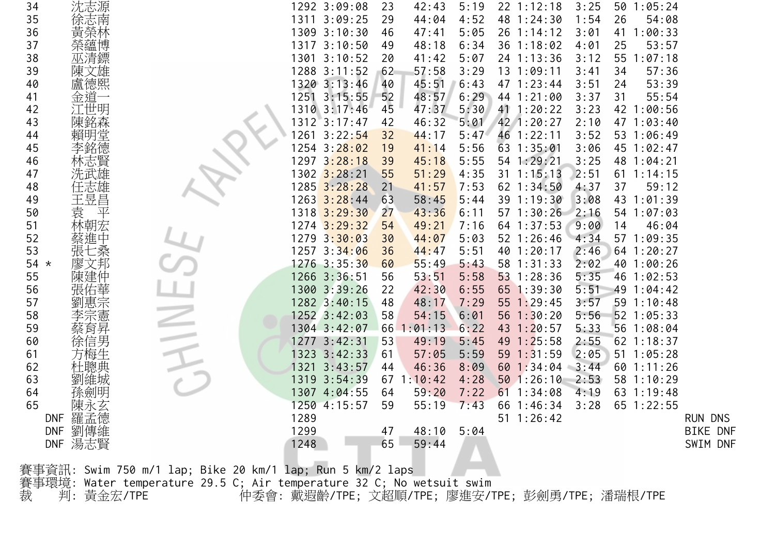| 34     | 沈志源     |                                                                       | 1292 3:09:08               | 23 | 42:43   | 5:19 | 22 1:12:18     | 3:25 | 50 1:05:24     |                 |
|--------|---------|-----------------------------------------------------------------------|----------------------------|----|---------|------|----------------|------|----------------|-----------------|
| 35     | 徐志南     |                                                                       | 1311 3:09:25               | 29 | 44:04   | 4:52 | 48 1:24:30     | 1:54 | 26<br>54:08    |                 |
| 36     | 黃榮林     |                                                                       | 1309 3:10:30               | 46 | 47:41   | 5:05 | 26 1:14:12     | 3:01 | 1:00:33<br>41  |                 |
| 37     | 榮蘊博     |                                                                       | 1317 3:10:50               | 49 | 48:18   | 6:34 | 36 1:18:02     | 4:01 | 25<br>53:57    |                 |
| 38     | 巫清鏢     |                                                                       | 1301 3:10:52               | 20 | 41:42   | 5:07 | 24 1:13:36     | 3:12 | 55 1:07:18     |                 |
| 39     | 陳文雄     |                                                                       | 1288 3:11:52               | 62 | 57:58   | 3:29 | 13 1:09:11     | 3:41 | 57:36<br>34    |                 |
| 40     | 盧德熙     |                                                                       | 1320 3:13:46               | 40 | 45:51   | 6:43 | 47 1:23:44     | 3:51 | 53:39<br>24    |                 |
| 41     | 金道一     |                                                                       | 1251 3:15:55               | 52 | 48:57   | 6:29 | 44 1:21:00     | 3:37 | 31<br>55:54    |                 |
| 42     | 江世明     |                                                                       | 1310 3:17:46               | 45 | 47:37   | 5:30 | 41 1:20:22     | 3:23 | 42 1:00:56     |                 |
| 43     | 陳銘森     |                                                                       | 1312 3:17:47               | 42 | 46:32   | 5:01 | 42 1:20:27     | 2:10 | 47 1:03:40     |                 |
| 44     | 賴明堂     |                                                                       | 1261 3:22:54               | 32 | 44:17   | 5:47 | 46 1:22:11     | 3:52 | 53 1:06:49     |                 |
| 45     |         |                                                                       | 1254 3:28:02               | 19 | 41:14   | 5:56 | 63 1:35:01     | 3:06 | 45 1:02:47     |                 |
| 46     | 林志賢     |                                                                       | 1297 3:28:18               | 39 | 45:18   | 5:55 | 54 1:29:21     | 3:25 | 48 1:04:21     |                 |
| 47     | 洗武雄     |                                                                       | 1302 <mark>3:28</mark> :21 | 55 | 51:29   | 4:35 | $31 \t1:15:13$ | 2:51 | $61 \t1:14:15$ |                 |
| 48     | 任志雄     |                                                                       | 1285 3:28:28               | 21 | 41:57   | 7:53 | 62 1:34:50     | 4:37 | 37<br>59:12    |                 |
| 49     | 王昱昌     |                                                                       | 1263 3:28:44               | 63 | 58:45   | 5:44 | 39 1:19:30     | 3:08 | 43 1:01:39     |                 |
| 50     | 袁<br>平  |                                                                       | 1318 3:29:30               | 27 | 43:36   | 6:11 | $57 \t1:30:26$ | 2:16 | 54 1:07:03     |                 |
| 51     | 林朝宏     |                                                                       | $1274$ $3:29:32$           | 54 | 49:21   | 7:16 | 64 1:37:53     | 9:00 | 14<br>46:04    |                 |
| 52     | 蔡進中     |                                                                       | 1279 3:30:03               | 30 | 44:07   | 5:03 | $52 \t1:26:46$ | 4:34 | 57 1:09:35     |                 |
| 53     | 張七桑     |                                                                       | 1257 3:34:06               | 36 | 44:47   | 5:51 | 40 1:20:17     | 2:46 | 64 1:20:27     |                 |
| 54 $*$ | 廖文邦     |                                                                       | 1276 3:35:30               | 60 | 55:49   | 5:43 | 58 1:31:33     | 2:02 | 40 1:00:26     |                 |
| 55     | 陳建仲     |                                                                       | 1266 3:36:51               | 56 | 53:51   | 5:58 | $53$ 1:28:36   | 5:35 | 46 1:02:53     |                 |
| 56     | 張佑華     |                                                                       | 1300 3:39:26               | 22 | 42:30   | 6:55 | 65 1:39:30     | 5:51 | 49 1:04:42     |                 |
| 57     | 劉惠宗     |                                                                       | 1282 3:40:15               | 48 | 48:17   | 7:29 | 55 1:29:45     | 3:57 | 59 1:10:48     |                 |
| 58     | 李宗憲     |                                                                       | 1252 3:42:03               | 58 | 54:15   | 6:01 | 56 $1:30:20$   | 5:56 | 52 1:05:33     |                 |
| 59     | 蔡育昇     |                                                                       | 1304 3:42:07               | 66 | : 01:13 | 6:22 | 43 1:20:57     | 5:33 | 56 1:08:04     |                 |
| 60     | 徐信男     |                                                                       | 1277 3:42:31               | 53 | 49:19   | 5:45 | 49 1:25:58     | 2:55 | $62$ 1:18:37   |                 |
| 61     |         |                                                                       | 1323 3:42:33               | 61 | 57:05   | 5:59 | 59 1:31:59     | 2:05 | $51 \t1:05:28$ |                 |
| 62     | 杜聰典     |                                                                       | 1321 3:43:57               | 44 | 46:36   | 8:09 | 60 1:34:04     | 3:44 | $60$ 1:11:26   |                 |
| 63     | 劉維城     |                                                                       | 1319 3:54:39               | 67 | 1:10:42 | 4:28 | 501:26:10      | 2:53 | 58 1:10:29     |                 |
| 64     | 孫劍明     |                                                                       | 1307 4:04:55               | 64 | 59:20   | 7:22 | 611:34:08      | 4:19 | 63 1:19:48     |                 |
| 65     | 陳永玄     |                                                                       | 1250 4:15:57               | 59 | 55:19   | 7:43 | 66 1:46:34     | 3:28 | 65 1:22:55     |                 |
|        | DNF 羅孟德 |                                                                       | 1289                       |    |         |      | 51 1:26:42     |      |                | RUN DNS         |
|        | DNF 劉傳維 |                                                                       | 1299                       | 47 | 48:10   | 5:04 |                |      |                | <b>BIKE DNF</b> |
|        | DNF 湯志賢 |                                                                       | 1248                       | 65 | 59:44   |      |                |      |                | SWIM DNF        |
|        |         |                                                                       |                            |    |         |      |                |      |                |                 |
|        |         | 賽事資訊: Swim 750 m/1 lap; Bike 20 km/1 lap; Run 5 km/2 laps             |                            |    |         |      |                |      |                |                 |
|        |         | 賽事環境: Water temperature 29.5 C; Air temperature 32 C; No wetsuit swim |                            |    |         |      |                |      |                |                 |

裁 判: 黃金宏/TPE 仲委會: 戴遐齡/TPE; 文超順/TPE; 廖進安/TPE; 彭劍勇/TPE; 潘瑞根/TPE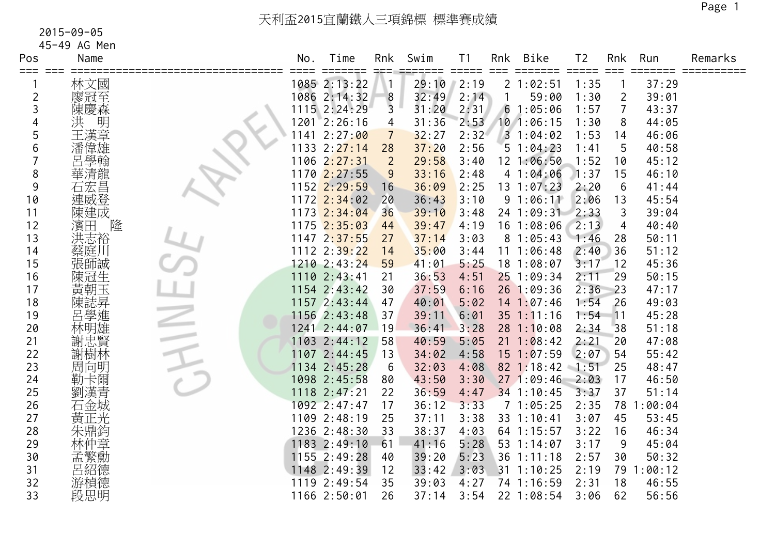45-49 AG Men

| Pos | Name    | No. | Time                 | Rnk            | Swim  | Τ1                          | Rnk | Bike           | T <sub>2</sub> | Rnk            | Run     | Remarks |
|-----|---------|-----|----------------------|----------------|-------|-----------------------------|-----|----------------|----------------|----------------|---------|---------|
|     | 林文國     |     | ====<br>1085 2:13:22 |                | 29:10 | $=$ $=$ $=$ $=$ $=$<br>2:19 |     | 21:02:51       | 1:35           |                | 37:29   |         |
| 2   | 廖冠至     |     | 1086 2:14:32         | 8              | 32:49 | 2:14                        |     | 59:00          | 1:30           | $\overline{2}$ | 39:01   |         |
| 3   | 陳慶森     |     | 1115 2:24:29         | $\overline{3}$ | 31:20 | 2:31                        | 6   | 1:05:06        | 1:57           | $\overline{7}$ | 43:37   |         |
|     | 洪<br>明  |     | 1201 2:26:16         | 4              | 31:36 | 2:53                        |     | 10 1:06:15     | 1:30           | 8              | 44:05   |         |
| 5   | 王漢章     |     | 1141 2:27:00         | 7              | 32:27 | 2:32                        |     | 31:04:02       | 1:53           | 14             | 46:06   |         |
| 6   | 潘偉雄     |     | $1133$ $2:27:14$     | 28             | 37:20 | 2:56                        |     | 51:04:23       | 1:41           | 5              | 40:58   |         |
|     | 呂學翰     |     | 1106 2:27:31         | $\overline{2}$ | 29:58 | 3:40                        |     | 12 1:06:50     | 1:52           | 10             | 45:12   |         |
| 8   | 華清龍     |     | 1170 2:27:55         | 9              | 33:16 | 2:48                        |     | 41:04:06       | 1:37           | 15             | 46:10   |         |
| 9   | 石宏昌     |     | 1152 2:29:59         | 16             | 36:09 | 2:25                        |     | 13 1:07:23     | 2:20           | 6              | 41:44   |         |
| 10  | 連威登     |     | $1172$ $2:34:02$     | 20             | 36:43 | 3:10                        |     | 91:06:11       | 2:06           | 13             | 45:54   |         |
| 11  | 陳建成     |     | 1173 2:34:04         | 36             | 39:10 | 3:48                        |     | 24 1:09:31     | 2:33           | 3              | 39:04   |         |
| 12  | 隆<br>濱田 |     | $1175$ $2:35:03$     | 44             | 39:47 | 4:19                        |     | 16 1:08:06     | 2:13           | 4              | 40:40   |         |
| 13  | 洪志裕     |     | 1147 2:37:55         | 27             | 37:14 | 3:03                        |     | 81:05:43       | 1:46           | 28             | 50:11   |         |
| 14  | 蔡庭川     |     | 1112 2:39:22         | 14             | 35:00 | 3:44                        |     | 111:06:48      | 2:40           | 36             | 51:12   |         |
| 15  | 張師誠     |     | 1210 2:43:24         | 59             | 41:01 | 5:25                        |     | 18 1:08:07     | 3:17           | 12             | 45:36   |         |
| 16  | 陳冠生     |     | 1110 2:43:41         | 21             | 36:53 | 4:51                        |     | 25 1:09:34     | 2:11           | 29             | 50:15   |         |
| 17  | 黃朝玉     |     | 1154 2:43:42         | 30             | 37:59 | 6:16                        |     | 26 1:09:36     | 2:36           | 23             | 47:17   |         |
| 18  | 陳誌昇進    |     | 1157 2:43:44         | 47             | 40:01 | 5:02                        |     | $14$ 1:07:46   | 1:54           | 26             | 49:03   |         |
| 19  |         |     | 1156 2:43:48         | 37             | 39:11 | 6:01                        |     | $35$ $1:11:16$ | 1:54           | 11             | 45:28   |         |
| 20  | 林明雄     |     | 1241 2:44:07         | 19             | 36:41 | 3:28                        |     | 281:10:08      | 2:34           | 38             | 51:18   |         |
| 21  | 謝忠賢     |     | 1103 2:44:12         | 58             | 40:59 | 5:05                        |     | $21 \t1:08:42$ | 2:21           | 20             | 47:08   |         |
| 22  | 謝樹林     |     | 1107 2:44:45         | 13             | 34:02 | 4:58                        |     | $15 \t1:07:59$ | 2:07           | 54             | 55:42   |         |
| 23  | 周向明     |     | 1134 2:45:28         | 6              | 32:03 | 4:08                        |     | 82 1:18:42     | $-1:51$        | 25             | 48:47   |         |
| 24  | 勒卡爾     |     | 1098 2:45:58         | 80             | 43:50 | 3:30                        |     | 271:09:46      | 2:03           | 17             | 46:50   |         |
| 25  | 劉漢青     |     | 1118 2:47:21         | 22             | 36:59 | 4:47                        |     | 34 1:10:45     | 3:37           | 37             | 51:14   |         |
| 26  | 石金城     |     | 1092 2:47:47         | 17             | 36:12 | 3:33                        |     | 71:05:25       | 2:35           | 78             | :00:04  |         |
| 27  | 黃正光     |     | 1109 2:48:19         | 25             | 37:11 | 3:38                        |     | 33 1:10:41     | 3:07           | 45             | 53:45   |         |
| 28  | 朱鼎鈞     |     | 1236 2:48:30         | 33             | 38:37 | 4:03                        |     | 64 1:15:57     | 3:22           | 16             | 46:34   |         |
| 29  | 林仲章     |     | 1183 2:49:10         | 61             | 41:16 | 5:28                        |     | 53 1:14:07     | 3:17           | 9              | 45:04   |         |
| 30  | 孟繁勳     |     | 1155 2:49:28         | 40             | 39:20 | 5:23                        |     | 36 1:11:18     | 2:57           | 30             | 50:32   |         |
| 31  | 呂紹德     |     | 1148 2:49:39         | 12             | 33:42 | 3:03                        |     | 31 1:10:25     | 2:19           | 79             | 1:00:12 |         |
| 32  | 游楨德     |     | 1119 2:49:54         | 35             | 39:03 | 4:27                        |     | 74 1:16:59     | 2:31           | 18             | 46:55   |         |
| 33  | 段思明     |     | 1166 2:50:01         | 26             | 37:14 | 3:54                        |     | 22 1:08:54     | 3:06           | 62             | 56:56   |         |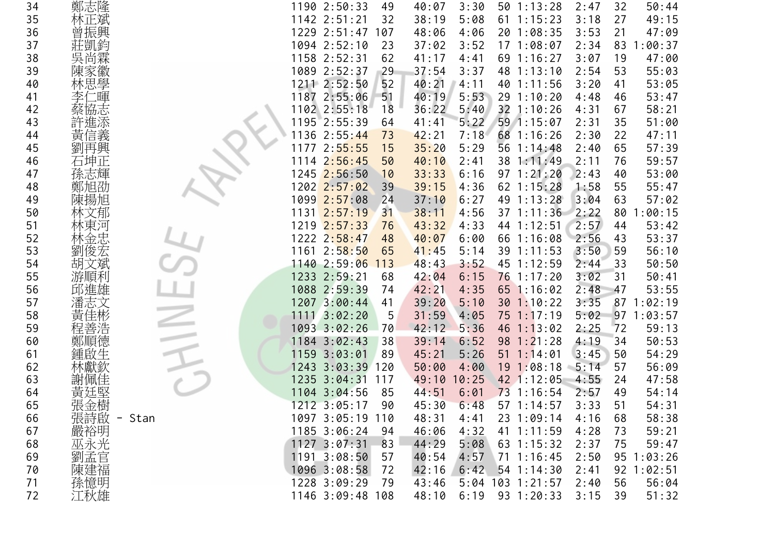| 34 | 鄭志隆        | 50:44<br>1190 2:50:33<br>49<br>40:07<br>3:30<br>50 1:13:28<br>2:47<br>32        |  |
|----|------------|---------------------------------------------------------------------------------|--|
| 35 | 林正斌        | 1142 2:51:21<br>38:19<br>$61$ 1:15:23<br>27<br>49:15<br>32<br>5:08<br>3:18      |  |
| 36 | 曾振興        | 1229 2:51:47<br>4:06<br>20 1:08:35<br>47:09<br>107<br>48:06<br>3:53<br>21       |  |
| 37 | 莊凱鈞        | 1094 2:52:10<br>1:00:37<br>23<br>3:52<br>171:08:07<br>2:34<br>83<br>37:02       |  |
| 38 | 吳尚霖        | 1158 2:52:31<br>62<br>41:17<br>69 1:16:27<br>19<br>47:00<br>4:41<br>3:07        |  |
| 39 | 陳家徽        | 1089 2:52:37<br>37:54<br>2:54<br>53<br>55:03<br>29<br>3:37<br>48 1:13:10        |  |
| 40 | 林思學        | 1211 2:52:50<br>52<br>53:05<br>40:21<br>4:11<br>40 1:11:56<br>3:20<br>41        |  |
| 41 | 暉          | 1187 2:55:06<br>40:19<br>5:53<br>51<br>29 1:10:20<br>4:48<br>53:47<br>46        |  |
| 42 | 協志         | 1102 2:55:18<br>36:22<br>5:40<br>32 1:10:26<br>58:21<br>18<br>4:31<br>67        |  |
| 43 | 許進添        | 51:00<br>1195 2:55:39<br>41:41<br>5:22<br>59 1:15:07<br>2:31<br>35<br>64        |  |
| 44 | 黃信義        | 1136 2:55:44<br>42:21<br>68 1:16:26<br>2:30<br>22<br>47:11<br>73<br>7:18        |  |
| 45 | 劉再興        | 57:39<br>1177 2:55:55<br>15<br>35:20<br>5:29<br>56 1:14:48<br>2:40<br>65        |  |
| 46 | 石坤正        | 59:57<br>1114 2:56:45<br>40:10<br>2:41<br>38 1:11:49<br>76<br>50<br>2:11        |  |
| 47 | 孫志輝        | 1245 2:56:50<br>53:00<br>6:16<br>$97 \t1:21:20$<br>2:43<br>40<br>33:33<br>10    |  |
| 48 | 鄭旭劭        | 1202 2:57:02<br>55<br>55:47<br>39<br>39:15<br>4:36<br>62 1:15:28<br>1:58        |  |
| 49 | 陳揚旭        | 1099 2:57:08<br>63<br>57:02<br>37:10<br>6:27<br>49 1:13:28<br>3:04<br>24        |  |
| 50 | 文郁         | $1131$ $2:57:19$<br>4:56<br>37 1:11:36<br>2:22<br>80<br>1:00:15<br>31<br>38:11  |  |
| 51 | 林東河        | 2:57<br>53:42<br>1219 2:57:33<br>76<br>43:32<br>4:33<br>44 1:12:51<br>44        |  |
| 52 | 林金忠        | 53:37<br>1222 2:58:47<br>40:07<br>6:00<br>66 1:16:08<br>2:56<br>48<br>43        |  |
| 53 | 劉俊宏        | $1161$ $2:58:50$<br>3:50<br>56:10<br>5:14<br>39 1:11:53<br>65<br>41:45<br>59    |  |
| 54 | 胡文斌        | 1140 2:59:06<br>45 1:12:59<br>2:44<br>50:50<br>113<br>48:43<br>3:52<br>33       |  |
| 55 | 游順利        | 1233 2:59:21<br>6:15<br>76 1:17:20<br>3:02<br>50:41<br>68<br>42:04<br>31        |  |
| 56 | 邱進雄        | 1088 2:59:39<br>2:48<br>42:21<br>4:35<br>65 1:16:02<br>47<br>53:55<br>74        |  |
| 57 | 潘志文        | 1:02:19<br>1207 3:00:44<br>3:35<br>87<br>39:20<br>5:10<br>30 1:10:22<br>41      |  |
| 58 | 黃佳彬        | 1111 3:02:20<br>5<br>31:59<br>4:05<br>75 1:17:19<br>5:02<br>97 1:03:57          |  |
| 59 | 程善浩        | 1093 3:02:26<br>42:12<br>5:36<br>$46$ 1:13:02<br>2:25<br>72<br>59:13<br>70      |  |
| 60 | 鄭順德        | 50:53<br>1184 3:02:43<br>38<br>39:14<br>6:52<br>$98 \t1:21:28$<br>4:19<br>34    |  |
| 61 | 鍾啟生        | 54:29<br>1159 3:03:01<br>5:26<br>$51 \t1:14:01$<br>3:45<br>89<br>45:21<br>50    |  |
| 62 |            | 1243 3:03:39<br>50:00<br>4:00<br>19 1:08:18<br>5:14<br>56:09<br>120<br>57       |  |
| 63 | 謝佩佳        | 1235 3:04:31<br>42 1:12:05<br>4:55<br>47:58<br>49:10<br>10:25<br>24<br>117      |  |
| 64 | 黃廷堅        | 1104 3:04:56<br>73 1:16:54<br>2:57<br>54:14<br>85<br>44:51<br>6:01<br>49        |  |
| 65 | 張金樹        | 1212 3:05:17<br>45:30<br>6:48<br>57 1:14:57<br>3:33<br>51<br>54:31<br>90        |  |
| 66 | 張詩啟 - Stan | 1097 3:05:19 110<br>48:31<br>4:41<br>23 1:09:14<br>4:16<br>58:38<br>68          |  |
| 67 | 嚴裕明        | 4:32<br>41 1:11:59<br>59:21<br>1185 3:06:24<br>94<br>46:06<br>4:28<br>73        |  |
| 68 | 巫永光        | 1127 3:07:31<br>83<br>44:29<br>59:47<br>5:08<br>$63 \t1:15:32$<br>2:37<br>75    |  |
| 69 | 劉孟官        | 1191 3:08:50<br>57<br>40:54<br>4:57<br>$71 \t1:16:45$<br>2:50<br>$95 \t1:03:26$ |  |
| 70 | 陳建福        | 1096 3:08:58<br>6:42<br>$54$ 1:14:30<br>92 1:02:51<br>72<br>42:16<br>2:41       |  |
| 71 | 孫憶明        | 1228 3:09:29<br>5:04 103 1:21:57<br>56<br>56:04<br>43:46<br>2:40<br>79          |  |
| 72 | 江秋雄        | 93 1:20:33<br>1146 3:09:48 108<br>48:10<br>6:19<br>3:15<br>39<br>51:32          |  |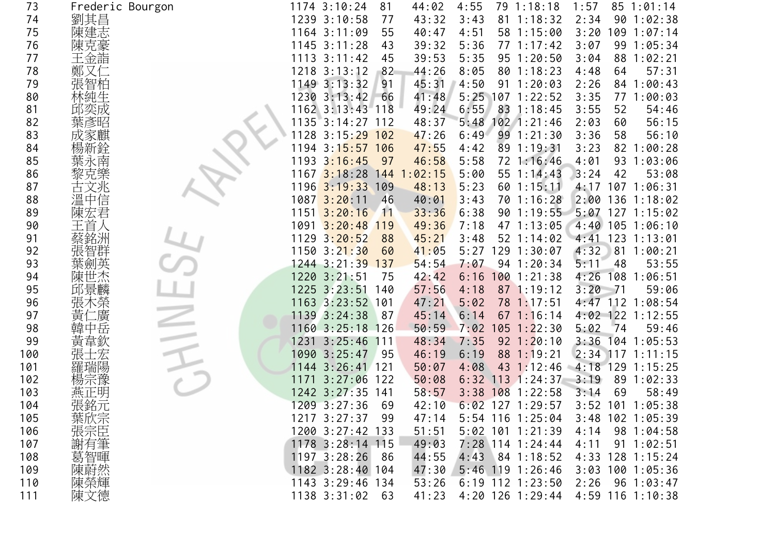| 73  | Frederic Bourgon                                                                                                    |      | 1174 3:10:24                   | 81   | 44:02   | 4:55 |    | 79 1:18:18         | 1:57                | 85 1:01:14         |  |
|-----|---------------------------------------------------------------------------------------------------------------------|------|--------------------------------|------|---------|------|----|--------------------|---------------------|--------------------|--|
| 74  | 劉其昌                                                                                                                 |      | 1239 3:10:58                   | 77   | 43:32   | 3:43 | 81 | 1:18:32            | 2:34                | 90 1:02:38         |  |
| 75  | 陳建志                                                                                                                 |      | 1164 3:11:09                   | 55   | 40:47   | 4:51 |    | 58 1:15:00         | 3:20                | 1:07:14<br>109     |  |
| 76  | 陳克豪                                                                                                                 |      | $1145$ 3:11:28                 | 43   | 39:32   | 5:36 |    | $77 \; 1:17:42$    | 3:07                | 99 1:05:34         |  |
| 77  | 王金詣                                                                                                                 |      | $1113$ $3:11:42$               | 45   | 39:53   | 5:35 |    | 95 1:20:50         | 3:04                | 88<br>1:02:21      |  |
| 78  | 鄭                                                                                                                   |      | $1218$ $3:13:12$               | 82   | 44:26   | 8:05 |    | 801:18:23          | 4:48                | 57:31<br>64        |  |
| 79  | 張智柏                                                                                                                 |      | $1149$ $3:13:32$               | 91   | 45:31   | 4:50 |    | $91 \t1:20:03$     | 2:26                | 84<br>1:00:43      |  |
| 80  | 林純生                                                                                                                 |      | 1230 3:13:42                   | 66   | 41:48   |      |    | 5:25 107 1:22:52   | 3:35                | 77 1:00:03         |  |
| 81  | 邱奕成                                                                                                                 |      | 1162 3:13:43 118               |      | 49:24   | 6:55 |    | 83 1:18:45         | 3:55                | 52<br>54:46        |  |
| 82  | 葉彥昭                                                                                                                 |      | 1135 3:14:27 112               |      | 48:37   | 5:48 |    | $102$ 1:21:46      | 2:03                | 56:15<br>60        |  |
| 83  |                                                                                                                     | 1128 | 3:15:29                        | 102  | 47:26   | 6:49 |    | 99 1:21:30         | 3:36                | 58<br>56:10        |  |
| 84  |                                                                                                                     |      | 1194 3:1 <mark>5:57 106</mark> |      | 47:55   | 4:42 |    | 89 1:19:31         | 3:23                | 82 1:00:28         |  |
| 85  |                                                                                                                     |      | 1193 3:16:45                   | 97   | 46:58   | 5:58 |    | 72 1:16:46         | 4:01                | 93 1:03:06         |  |
| 86  |                                                                                                                     | 1167 | $3:18:28$ 144                  |      | 1:02:15 | 5:00 |    | 55 1:14:43         | 3:24                | 42<br>53:08        |  |
| 87  |                                                                                                                     |      | $1196$ 3:19:33                 | 109  | 48:13   | 5:23 |    | $60$ 1:15:11       | 4:17                | $107$ $1:06:31$    |  |
| 88  | 溫中信                                                                                                                 |      | $1087$ $3:20:11$               | 46   | 40:01   | 3:43 |    | 70 1:16:28         | 2:00                | 136 1:18:02        |  |
| 89  | 陳宏君                                                                                                                 | 1151 | 3:20:16                        | 11   | 33:36   | 6:38 |    | 90 1:19:55         | 5:07                | $127$ $1:15:02$    |  |
| 90  |                                                                                                                     |      | $1091 \overline{3:20:48}$      | 119  | 49:36   | 7:18 |    | 47 1:13:05         |                     | 4:40 105 1:06:10   |  |
| 91  |                                                                                                                     |      | $1129$ $3:20:52$               | 88   | 45:21   | 3:48 |    | $52 \; 1:14:02$    | 4:41                | $123$ 1:13:01      |  |
| 92  | 張智群                                                                                                                 |      | 1150 3:21:30                   | 60   | 41:05   | 5:27 |    | 129 1:30:07        | 4:32                | 81 1:00:21         |  |
| 93  | !英                                                                                                                  |      | 1244 3:21:39 137               |      | 54:54   | 7:07 |    | 94 1:20:34         | 5:11                | 48<br>53:55        |  |
| 94  | 陳世杰                                                                                                                 |      | 1220 3:21:51                   | 75   | 42:42   | 6:16 |    | $100$ 1:21:38      | 4:26                | 108 1:06:51        |  |
| 95  | 邱景麟                                                                                                                 |      | 1225 3:23:51 140               |      | 57:56   | 4:18 |    | 87 1:19:12         | 3:20<br>$-71$       | 59:06              |  |
| 96  | 張                                                                                                                   |      | 1163 3:23:52 101               |      | 47:21   | 5:02 |    | 78 1:17:51         |                     | 4:47 112 1:08:54   |  |
| 97  | 黃<br>廣                                                                                                              |      | 1139 3:24:38                   | 87   | 45:14   | 6:14 |    | $67$ 1:16:14       |                     | 4:02 122 1:12:55   |  |
| 98  | 韓<br>中岳                                                                                                             |      | 1160 3:25:18 126               |      | 50:59   | 7:02 |    | $105$ $1:22:30$    | 5:02                | 74<br>59:46        |  |
| 99  | 韋欽<br>寅                                                                                                             |      | 1231 3:25:46                   | 111  | 48:34   | 7:35 |    | $92 \t1:20:10$     | 3:36                | $104$ 1:05:53      |  |
| 100 |                                                                                                                     |      | 1090 3:25:47                   | 95   | 46:19   | 6:19 |    | 88 1:19:21         |                     | $2:34$ 117 1:11:15 |  |
| 101 | 羅瑞陽                                                                                                                 |      | 1144 3:26:41 121               |      | 50:07   | 4:08 |    | $43 \t1:12:46$     | $-4:18$ 129 1:15:25 |                    |  |
| 102 |                                                                                                                     | 1171 | 3:27:06                        | 122  | 50:08   |      |    | $6:32$ 113 1:24:37 | 3:19                | 89<br>1:02:33      |  |
| 103 | 燕正明                                                                                                                 |      | 1242 3:27:35 141               |      | 58:57   |      |    | $3:38$ 108 1:22:58 | 3:14                | 58:49<br>69        |  |
| 104 | 張銘元                                                                                                                 |      | 1209 3:27:36                   | 69   | 42:10   |      |    | $6:02$ 127 1:29:57 |                     | 3:52 101 1:05:38   |  |
| 105 |                                                                                                                     |      | 1217 3:27:37                   | -99  | 47:14   |      |    | $5:54$ 116 1:25:04 |                     | $3:48$ 102 1:05:39 |  |
| 106 |                                                                                                                     |      | 1200 3:27:42 133               |      | 51:51   |      |    | 5:02 101 1:21:39   | 4:14                | 98 1:04:58         |  |
| 107 | ,葉·旅宗<br>三、<br><br><br><br><br><br><br><br><br><br><br><br><br><br><br><br><br><br><br><br><br><br><br><br><br><br> |      | 1178 3:28:14 115               |      | 49:03   |      |    | 7:28 114 1:24:44   | 4:11                | $91 \t1:02:51$     |  |
| 108 | 葛智暉                                                                                                                 |      | $1197$ 3:28:26                 | - 86 | 44:55   |      |    | 4:43 84 1:18:52    | 4:33                | $128$ 1:15:24      |  |
| 109 | 陳蔚然                                                                                                                 |      | 1182 3:28:40 104               |      | 47:30   |      |    | 5:46 119 1:26:46   | 3:03                | 100 1:05:36        |  |
| 110 | 陳榮輝                                                                                                                 |      | 1143 3:29:46 134               |      | 53:26   |      |    | $6:19$ 112 1:23:50 | 2:26                | 96 1:03:47         |  |
| 111 | 陳文德                                                                                                                 |      | 1138 3:31:02                   | 63   | 41:23   |      |    | 4:20 126 1:29:44   |                     | 4:59 116 1:10:38   |  |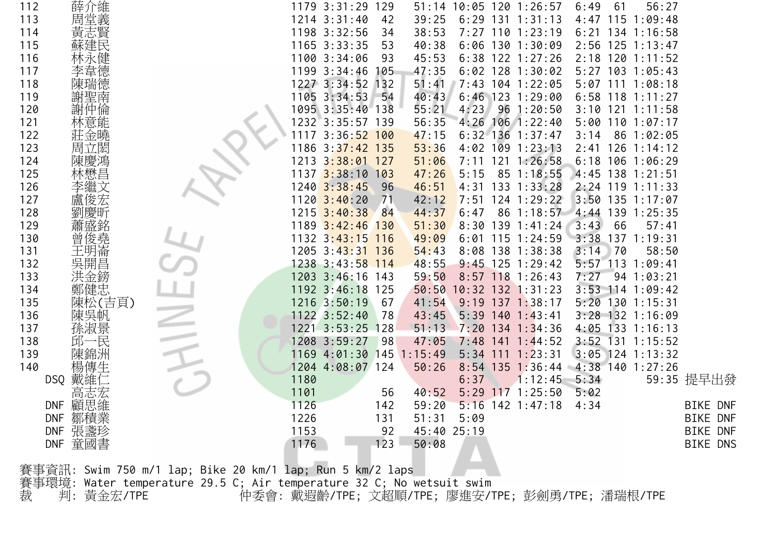| 112 |                   |                                                           | 1179 3:31:29 129         |     |       |             | 51:14 10:05 120 1:26:57 |              | 6:49 | 56:27<br>61        |                 |
|-----|-------------------|-----------------------------------------------------------|--------------------------|-----|-------|-------------|-------------------------|--------------|------|--------------------|-----------------|
| 113 | 薛介維<br>周堂義        |                                                           | 1214 3:31:40             | 42  | 39:25 |             | $6:29$ 131 1:31:13      |              |      | 4:47 115 1:09:48   |                 |
| 114 | 黃志賢               |                                                           | 1198 3:32:56             | 34  | 38:53 |             | 7:27 110 1:23:19        |              |      | $6:21$ 134 1:16:58 |                 |
| 115 | 蘇建民               |                                                           | 1165 3:33:35             | 53  | 40:38 |             | $6:06$ 130 1:30:09      |              |      | 2:56 125 1:13:47   |                 |
| 116 |                   |                                                           | 1100 3:34:06             | 93  | 45:53 |             | 6:38 122 1:27:26        |              |      | 2:18 120 1:11:52   |                 |
| 117 | 韋德                |                                                           | 1199 3:34:46             | 105 | 47:35 |             | $6:02$ 128 1:30:02      |              |      | 5:27 103 1:05:43   |                 |
| 118 | 陳瑞德               |                                                           | 1227 3:34:52 132         |     | 51:41 |             | 7:43 104 1:22:05        |              |      | 5:07 111 1:08:18   |                 |
| 119 | 謝聖南               |                                                           | 1105 3:34:53             | 54  | 40:43 |             | $6:46$ 123 1:29:00      |              |      | $6:58$ 118 1:11:27 |                 |
| 120 | 謝仲倫               |                                                           | 1095 3:35:40 138         |     | 55:21 | 4:23        | 96 1:20:50              |              |      | $3:10$ 121 1:11:58 |                 |
| 121 | 林意能               |                                                           | 1232 3:35:57 139         |     | 56:35 |             | 4:26 106 1:22:40        |              |      | $5:00$ 110 1:07:17 |                 |
| 122 | 莊金曉               |                                                           | 1117 3:36:52 100         |     | 47:15 |             | $6:32$ 136 1:37:47      |              | 3:14 | 86 1:02:05         |                 |
| 123 | 周立閎               |                                                           | 1186 3:37:42 135         |     | 53:36 |             | $4:02$ 109 1:23:13      |              |      | $2:41$ 126 1:14:12 |                 |
| 124 | 陳慶鴻               |                                                           | 1213 3:38:01 127         |     | 51:06 |             | 7:11 121 1:26:58        |              |      | $6:18$ 106 1:06:29 |                 |
| 125 | 林懋昌               |                                                           | 1137 3:38:10 103         |     | 47:26 | 5:15        | 85 1:18:55              |              |      | 4:45 138 1:21:51   |                 |
| 126 |                   |                                                           | $1240$ $3:38:45$         | 96  | 46:51 |             | 4:31 133 1:33:28        |              |      | 2:24 119 1:11:33   |                 |
| 127 | 盧俊宏               |                                                           | $1120$ 3:40:20           | 71  | 42:12 |             | 7:51 124 1:29:22        |              |      | $3:50$ 135 1:17:07 |                 |
| 128 |                   |                                                           | $1215$ $3:40:38$         | 84  | 44:37 | 6:47        |                         | $86$ 1:18:57 |      | 4:44 139 1:25:35   |                 |
| 129 | 盛銘                |                                                           | 1189 3:42:46 130         |     | 51:30 |             | $8:30$ 139 1:41:24      |              | 3:43 | 66<br>57:41        |                 |
| 130 | 曾俊堯               |                                                           | 1132 3:43:15 116         |     | 49:09 |             | $6:01$ 115 1:24:59      |              |      | 3:38 137 1:19:31   |                 |
| 131 | 王明崙               |                                                           | 1205 3:43:31 136         |     | 54:43 |             | 8:08 138 1:38:38        |              | 3:14 | 170<br>58:50       |                 |
| 132 | 吳開昌               |                                                           | 1238 3:43:58 114         |     | 48:55 |             | $9:45$ 125 1:29:42      |              |      | 5:57 113 1:09:41   |                 |
| 133 | 洪金鎊               |                                                           | 1203 3:46:16 143         |     | 59:50 |             | 8:57 118 1:26:43        |              | 7:27 | 941:03:21          |                 |
| 134 | 鄭健忠               |                                                           | 1192 3:46:18 125         |     |       |             | 50:50 10:32 132 1:31:23 |              |      | 3:53 114 1:09:42   |                 |
| 135 | 陳松(吉頁)            |                                                           | 1216 3:50:19             | 67  | 41:54 |             | $9:19$ 137 1:38:17      |              |      | 5:20 130 1:15:31   |                 |
| 136 | 陳吳帆               |                                                           | 1122 3:52:40             | 78  | 43:45 |             | $5:39$ 140 1:43:41      |              |      | 3:28 132 1:16:09   |                 |
| 137 | 孫淑景               |                                                           | 1221 3:53:25 128         |     | 51:13 |             | 7:20 134 1:34:36        |              |      | 4:05 133 1:16:13   |                 |
| 138 | 邱一民               |                                                           | 1208 3:59:27             | 98  | 47:05 |             | $7:48$ 141 1:44:52      |              |      | 3:52 131 1:15:52   |                 |
| 139 | 陳錦洲               |                                                           | 1169 4:01:30 145 1:15:49 |     |       |             | $5:34$ 111 1:23:31      |              |      | $3:05$ 124 1:13:32 |                 |
| 140 | 楊傳生               |                                                           | 1204 4:08:07 124         |     | 50:26 |             | $8:54$ 135 1:36:44      |              |      | $4:38$ 140 1:27:26 |                 |
|     | 戴維′<br>DSQ        |                                                           | 1180                     |     |       | 6:37        |                         | 1:12:45      | 5:34 |                    | 59:35 提早出發      |
|     | 高志宏               |                                                           | 1101                     | 56  | 40:52 |             | 5:29 117 1:25:50        |              | 5:02 |                    |                 |
|     | 顧思維<br><b>DNF</b> |                                                           | 1126                     | 142 | 59:20 |             | $5:16$ 142 1:47:18      |              | 4:34 |                    | <b>BIKE DNF</b> |
|     | 鄒積業<br><b>DNF</b> |                                                           | 1226                     | 131 | 51:31 | 5:09        |                         |              |      |                    | <b>BIKE DNF</b> |
|     | DNF 張盞珍           |                                                           | 1153                     | 92  |       | 45:40 25:19 |                         |              |      |                    | <b>BIKE DNF</b> |
|     | 童國書<br><b>DNF</b> |                                                           | 1176                     | 123 | 50:08 |             |                         |              |      |                    | <b>BIKE DNS</b> |
|     |                   |                                                           |                          |     |       |             |                         |              |      |                    |                 |
|     |                   | 賽事資訊: Swim 750 m/1 lap; Bike 20 km/1 lap; Run 5 km/2 laps |                          |     |       |             |                         |              |      |                    |                 |

賽事環境: Water temperature 29.5 C; Air temperature 32 C; No wetsuit swim

裁 判: 黃金宏/TPE 仲委會: 戴遐齡/TPE; 文超順/TPE; 廖進安/TPE; 彭劍勇/TPE; 潘瑞根/TPE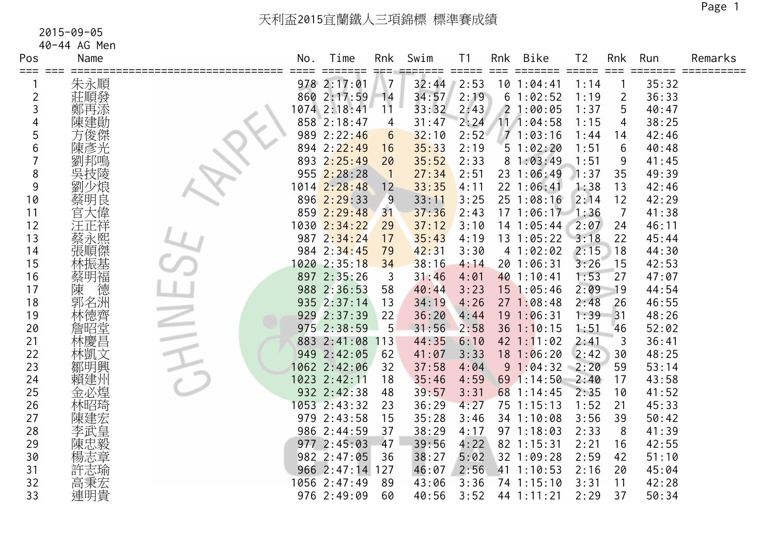| Pos     | Name       | No. | Time                           | Rnk      | Swim  | T <sub>1</sub>              | Rnk  | <b>Bike</b>           | T <sub>2</sub>              | Rnk            | Run   | Remarks   |
|---------|------------|-----|--------------------------------|----------|-------|-----------------------------|------|-----------------------|-----------------------------|----------------|-------|-----------|
| === === | 朱永順        |     | $=$ $=$ $=$ $=$<br>978 2:17:01 |          | 32:44 | $=$ $=$ $=$ $=$ $=$<br>2:53 | $==$ | 101:04:41             | $=$ $=$ $=$ $=$ $=$<br>1:14 | $==$           | 35:32 | ========= |
| 2       | 莊順發        |     | 860 2:17:59                    | 14       | 34:57 | 2:19                        |      | 61:02:52              | 1:19                        | $\overline{2}$ | 36:33 |           |
| 3       | 鄭再添        |     | 1074 2:18:41                   | 11       | 33:32 | 2:43                        |      | 21:00:05              | 1:37                        | 5              | 40:47 |           |
| 4       | 陳建勛        |     | 858 2:18:47                    | 4        | 31:47 | 2:24                        |      | 111:04:58             | 1:15                        | 4              | 38:25 |           |
| 5       | 方俊傑        |     | 989 2:22:46                    | 6        | 32:10 | 2:52                        |      | 71:03:16              | 1:44                        | 14             | 42:46 |           |
| 6       | 陳彥光        |     | 894 2:22:49                    | 16       | 35:33 | 2:19                        |      | 51:02:20              | 1:51                        | 6              | 40:48 |           |
|         | 劉邦鳴        |     | 893 2:25:49                    | 20       | 35:52 | 2:33                        |      | 81:03:49              | 1:51                        | 9              | 41:45 |           |
| 8       | 吳技陵        |     | 955 2:28:28                    | $\lceil$ | 27:34 | 2:51                        |      | 23 1:06:49            | 1:37                        | 35             | 49:39 |           |
| 9       |            |     | 1014 2:28:48                   | 12       | 33:35 | 4:11                        |      | 22 1:06:41            | 1:38                        | 13             | 42:46 |           |
| 10      | 蔡明良        |     | 896 2:29:33                    | 9        | 33:11 | 3:25                        |      | 25 1:08:16            | 2:14                        | 12             | 42:29 |           |
| 11      | 官大偉        |     | 859 2:29:48                    | 31       | 37:36 | 2:43                        |      | $17$ $1:06:17$ $1:36$ |                             | $\overline{7}$ | 41:38 |           |
| 12      | 汪正祥        |     | 1030 2:34:22                   | 29       | 37:12 | 3:10                        |      | 14 1:05:44            | 2:07                        | 24             | 46:11 |           |
| 13      |            |     | 987 2:34:24                    | 17       | 35:43 | 4:19                        |      | 13 1:05:22            | 3:18                        | 22             | 45:44 |           |
| 14      | 蔡永熙<br>張順傑 |     | 984 2:34:45                    | 79       | 42:31 | 3:30                        |      | 41:02:02              | 2:15                        | 18             | 44:30 |           |
| 15      | 林振基        |     | 1020 2:35:18                   | 34       | 38:16 | 4:14                        |      | 20 1:06:31            | 3:26                        | 15             | 42:53 |           |
| 16      | 蔡明福        |     | 897 2:35:26                    | 3        | 31:46 | 4:01                        |      | 40 1:10:41            | 1:53                        | 27             | 47:07 |           |
| 17      | 陳<br>徳     |     | 988 2:36:53                    | 58       | 40:44 | 3:23                        |      | 15 1:05:46            | 2:09                        | 19             | 44:54 |           |
| 18      | 郭名洲        |     | 935 2:37:14                    | 13       | 34:19 | 4:26                        |      | 27 1:08:48            | 2:48                        | 26             | 46:55 |           |
| 19      | 林德齊        |     | 929 2:37:39                    | 22       | 36:20 | 4:44                        |      | 19 1:06:31            | 1:39                        | 31             | 48:26 |           |
| 20      | 詹昭堂        |     | 975 2:38:59                    | -5       | 31:56 | 2:58                        |      | $36 \t1:10:15$        | 1:51                        | 46             | 52:02 |           |
| 21      | 林慶昌        |     | 883 2:41:08                    | 113      | 44:35 | 6:10                        |      | $42$ 1:11:02          | 2:41                        | 3              | 36:41 |           |
| 22      | 林凱文        |     | 949 2:42:05                    | 62       | 41:07 | 3:33                        |      | $18$ 1:06:20          | 2:42                        | 30             | 48:25 |           |
| 23      | 鄒明興        |     | 1062 2:42:06                   | 32       | 37:58 | 4:04                        |      | 91:04:32              | 2:20                        | 59             | 53:14 |           |
| 24      | 賴建州        |     | 1023 2:42:11                   | 18       | 35:46 | 4:59                        |      | 69 1:14:50            | 2:40                        | 17             | 43:58 |           |
| 25      | 金必煌        |     | 932 2:42:38                    | 48       | 39:57 | 3:31                        |      | 68 1:14:45            | 2:35                        | 10             | 41:52 |           |
| 26      | 林昭琦        |     | 1053 2:43:32                   | 23       | 36:29 | 4:27                        |      | 75 1:15:13            | 1:52                        | 21             | 45:33 |           |
| 27      | 陳建宏        |     | 979 2:43:58                    | 15       | 35:28 | 3:46                        |      | 34 1:10:08            | 3:56                        | 39             | 50:42 |           |
| 28      | 李武皇        |     | 986 2:44:59                    | 37       | 38:29 | 4:17                        |      | 97 1:18:03            | 2:33                        | 8              | 41:39 |           |
| 29      | 陳忠毅        |     | 977 2:45:03                    | 47       | 39:56 | 4:22                        |      | 82 1:15:31            | 2:21                        | 16             | 42:55 |           |
| 30      | 楊志章        |     | 982 2:47:05                    | 36       | 38:27 | 5:02                        |      | 32 1:09:28            | 2:59                        | 42             | 51:10 |           |
| 31      | 許志瑜        |     | 966 2:47:14                    | 127      | 46:07 | 2:56                        |      | 41 1:10:53            | 2:16                        | 20             | 45:04 |           |
| 32      | 高秉宏        |     | 1056 2:47:49                   | 89       | 43:06 | 3:36                        |      | 74 1:15:10            | 3:31                        | 11             | 42:28 |           |
| 33      | 連明貴        |     | 976 2:49:09                    | 60       | 40:56 | 3:52                        |      | 44 1:11:21            | 2:29                        | 37             | 50:34 |           |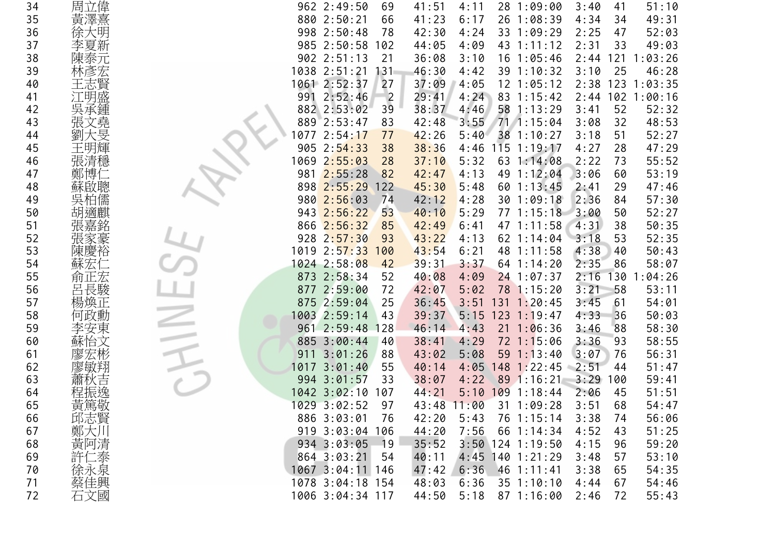| 34 | 周立偉     | 962 2:49:50<br>69<br>41:51<br>4:11<br>28 1:09:00<br>3:40<br>51:10<br>41             |
|----|---------|-------------------------------------------------------------------------------------|
| 35 | 黃澤熹     | 880 2:50:21<br>41:23<br>26 1:08:39<br>4:34<br>66<br>6:17<br>34<br>49:31             |
| 36 | 徐大明     | 998 2:50:48<br>78<br>33 1:09:29<br>52:03<br>42:30<br>4:24<br>2:25<br>47             |
| 37 | 李夏新     | 985 2:50:58<br>4:09<br>43 1:11:12<br>2:31<br>33<br>49:03<br>102<br>44:05            |
| 38 |         | 902 2:51:13<br>21<br>16 1:05:46<br>121<br>:03:26<br>36:08<br>3:10<br>2:44           |
| 39 |         | 1038 2:51:21<br>46:30<br>4:42<br>39 1:10:32<br>25<br>46:28<br>131<br>3:10           |
| 40 | 王志賢     | 1061 2:52:37<br>123 1:03:35<br>27<br>37:09<br>4:05<br>$12$ $1:05:12$<br>2:38        |
| 41 | 盛<br>江明 | 991 2:52:46<br>102 1:00:16<br>$\overline{2}$<br>29:41<br>4:24<br>83 1:15:42<br>2:44 |
| 42 | 吳承鍾     | 882 2:53:02<br>39<br>38:37<br>4:46<br>58 1:13:29<br>52<br>3:41<br>52:32             |
| 43 | 張文堯     | 889 2:53:47<br>83<br>3:55<br>71 1:15:04<br>3:08<br>32<br>48:53<br>42:48             |
| 44 |         | 0772:54:17<br>77<br>5:40<br>38<br>1:10:27<br>3:18<br>51<br>52:27<br>42:26           |
| 45 | 王明輝     | 905 2:54:33<br>$115$ $1:19:17$<br>47:29<br>38<br>38:36<br>4:46<br>4:27<br>28        |
| 46 | 張清穩     | 1069 2:55:03<br>28<br>37:10<br>5:32<br>63 1:14:08<br>2:22<br>55:52<br>73            |
| 47 | 鄭博1     | 981 2:55:28<br>53:19<br>82<br>4:13<br>49 1:12:04<br>3:06<br>42:47<br>60             |
| 48 | 蘇啟聰     | 898 2:55:29<br>122<br>45:30<br>5:48<br>$60$ 1:13:45<br>29<br>47:46<br>2:41          |
| 49 | 吳柏儒     | 980 2:56:03<br>74<br>4:28<br>30 1:09:18<br>2:36<br>57:30<br>42:12<br>84             |
| 50 | 胡滴麒     | 943 2:56:22<br>52:27<br>53<br>5:29<br>77 1:15:18<br>50<br>40:10<br>3:00             |
| 51 |         | 866 2:56:32<br>50:35<br>85<br>42:49<br>6:41<br>47 1:11:58<br>4:31<br>38             |
| 52 | 張家豪     | 928 2:57:30<br>43:22<br>62 1:14:04<br>3:18<br>53<br>52:35<br>93<br>4:13             |
| 53 | 陳慶裕     | 1019 2:57:33<br>48 1:11:58<br>4:38<br>50:43<br>100<br>43:54<br>6:21<br>40           |
| 54 | 蘇宏      | 1024 2:58:08<br>2:35<br>86<br>58:07<br>42<br>39:31<br>3:37<br>64 1:14:20            |
| 55 | 俞正宏     | 873 2:58:34<br>2:16<br>52<br>130<br>1:04:26<br>40:08<br>4:09<br>24 1:07:37          |
| 56 | 呂長駿     | 877 2:59:00<br>58<br>72<br>5:02<br>78 1:15:20<br>3:21<br>53:11<br>42:07             |
| 57 | 楊煥正     | 875 2:59:04<br>131<br>1:20:45<br>3:45<br>25<br>36:45<br>3:51<br>61<br>54:01         |
| 58 | 何政勳     | 1003 2:59:14<br>39:37<br>5:15<br>$123$ 1:19:47<br>36<br>50:03<br>43<br>4:33         |
| 59 | 安東      | 961 2:59:48<br>4:43<br>21<br>1:06:36<br>3:46<br>58:30<br>128<br>46:14<br>88         |
| 60 | 蘇怡文     | 885 3:00:44<br>58:55<br>40<br>38:41<br>4:29<br>$72 \; 1:15:06$<br>3:36<br>93        |
| 61 |         | 911 3:01:26<br>88<br>5:08<br>$59 \t1:13:40$<br>3:07<br>56:31<br>43:02<br>76         |
| 62 |         | 1017 3:01:40<br>55<br>4:05<br>148<br>1:22:45<br>2:51<br>51:47<br>40:14<br>44        |
| 63 |         | 994 3:01:57<br>89 1:16:21<br>3:29<br>33<br>38:07<br>4:22<br>59:41<br>100            |
| 64 |         | 1042 3:02:10<br>$109$ 1:18:44<br>5:10<br>51:51<br>107<br>44:21<br>2:06<br>45        |
| 65 | 黃篤敬     | 1029 3:02:52<br>68<br>97<br>43:48<br>11:00<br>31 1:09:28<br>3:51<br>54:47           |
| 66 | 邱志賢     | 886 3:03:01<br>76<br>42:20<br>5:43<br>76 1:15:14<br>3:38<br>56:06<br>74             |
| 67 | 鄭大川     | 919 3:03:04 106<br>7:56<br>66 1:14:34<br>51:25<br>44:20<br>4:52<br>43               |
| 68 | 黃阿清     | 934 3:03:05<br>$3:50$ 124 1:19:50<br>4:15<br>59:20<br>$-19$<br>35:52<br>96          |
| 69 | 許仁泰     | 40:11<br>864 3:03:21<br>54<br>$4:45$ 140 1:21:29<br>3:48<br>57<br>53:10             |
| 70 | 徐永泉     | 1067 3:04:11 146<br>6:36<br>$46$ 1:11:41<br>47:42<br>3:38<br>54:35<br>65            |
| 71 | 蔡佳興     | 1078 3:04:18 154<br>$35$ $1:10:10$<br>54:46<br>48:03<br>6:36<br>4:44<br>67          |
| 72 | 石文國     | 1006 3:04:34 117<br>44:50<br>5:18<br>871:16:00<br>2:46<br>72<br>55:43               |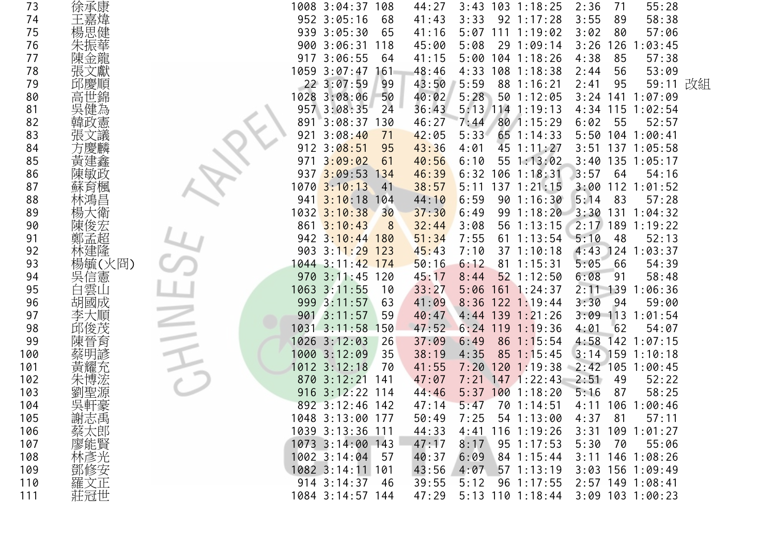|    | 1008 3:04:37 108<br>55:28<br>$3:43$ 103 1:18:25<br>2:36<br>71<br>44:27                                                           |
|----|----------------------------------------------------------------------------------------------------------------------------------|
|    | 952 3:05:16<br>58:38<br>68<br>41:43<br>3:33<br>$92 \t1:17:28$<br>3:55<br>89                                                      |
|    | 939 3:05:30<br>57:06<br>65<br>41:16<br>$5:07$ 111 1:19:02<br>3:02<br>80                                                          |
|    | 3:26<br>1:03:45<br>900 3:06:31<br>118<br>45:00<br>5:08<br>29<br>1:09:14<br>126                                                   |
|    | 3:06:55<br>$104$ 1:18:26<br>4:38<br>85<br>57:38<br>917<br>64<br>41:15<br>5:00                                                    |
|    | $1059$ 3:07:47<br>161<br>48:46<br>4:33<br>$108$ 1:18:38<br>56<br>53:09<br>2:44                                                   |
|    | 22 3:07:59<br>43:50<br>5:59<br>88 1:16:21<br>95<br>59:11<br>改組<br>99<br>2:41                                                     |
|    | 1028 3:08:06<br>40:02<br>5:28<br>50 1:12:05<br>3:24 141 1:07:09<br>50                                                            |
| 吳  | 36:43<br>5:13 114 1:19:13<br>957 3:08:35<br>24<br>115<br>1:02:54<br>4:34                                                         |
|    | 891<br>3:08:37<br>80 1:15:29<br>55<br>52:57<br>130<br>46:27<br>7:44<br>6:02                                                      |
|    | 921<br>3:08:40<br>71<br>5:33<br>65 1:14:33<br>5:50 104 1:00:41<br>42:05                                                          |
|    | 912<br>3:08:51<br>95<br>43:36<br>4:01<br>45 1:11:27<br>3:51<br>137 1:05:58                                                       |
| 黃  | 3:09:02<br>55 1:13:02<br>3:40<br>135 1:05:17<br>61<br>40:56<br>6:10<br>971                                                       |
|    | $3:09:53$ 134<br>$6:32$ 106 1:18:31<br>3:57<br>64<br>54:16<br>937<br>46:39                                                       |
| 肙酏 | 1070 3:10:13<br>38:57<br>$5:11$ 137 1:21:15<br>3:00<br>$112$ $1:01:52$<br>41                                                     |
|    | 3:10:18<br>6:59<br>901:16:30<br>5:14<br>83<br>57:28<br>941<br>104<br>44:10                                                       |
|    | 1032 3:10:38<br>3:30<br>131<br>30<br>37:30<br>6:49<br>99<br>1:18:20<br>1:04:32                                                   |
|    | $861$ 3:10:43<br>2:17 189 1:19:22<br>32:44<br>3:08<br>56 1:13:15<br>8                                                            |
|    | 942 3:10:44 180<br>1:13:54<br>5:10<br>48<br>52:13<br>51:34<br>7:55<br>61                                                         |
|    | 4:43<br>$903 \cdot 3:11:29$<br>123<br>$37 \t1:10:18$<br>124 1:03:37<br>45:43<br>7:10                                             |
|    | 1044 3:11:42 174<br>5:05<br>54:39<br>50:16<br>6:12<br>$81 \t1:15:31$<br>66                                                       |
|    | 970 3:11:45 120<br>45:17<br>$52$ 1:12:50<br>6:08<br>58:48<br>8:44<br>-91                                                         |
|    | 1063 3:11:55<br>$161$ 1:24:37<br>$2:11$ 139<br>:06:36<br>10<br>33:27<br>5:06                                                     |
|    | $122$ 1:19:44<br>999 3:11:57<br>41:09<br>8:36<br>3:30<br>94<br>59:00<br>63                                                       |
|    | 901 3:11:57<br>4:44 139 1:21:26<br>113<br>1:01:54<br>59<br>40:47<br>3:09                                                         |
|    | $1031$ $3:11:58$<br>62<br>54:07<br>150<br>47:52<br>119<br>1:19:36<br>4:01<br>6:24                                                |
| 晉月 | 4:58<br>$142$ 1:07:15<br>1026 3:12:03<br>26<br>37:09<br>6:49<br>86<br>1:15:54                                                    |
|    | 1000 3:12:09<br>35<br>$3:14$ 159 1:10:18<br>38:19<br>4:35<br>85<br>1:15:45                                                       |
|    | 1012 3:12:18<br>1201:19:38<br>$2:42$ 105<br>70<br>41:55<br>7:20<br>1:00:45                                                       |
|    | 870 3:12:21<br>$147$ 1:22:43<br>52:22<br>47:07<br>7:21<br>2:51<br>49<br>141                                                      |
|    | 916 3:12:22 114<br>$5:37$ 100 1:18:20<br>58:25<br>44:46<br>5:16<br>87                                                            |
|    | 892 3:12:46 142<br>70 1:14:51<br>106 1:00:46<br>5:47<br>47:14<br>4:11                                                            |
|    | 1048 3:13:00 177<br>50:49<br>7:25<br>54 1:13:00<br>4:37<br>81<br>57:11                                                           |
|    | 1039 3:13:36 111<br>4:41 116 1:19:26<br>44:33<br>$3:31$ 109 1:01:27                                                              |
|    | 1073 3:14:00 143<br>47:17<br>8:17<br>$95 \t1:17:53$<br>5:30<br>70<br>55:06                                                       |
|    | $1002$ 3:14:04<br>- 57<br>40:37<br>6:09<br>84 1:15:44<br>$3:11$ 146 1:08:26                                                      |
|    | 1082 3:14:11 101<br>4:07<br>$3:03$ 156 1:09:49<br>43:56<br>$57$ 1:13:19                                                          |
|    | 914 3:14:37<br>96 1:17:55<br>2:57 149 1:08:41<br>5:12<br>- 46<br>39:55                                                           |
|    | 1084 3:14:57 144<br>47:29<br>$5:13$ 110 1:18:44<br>$3:09$ 103 1:00:23                                                            |
|    | 徐承康<br>王嘉煒<br>楊思健<br>金龍<br>邱慶順<br>孟超<br>建隆<br>楊毓(火冏)<br>吳信憲<br>雲山<br>胡國成<br>吳軒豪<br>謝志禹<br>蔡太郎<br>廖能賢<br>林彥光<br>鄧修安<br>羅文正<br>莊冠世 |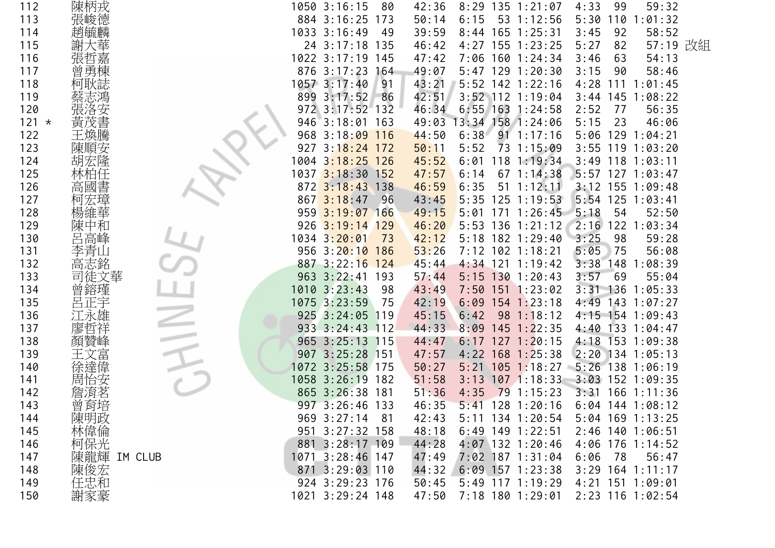| 112     | 陳柄戎         | 1050 3:16:15<br>80             | 42:36 | $8:29$ 135 1:21:07     | 4:33<br>99   | 59:32              |  |
|---------|-------------|--------------------------------|-------|------------------------|--------------|--------------------|--|
| 113     | 張峻德         | 884 3:16:25 173                | 50:14 | 6:15<br>53 1:12:56     | 5:30<br>110  | : 01:32            |  |
| 114     |             | 1033 3:16:49<br>- 49           | 39:59 | 8:44 165 1:25:31       | 3:45<br>92   | 58:52              |  |
| 115     |             | 24 3:17:18 135                 | 46:42 | 4:27 155 1:23:25       | 5:27<br>82   | 57:19 改組           |  |
| 116     |             | 1022 3:17:19 145               | 47:42 | 7:06 160 1:24:34       | 63<br>3:46   | 54:13              |  |
| 117     |             | 876 3:17:23 164                | 49:07 | 5:47 129 1:20:30       | 3:15<br>90   | 58:46              |  |
| 118     |             | 1057 3:17:40<br>91             | 43:21 | 5:52 142 1:22:16       | 4:28         | 111 1:01:45        |  |
| 119     |             | 899 3:17:52<br>86              | 42:51 | 3:52 112 1:19:04       |              | $3:44$ 145 1:08:22 |  |
| 120     |             | 972 3:17:52 132                | 46:34 | $6:55$ 163 1:24:58     | 2:52<br>77   | 56:35              |  |
| $121 *$ | 更戊          | 946 3:18:01 163                | 49:03 | 13:34 158 1:24:06      | 5:15<br>23   | 46:06              |  |
| 122     |             | 968 3:18:09 116                | 44:50 | 6:38<br>$91 \t1:17:16$ |              | 5:06 129 1:04:21   |  |
| 123     | 陳順安         | $3:18:24$ 172<br>927           | 50:11 | 5:52<br>73 1:15:09     |              | $3:55$ 119 1:03:20 |  |
| 124     |             | 1004 3 <mark>:18:25 126</mark> | 45:52 | 118 1:19:34<br>6:01    |              | $3:49$ 118 1:03:11 |  |
| 125     |             | 1037 3:18:30 152               | 47:57 | 67 1:14:38<br>6:14     |              | $5:57$ 127 1:03:47 |  |
| 126     | 高           | 872 3:18:43 138                | 46:59 | 6:35<br>$51 \t1:12:11$ |              | $3:12$ 155 1:09:48 |  |
| 127     |             | $867 \ \ 3:18:47$<br>96        | 43:45 | $5:35$ 125 1:19:53     |              | 5:54 125 1:03:41   |  |
| 128     |             | 959 3:19:07 166                | 49:15 | $5:01$ 171 1:26:45     | 5:18<br>54   | 52:50              |  |
| 129     |             | 926 3:19:14 129                | 46:20 | 5:53 136 1:21:12       |              | 2:16 122 1:03:34   |  |
| 130     |             | 1034 3:20:01<br>73             | 42:12 | 5:18 182 1:29:40       | 3:25<br>98   | 59:28              |  |
| 131     |             | 956 3:20:10 186                | 53:26 | 7:12 102 1:18:21       | 5:05<br>75   | 56:08              |  |
| 132     | 高志銘         | 887 3:22:16 124                | 45:44 | $4:34$ 121 1:19:42     | 3:38<br>148  | 1:08:39            |  |
| 133     | 徒文華         | 963 3:22:41 193                | 57:44 | $5:15$ 130 1:20:43     | 3:57<br>69   | 55:04              |  |
| 134     |             | 1010 3:23:43<br>98             | 43:49 | 7:50 151 1:23:02       |              | $3:31$ 136 1:05:33 |  |
| 135     | 正宇          | 1075 3:23:59<br>75             | 42:19 | $6:09$ 154 1:23:18     |              | 4:49 143 1:07:27   |  |
| 136     |             | 925 3:24:05 119                | 45:15 | 98 1:18:12<br>6:42     |              | 4:15 154 1:09:43   |  |
| 137     |             | 933 3:24:43 112                | 44:33 | $145$ 1:22:35<br>8:09  |              | 4:40 133 1:04:47   |  |
| 138     |             | 965 3:25:13 115                | 44:47 | $6:17$ 127 1:20:15     |              | 4:18 153 1:09:38   |  |
| 139     |             | 907 3:25:28 151                | 47:57 | $4:22$ 168 1:25:38     |              | 2:20 134 1:05:13   |  |
| 140     |             | 1072 3:25:58 175               | 50:27 | $5:21$ 105 1:18:27     |              | 5:26 138 1:06:19   |  |
| 141     | 周           | 1058 3:26:19 182               | 51:58 | $3:13$ 107 1:18:33     |              | $3:03$ 152 1:09:35 |  |
| 142     |             | 865 3:26:38 181                | 51:36 | 791:15:23<br>4:35      | 3:31         | $166$ 1:11:36      |  |
| 143     | 曾育培         | 997 3:26:46 133                | 46:35 | $5:41$ 128 1:20:16     |              | $6:04$ 144 1:08:12 |  |
| 144     | 陳明政         | 969 3:27:14<br>81              | 42:43 | 5:11 134 1:20:54       |              | 5:04 169 1:13:25   |  |
| 145     | 林偉倫         | 951 3:27:32 158                | 48:18 | $6:49$ 149 1:22:51     |              | 2:46 140 1:06:51   |  |
| 146     | 柯保光         | 881 3:28:17 109                | 44:28 | 4:07 132 1:20:46       |              | 4:06 176 1:14:52   |  |
| 147     | 陳龍輝 IM CLUB | 1071 3:28:46 147               | 47:49 | 7:02 187 1:31:04       | 6:06<br>- 78 | 56:47              |  |
| 148     | 陳俊宏         | 871 3:29:03 110                | 44:32 | $6:09$ 157 1:23:38     |              | $3:29$ 164 1:11:17 |  |
| 149     | 任忠和         | 924 3:29:23 176                | 50:45 | 5:49 117 1:19:29       |              | 4:21 151 1:09:01   |  |
| 150     | 謝家豪         | 1021 3:29:24 148               | 47:50 | 7:18 180 1:29:01       |              | 2:23 116 1:02:54   |  |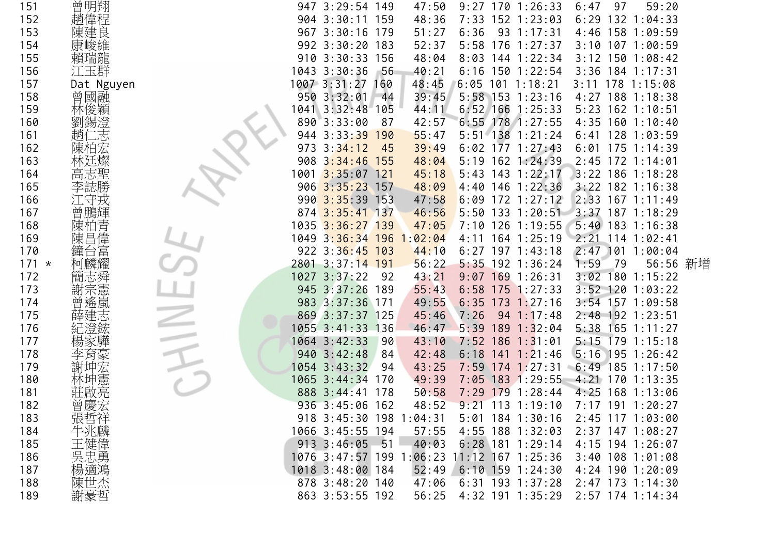| 151     | 曾明翔        |      | 947 3:29:54 149           |       | 47:50                    |            |     | $9:27$ 170 1:26:33  | 6:47 | 97 | 59:20              |  |
|---------|------------|------|---------------------------|-------|--------------------------|------------|-----|---------------------|------|----|--------------------|--|
| 152     | 趙偉程        |      | 904 3:30:11 159           |       | 48:36                    |            |     | 7:33 152 1:23:03    |      |    | $6:29$ 132 1:04:33 |  |
| 153     | 陳建良        |      | 967 3:30:16 179           |       | 51:27                    | 6:36       |     | $93 \t1:17:31$      |      |    | 4:46 158 1:09:59   |  |
| 154     |            |      | 992 3:30:20 183           |       | 52:37                    |            |     | 5:58 176 1:27:37    |      |    | $3:10$ 107 1:00:59 |  |
| 155     |            |      | 910 3:30:33 156           |       | 48:04                    |            |     | 8:03 144 1:22:34    |      |    | $3:12$ 150 1:08:42 |  |
| 156     | 江玉群        |      | 1043 3:30:36              | $-56$ | 40:21                    | 6:16       |     | $150$ $1:22:54$     |      |    | $3:36$ 184 1:17:31 |  |
| 157     | Dat Nguyen |      | 1007 3:31:27              | 160   | 48:45                    |            |     | $6:05$ 101 1:18:21  |      |    | 3:11 178 1:15:08   |  |
| 158     | 曾國融        |      | 950 3:32:01               | -44   | 39:45                    |            |     | $5:58$ 153 1:23:16  |      |    | 4:27 188 1:18:38   |  |
| 159     |            |      | 1041 3:32:48 105          |       | 44:11                    |            |     | $6:52$ 166 1:25:33  |      |    | 5:23 162 1:10:51   |  |
| 160     |            |      | 890 3:33:00               | 87    | 42:57                    |            |     | $6:55$ 178 1:27:55  |      |    | $4:35$ 160 1:10:40 |  |
| 161     |            | 944  | 3:33:39                   | 190   | 55:47                    |            |     | 5:51 138 1:21:24    |      |    | $6:41$ 128 1:03:59 |  |
| 162     | 陳          | 973  | 3:34:12                   | 45    | 39:49                    |            |     | $6:02$ 177 1:27:43  |      |    | $6:01$ 175 1:14:39 |  |
| 163     |            |      | 908 3:34:46 155           |       | 48:04                    |            |     | 5:19 162 1:24:39    |      |    | 2:45 172 1:14:01   |  |
| 164     | 志聖<br>高    | 1001 | $3:35:07$ 121             |       | 45:18                    |            |     | 5:43 143 1:22:17    |      |    | 3:22 186 1:18:28   |  |
| 165     |            |      | 906 3:35:23 157           |       | 48:09                    |            |     | $4:40$ 146 1:22:36  |      |    | $3:22$ 182 1:16:38 |  |
| 166     |            |      | $990 \ \ 3:35:39 \ \ 153$ |       | 47:58                    | 6:09       |     | $172$ 1:27:12       |      |    | 2:33 167 1:11:49   |  |
| 167     |            |      | 874 3:35:41 137           |       | 46:56                    |            |     | 5:50 133 1:20:51    |      |    | 3:37 187 1:18:29   |  |
| 168     |            |      | 1035 3:36:27 139          |       | 47:05                    |            |     | 7:10 126 1:19:55    |      |    | $5:40$ 183 1:16:38 |  |
| 169     | 陳          |      | 1049 3:36:34 196 1:02:04  |       |                          |            |     | 4:11 164 1:25:19    | 2:21 |    | $114$ 1:02:41      |  |
| 170     |            |      | 922 3:36:45 103           |       | 44:10                    |            |     | $6:27$ 197 1:43:18  | 2:47 |    | 101 1:00:04        |  |
| $171 *$ |            |      | 2801 3:37:14 191          |       | 56:22                    |            |     | $5:35$ 192 1:36:24  | 1:59 | 79 | 56:56 新增           |  |
| 172     |            |      | 1027 3:37:22              | - 92  | 43:21                    |            |     | $9:07$ 169 1:26:31  |      |    | 3:02 180 1:15:22   |  |
| 173     |            |      | 945 3:37:26               | 189   | 55:43                    |            |     | $6:58$ 175 1:27:33  |      |    | $3:52$ 120 1:03:22 |  |
| 174     |            |      | 983 3:37:36 171           |       | 49:55                    |            |     | $6:35$ 173 1:27:16  |      |    | $3:54$ 157 1:09:58 |  |
| 175     |            |      | 869 3:37:37 125           |       | 45:46                    | 7:26       |     | $94 \t1:17:48$      |      |    | 2:48 192 1:23:51   |  |
| 176     |            |      | 1055 3:41:33 136          |       | 46:47                    | 5:39       | 189 | 1:32:04             |      |    | 5:38 165 1:11:27   |  |
| 177     |            |      | 1064 3:42:33              | 90    | 43:10                    | $7:52$ 186 |     | 1:31:01             |      |    | 5:15 179 1:15:18   |  |
| 178     | 戽彖         |      | 940 3:42:48               | 84    | 42:48                    |            |     | $6:18$ 141 1:21:46  |      |    | $5:16$ 195 1:26:42 |  |
| 179     |            |      | 1054 3:43:32              | 94    | 43:25                    |            |     | 7:59 174 1:27:31    |      |    | $6:49$ 185 1:17:50 |  |
| 180     | 林坤憲        |      | 1065 3:44:34              | 170   | 49:39                    |            |     | 7:05 183 1:29:55    |      |    | 4:21 170 1:13:35   |  |
| 181     |            |      | 888 3:44:41 178           |       | 50:58                    |            |     | 7:29 179 1:28:44    |      |    | 4:25 168 1:13:06   |  |
| 182     | 曾慶宏        |      | 936 3:45:06 162           |       | 48:52                    |            |     | $9:21$ 113 1:19:10  |      |    | 7:17 191 1:20:27   |  |
| 183     |            |      | 918 3:45:30 198 1:04:31   |       |                          |            |     | 5:01 184 1:30:16    |      |    | 2:45 117 1:03:00   |  |
| 184     | 張哲祥<br>牛兆麟 |      | 1066 3:45:55 194          |       | 57:55                    |            |     | 4:55 188 1:32:03    |      |    | 2:37 147 1:08:27   |  |
| 185     | 王健偉        |      | $913 \cdot 3:46:05$       | - 51  | 40:03                    |            |     | $6:28$ 181 1:29:14  |      |    | 4:15 194 1:26:07   |  |
| 186     | 吳忠勇        |      |                           |       | 1076 3:47:57 199 1:06:23 |            |     | $11:12$ 167 1:25:36 |      |    | $3:40$ 108 1:01:08 |  |
| 187     | 楊適鴻        |      | 1018 3:48:00 184          |       | 52:49                    |            |     | $6:10$ 159 1:24:30  |      |    | $4:24$ 190 1:20:09 |  |
| 188     | 陳世杰<br>謝豪哲 |      | 878 3:48:20 140           |       | 47:06                    |            |     | 6:31 193 1:37:28    |      |    | 2:47 173 1:14:30   |  |
| 189     |            |      | 863 3:53:55 192           |       | 56:25                    |            |     | 4:32 191 1:35:29    |      |    | 2:57 174 1:14:34   |  |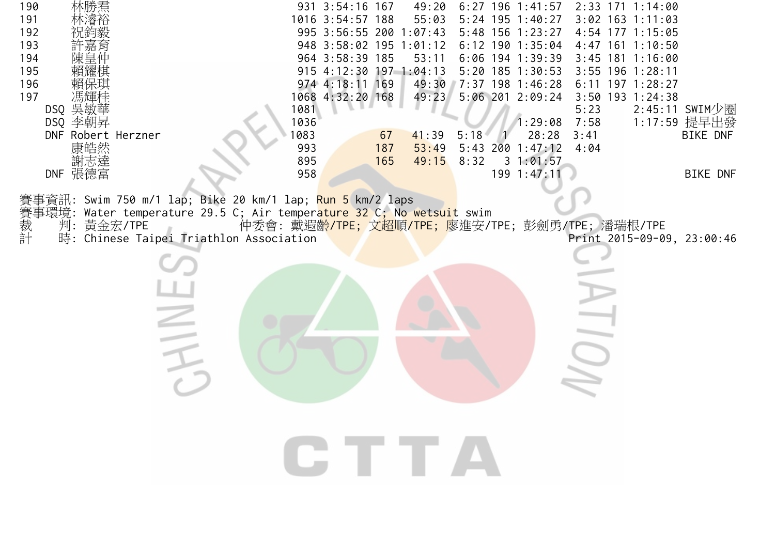| 190<br>191<br>192<br>193<br>194<br>195<br>196<br>197<br>馮輝桂<br>DSQ 吳敏華<br>DSQ 李朝昇<br>DNF Robert Herzner<br>康皓然<br>謝志達<br>DNF 張德富             | 931 3:54:16 167<br>49:20<br>1016 3:54:57 188<br>55:03<br>995 3:56:55 200 1:07:43<br>948 3:58:02 195 1:01:12<br>964 3:58:39 185<br>53:11<br>915 4:12:30 197 1:04:13<br>974 4:18:11 169<br>49:30<br>1068 4:32:20 168<br>49:23<br>1081<br>1036<br>1083<br>41:39<br>67<br>993<br>187<br>53:49<br>895<br>49:15<br>165<br>958 | $6:27$ 196 1:41:57<br>2:33 171 1:14:00<br>$3:02$ 163 1:11:03<br>$5:24$ 195 1:40:27<br>5:48 156 1:23:27<br>4:54 177 1:15:05<br>$6:12$ 190 1:35:04<br>4:47 161 1:10:50<br>6:06 194 1:39:39<br>$3:45$ 181 1:16:00<br>$5:20$ 185 1:30:53<br>3:55 196 1:28:11<br>7:37 198 1:46:28<br>$6:11$ 197 1:28:27<br>5:06 201 2:09:24<br>3:50 193 1:24:38<br>$2:45:11$ SWIM少圈<br>5:23<br>1:17:59 提早出發<br>7:58<br>1:29:08<br>28:28<br>5:18<br>3:41<br>BIKE DNF<br>$5:43$ 200 $1:47:12$<br>4:04<br>8:32<br>31:01:57<br>199 1:47:11<br>BIKE DNF |
|----------------------------------------------------------------------------------------------------------------------------------------------|-------------------------------------------------------------------------------------------------------------------------------------------------------------------------------------------------------------------------------------------------------------------------------------------------------------------------|-------------------------------------------------------------------------------------------------------------------------------------------------------------------------------------------------------------------------------------------------------------------------------------------------------------------------------------------------------------------------------------------------------------------------------------------------------------------------------------------------------------------------------|
| 事資訊: Swim 750 m/1 lap; Bike 20 km/1 lap; <mark>Run 5</mark> km/2 laps<br>事環境:<br>裁計<br>判: 黃金宏/TPE<br>時: Chinese Taipei Triathlon Association | Water temperature 29.5 C; Air temperature 32 C; No wetsuit swim<br>GTTA                                                                                                                                                                                                                                                 | 仲委會: 戴遐齡/TPE; 文超順/TPE; 廖進安/TPE; 彭劍勇/TPE; 潘瑞根/TPE<br>Print 2015-09-09, 23:00:46                                                                                                                                                                                                                                                                                                                                                                                                                                                |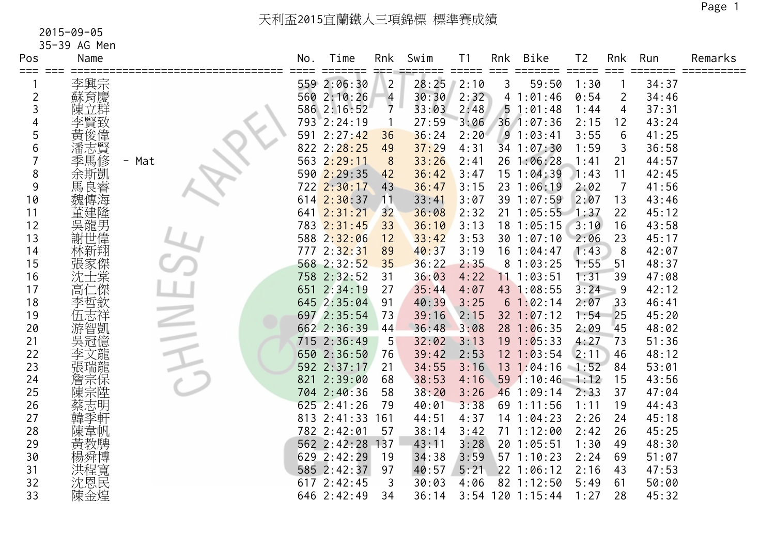35-39 AG Men

| Pos     | Name       |       | No. | Time                 | Rnk            | Swim  | T <sub>1</sub>              | Rnk       | Bike             | T <sub>2</sub>              | Rnk            | Run   | Remarks |
|---------|------------|-------|-----|----------------------|----------------|-------|-----------------------------|-----------|------------------|-----------------------------|----------------|-------|---------|
| === === |            |       |     | =====<br>559 2:06:30 | $\overline{2}$ | 28:25 | $=$ $=$ $=$ $=$ $=$<br>2:10 | $==$<br>3 | 59:50            | $=$ $=$ $=$ $=$ $=$<br>1:30 | $==$           | 34:37 |         |
| 2       | 李興宗<br>蘇育慶 |       |     | 560 2:10:26          | 4              | 30:30 | 2:32                        |           | 41:01:46         | 0:54                        | $\overline{2}$ | 34:46 |         |
| 3       | 陳立群        |       |     | 586 2:16:52          | $\overline{7}$ | 33:03 | 2:48                        |           | 51:01:48         | 1:44                        | 4              | 37:31 |         |
|         | 李賢致        |       |     | 793 2:24:19          |                | 27:59 | 3:06                        |           | 36 1:07:36       | 2:15                        | 12             | 43:24 |         |
| 5       | 黃俊偉        |       | 591 | 2:27:42              | 36             | 36:24 | 2:20                        |           | 91:03:41         | 3:55                        | 6              | 41:25 |         |
| 6       | 潘志賢        |       |     | 822 2:28:25          | 49             | 37:29 | 4:31                        |           | 34 1:07:30       | 1:59                        | 3              | 36:58 |         |
|         | 季馬修        | - Mat |     | 563 2:29:11          | 8              | 33:26 | 2:41                        | 26        | 1:06:28          | 1:41                        | 21             | 44:57 |         |
| 8       | 余斯凱        |       |     | 590 2:29:35          | 42             | 36:42 | 3:47                        |           | 15 1:04:39       | 1:43                        | 11             | 42:45 |         |
| 9       | 馬良睿        |       |     | 722 2:30:17          | 43             | 36:47 | 3:15                        |           | 23 1:06:19       | 2:02                        | $\overline{7}$ | 41:56 |         |
| 10      | 魏傳海        |       |     | 614 2:30:37          | 11             | 33:41 | 3:07                        |           | 39 1:07:59       | 2:07                        | 13             | 43:46 |         |
| 11      | 董建隆        |       |     | 641 2:31:21          | 32             | 36:08 | 2:32                        |           | $21 \t1:05:55$   | 1:37                        | 22             | 45:12 |         |
| 12      | 冥龍男        |       |     | 783 2:31:45          | 33             | 36:10 | 3:13                        |           | 18 1:05:15       | 3:10                        | 16             | 43:58 |         |
| 13      | 謝世偉        |       |     | 588 2:32:06          | 12             | 33:42 | 3:53                        |           | 301:07:10        | 2:06                        | 23             | 45:17 |         |
| 14      | 林新翔        |       |     | 777 2:32:31          | 89             | 40:37 | 3:19                        |           | 16 1:04:47       | 1:43                        | 8              | 42:07 |         |
| 15      | 張家傑        |       |     | 568 2:32:52          | 35             | 36:22 | 2:35                        |           | 81:03:25         | 1:55                        | 51             | 48:37 |         |
| 16      | 沈士棠        |       |     | 758 2:32:52          | 31             | 36:03 | 4:22                        |           | 11 1:03:51       | 1:31                        | 39             | 47:08 |         |
| 17      | 高仁傑        |       | 651 | 2:34:19              | 27             | 35:44 | 4:07                        |           | 43 1:08:55       | 3:24                        | 9              | 42:12 |         |
| 18      | 李哲欽        |       |     | 645 2:35:04          | 91             | 40:39 | 3:25                        |           | 61:02:14         | 2:07                        | 33             | 46:41 |         |
| 19      | 伍志祥        |       |     | 697 2:35:54          | 73             | 39:16 | 2:15                        |           | $32$ $1:07:12$   | 1:54                        | 25             | 45:20 |         |
| 20      | 游智凱        |       |     | 662 2:36:39          | 44             | 36:48 | 3:08                        |           | 281:06:35        | 2:09                        | 45             | 48:02 |         |
| 21      | 吳冠億        |       |     | 715 2:36:49          | 5              | 32:02 | 3:13                        |           | $19 \t1:05:33$   | 4:27                        | 73             | 51:36 |         |
| 22      | 李文龍        |       |     | 650 2:36:50          | 76             | 39:42 | 2:53                        |           | $12 \t1:03:54$   | 2:11                        | 46             | 48:12 |         |
| 23      | 張瑞龍        |       |     | 592 2:37:17          | 21             | 34:55 | 3:16                        |           | 13 1:04:16       | $-1:52$                     | 84             | 53:01 |         |
| 24      | 詹宗保        |       | 821 | 2:39:00              | 68             | 38:53 | 4:16                        |           | 59 1:10:46       | 1:12                        | 15             | 43:56 |         |
| 25      | 陳宗陞        |       |     | 704 2:40:36          | 58             | 38:20 | 3:26                        | 46        | 1:09:14          | 2:33                        | 37             | 47:04 |         |
| 26      |            |       |     | 625 2:41:26          | 79             | 40:01 | 3:38                        |           | 69 1:11:56       | 1:11                        | 19             | 44:43 |         |
| 27      |            |       |     | 813 2:41:33          | 161            | 44:51 | 4:37                        |           | 14 1:04:23       | 2:26                        | 24             | 45:18 |         |
| 28      | 陳韋帆        |       |     | 782 2:42:01          | 57             | 38:14 | 3:42                        |           | 71 1:12:00       | 2:42                        | 26             | 45:25 |         |
| 29      | 黃教騁        |       |     | 562 2:42:28 137      |                | 43:11 | 3:28                        |           | 20 1:05:51       | 1:30                        | 49             | 48:30 |         |
| 30      | 楊舜博        |       |     | 629 2:42:29          | 19             | 34:38 | 3:59                        |           | $57$ 1:10:23     | 2:24                        | 69             | 51:07 |         |
| 31      | 洪程寬        |       |     | 585 2:42:37          | 97             | 40:57 | 5:21                        |           | 22 1:06:12       | 2:16                        | 43             | 47:53 |         |
| 32      | 沈恩民        |       |     | 617 2:42:45          | 3              | 30:03 | 4:06                        |           | 82 1:12:50       | 5:49                        | 61             | 50:00 |         |
| 33      | 陳金煌        |       |     | 646 2:42:49          | 34             | 36:14 |                             |           | 3:54 120 1:15:44 | 1:27                        | 28             | 45:32 |         |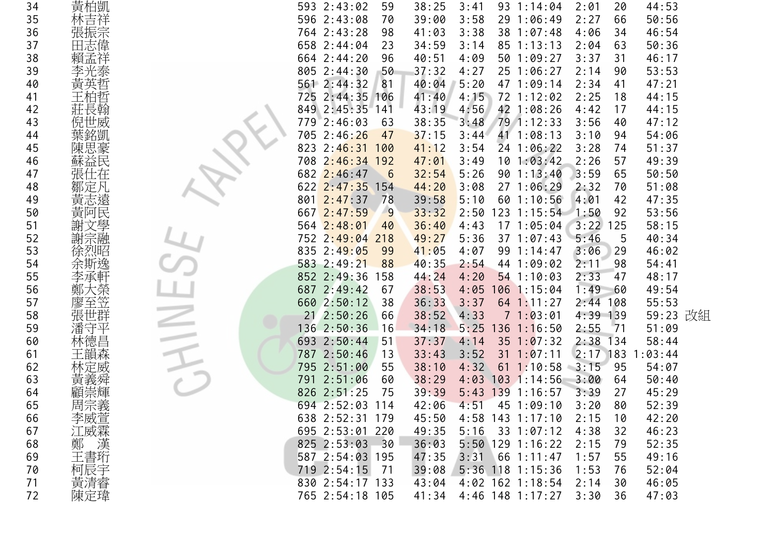| 34 | 黃柏凱               | 593 2:43:02         | 59  | 38:25 | 3:41 | $93 \t1:14:04$     | 2:01       | 44:53<br>20      |          |
|----|-------------------|---------------------|-----|-------|------|--------------------|------------|------------------|----------|
| 35 | 林吉祥               | 596 2:43:08         | 70  | 39:00 | 3:58 | 29 1:06:49         | 2:27       | 50:56<br>66      |          |
| 36 | 張振宗               | 764 2:43:28         | 98  | 41:03 | 3:38 | 38 1:07:48         | 4:06       | 46:54<br>34      |          |
| 37 | 田志偉               | 658 2:44:04         | 23  | 34:59 | 3:14 | 85 1:13:13         | 2:04       | 63<br>50:36      |          |
| 38 |                   | 664 2:44:20         | 96  | 40:51 | 4:09 | 50 1:09:27         | 3:37       | 46:17<br>31      |          |
| 39 |                   | 805 2:44:30         | 50  | 37:32 | 4:27 | 25 1:06:27         | 2:14       | 53:53<br>90      |          |
| 40 | 黃英哲               | 561 2:44:32         | 81  | 40:04 | 5:20 | 47 1:09:14         | 2:34       | 41<br>47:21      |          |
| 41 |                   | 725 2:44:35 106     |     | 41:40 | 4:15 | 72 1:12:02         | 2:25       | 44:15<br>18      |          |
| 42 |                   | 849 2:45:35 141     |     | 43:19 | 4:56 | 42 1:08:26         | 4:42       | 17<br>44:15      |          |
| 43 | 倪世威               | 779 2:46:03         | 63  | 38:35 | 3:48 | 79 1:12:33         | 3:56       | 47:12<br>40      |          |
| 44 | 葉銘凱               | 705 2:46:26         | 47  | 37:15 | 3:44 | 41 1:08:13         | 3:10       | 54:06<br>94      |          |
| 45 | 陳思豪               | 823 2:46:31 100     |     | 41:12 | 3:54 | 24 1:06:22         | 3:28       | 51:37<br>74      |          |
| 46 | 蘇益民               | 708 2:46:34 192     |     | 47:01 | 3:49 | 101:03:42          | 2:26       | 57<br>49:39      |          |
| 47 | 張仕在               | 682 2:46:47         | 6   | 32:54 | 5:26 | 90 1:13:40         | 3:59       | 50:50<br>65      |          |
| 48 | 鄒定凡               | 622 2:47:35 154     |     | 44:20 | 3:08 | 27 1:06:29         | 2:32       | 51:08<br>70      |          |
| 49 | 黃志遠               | $801 \quad 2:47:37$ | 78  | 39:58 | 5:10 | 60 1:10:56         | 4:01       | 42<br>47:35      |          |
| 50 | 黃阿民               | 667 2:47:59         | -9  | 33:32 | 2:50 | 123 1:15:54 1:50   |            | 53:56<br>92      |          |
| 51 |                   | 564 2:48:01         | 40  | 36:40 | 4:43 | $17$ 1:05:04 3:22  |            | 58:15<br>125     |          |
| 52 | 謝宗融               | 752 2:49:04 218     |     | 49:27 | 5:36 | $37 \t1:07:43$     | 5:46       | 5<br>40:34       |          |
| 53 | 徐烈昭               | 835 2:49:05         | 99  | 41:05 | 4:07 | 99 1:14:47         | 3:06       | 46:02<br>29      |          |
| 54 | 余斯逸               | 583 2:49:21         | 88  | 40:35 | 2:54 | 44 1:09:02         | 2:11       | 98<br>54:41      |          |
| 55 | 李承軒               | 852 2:49:36         | 158 | 44:24 | 4:20 | $54$ 1:10:03       | 2:33       | 48:17<br>47      |          |
| 56 | 大榮                | 687 2:49:42         | 67  | 38:53 | 4:05 | 106 1:15:04        | 1:49       | 49:54<br>-60     |          |
| 57 | 至笠<br>廖           | 660 2:50:12         | 38  | 36:33 | 3:37 | $64$ 1:11:27       | $2:44$ 108 | 55:53            |          |
| 58 | 張世群               | $21$ $2:50:26$      | 66  | 38:52 | 4:33 | 71:03:01           | 4:39 139   |                  | 59:23 改組 |
| 59 |                   | 136 2:50:36         | 16  | 34:18 | 5:25 | $136$ $1:16:50$    | 2:55       | 71<br>51:09      |          |
| 60 | 林德昌               | 693 2:50:44         | 51  | 37:37 | 4:14 | $35 \t1:07:32$     | $2:38$ 134 | 58:44            |          |
| 61 | 王韻森               | 787 2:50:46         | 13  | 33:43 | 3:52 | $31 \t1:07:11$     |            | 2:17 183 1:03:44 |          |
| 62 |                   | 795 2:51:00         | 55  | 38:10 | 4:32 | 1:10:58<br>61      | 3:15       | 95<br>54:07      |          |
| 63 | 黃義舜               | 791 2:51:06         | 60  | 38:29 |      | $4:03$ 103 1:14:56 | 3:00       | 50:40<br>64      |          |
| 64 |                   | 826 2:51:25         | 75  | 39:39 |      | 5:43 139 1:16:57   | 3:39       | 27<br>45:29      |          |
| 65 | 周宗義               | 694 2:52:03 114     |     | 42:06 | 4:51 | 45 1:09:10         | 3:20       | 80<br>52:39      |          |
| 66 |                   | 638 2:52:31 179     |     | 45:50 |      | 4:58 143 1:17:10   | 2:15       | 10<br>42:20      |          |
| 67 |                   | 695 2:53:01 220     |     | 49:35 |      | $5:16$ 33 1:07:12  | 4:38       | 32<br>46:23      |          |
| 68 |                   | 825 2:53:03 30      |     | 36:03 |      | $5:50$ 129 1:16:22 | 2:15       | 52:35<br>79      |          |
| 69 | 李江鄭王三<br>威威<br>書三 | 587 2:54:03 195     |     | 47:35 |      | $3:31$ 66 1:11:47  | 1:57       | 55<br>49:16      |          |
| 70 |                   | 719 2:54:15 71      |     | 39:08 |      | 5:36 118 1:15:36   | 1:53       | 52:04<br>76      |          |
| 71 | 柯辰宇               | 830 2:54:17 133     |     | 43:04 |      | 4:02 162 1:18:54   | 2:14       | 30<br>46:05      |          |
| 72 | 陳定瑋               | 765 2:54:18 105     |     | 41:34 |      | 4:46 148 1:17:27   | 3:30       | 47:03<br>36      |          |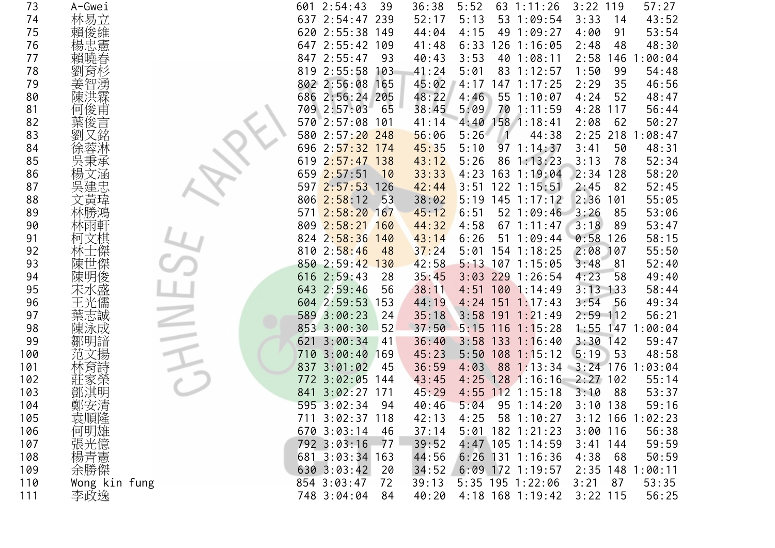| 73  | A-Gwei        | 601 2:54:43          | 39   | 36:38 | 5:52             | $63 \t1:11:26$     | 3:22<br>119      | 57:27   |
|-----|---------------|----------------------|------|-------|------------------|--------------------|------------------|---------|
| 74  | 林易立           | 637 2:54:47 239      |      | 52:17 | 5:13             | 53 1:09:54         | 3:33<br>14       | 43:52   |
| 75  | 賴俊維           | 620 2:55:38 149      |      | 44:04 | 4:15             | 49 1:09:27         | 4:00<br>91       | 53:54   |
| 76  | 楊忠憲           | 647 2:55:42 109      |      | 41:48 | 6:33             | 126 1:16:05        | 2:48<br>48       | 48:30   |
| 77  | 賴曉春           | 847 2:55:47          | 93   | 40:43 | 3:53             | 40 1:08:11         | 2:58<br>146      | :00:04  |
| 78  | 劉<br>育杉       | 819 2:55:58 103      |      | 41:24 | 5:01             | 83 1:12:57         | 1:50<br>99       | 54:48   |
| 79  |               | 802 2:56:08 165      |      | 45:02 | 4:17             | $147$ $1:17:25$    | 2:29<br>35       | 46:56   |
| 80  |               | 686 2:56:24 205      |      | 48:22 | 4:46             | 55 1:10:07         | 4:24<br>52       | 48:47   |
| 81  | 何俊甫           | 709 2:57:03          | 65   | 38:45 | 5:09             | 70 1:11:59         | 4:28<br>117      | 56:44   |
| 82  | 葉俊言           | 570 2:57:08 101      |      | 41:14 | 4:40             | $158$ $1:18:41$    | 2:08<br>62       | 50:27   |
| 83  | 劉             | 580 2:57:20 248      |      | 56:06 | 5:26             | 44:38              | $2:25$ 218       | :08:47  |
| 84  |               | 696<br>$2:57:32$ 174 |      | 45:35 | 5:10             | 97 1:14:37         | 3:41<br>50       | 48:31   |
| 85  | 吳秉承           | $2:57:47$ 138<br>619 |      | 43:12 | 5:26             | 86 1:13:23         | 3:13<br>78       | 52:34   |
| 86  |               | 659 2:57:51          | 10   | 33:33 | 4:23             | 163 1:19:04        | 2:34<br>128      | 58:20   |
| 87  |               | 597 2:57:53          | 126  | 42:44 | 3:51             | $122$ 1:15:51      | 2:45<br>82       | 52:45   |
| 88  | 文黃瑋           | $806$ 2:58:12        | 53   | 38:02 | 5:19             | $145$ 1:17:12      | 2:36<br>101      | 55:05   |
| 89  |               | 2:58:20 167<br>571   |      | 45:12 | 6:51             | 52 1:09:46         | 3:26<br>85       | 53:06   |
| 90  | 林雨軒           | $809$ $2:58:21$      | 160  | 44:32 | 4:58             | $67$ 1:11:47       | 3:18<br>89       | 53:47   |
| 91  | 柯文棋           | 824 2:58:36 140      |      | 43:14 | 6:26             | 51 1:09:44         | 0:58<br>126      | 58:15   |
| 92  | 林士傑           | $810 \t2:58:46$      | 48   | 37:24 | 5:01             | 154 1:18:25        | 2:08<br>107      | 55:50   |
| 93  | 陳世傑           | 850 2:59:42 130      |      | 42:58 |                  | $5:13$ 107 1:15:05 | 3:48<br>81       | 52:40   |
| 94  | 陳明俊           | $616$ $2:59:43$      | 28   | 35:45 | 3:03             | 229 1:26:54        | 4:23<br>58       | 49:40   |
| 95  | 宋水盛           | 643 2:59:46          | 56   | 38:11 |                  | 4:51 100 1:14:49   | $3:13$ 133       | 58:44   |
| 96  |               | 604 2:59:53 153      |      | 44:19 |                  | $4:24$ 151 1:17:43 | 3:54<br>-56      | 49:34   |
| 97  | 葉志誠           | 589 3:00:23          | 24   | 35:18 |                  | $3:58$ 191 1:21:49 | 2:59<br>112      | 56:21   |
| 98  | 陳泳成           | 853 3:00:30          | 52   | 37:50 |                  | $5:15$ 116 1:15:28 | 1:55<br>147      | 1:00:04 |
| 99  | 鄒明諳           | 621<br>3:00:34       | 41   | 36:40 |                  | $3:58$ 133 1:16:40 | 3:30<br>142      | 59:47   |
| 100 | 范文揚           | 710 3:00:40 169      |      | 45:23 | 5:50             | $108$ 1:15:12      | 5:19<br>53       | 48:58   |
| 101 | 林戽莳           | 3:01:02<br>837       | 45   | 36:59 | 4:03             | 88 1:13:34         | $3:24$ 176       | 1:03:04 |
| 102 |               | 772 3:02:05 144      |      | 43:45 |                  | $4:25$ 128 1:16:16 | $2:27$ 102       | 55:14   |
| 103 | 鄧淇明           | $3:02:27$ 171<br>841 |      | 45:29 |                  | $4:55$ 112 1:15:18 | 3:10<br>88       | 53:37   |
| 104 | 鄭安清           | 595 3:02:34          | 94   | 40:46 | 5:04             | 95 1:14:20         | $3:10$ 138       | 59:16   |
| 105 | 袁順隆<br>何明雄    | 711 3:02:37 118      |      | 42:13 | 4:25             | 58 1:10:27         | 3:12 166 1:02:23 |         |
| 106 |               | 670 3:03:14          | - 46 | 37:14 |                  | $5:01$ 182 1:21:23 | $3:00$ 116       | 56:38   |
| 107 | 張光億           | 792 3:03:16          | 77   | 39:52 |                  | 4:47 105 1:14:59   | $3:41$ 144       | 59:59   |
| 108 | 楊青憲           | 681 3:03:34 163      |      | 44:56 |                  | $6:26$ 131 1:16:36 | 4:38<br>68       | 50:59   |
| 109 | 余勝傑           | 630 3:03:42          | 20   | 34:52 |                  | $6:09$ 172 1:19:57 | 2:35 148 1:00:11 |         |
| 110 | Wong kin fung | 854 3:03:47          | 72   | 39:13 | 5:35 195 1:22:06 |                    | 3:21<br>87       | 53:35   |
| 111 | 李政逸           | 748 3:04:04          | 84   | 40:20 |                  | 4:18 168 1:19:42   | $3:22$ 115       | 56:25   |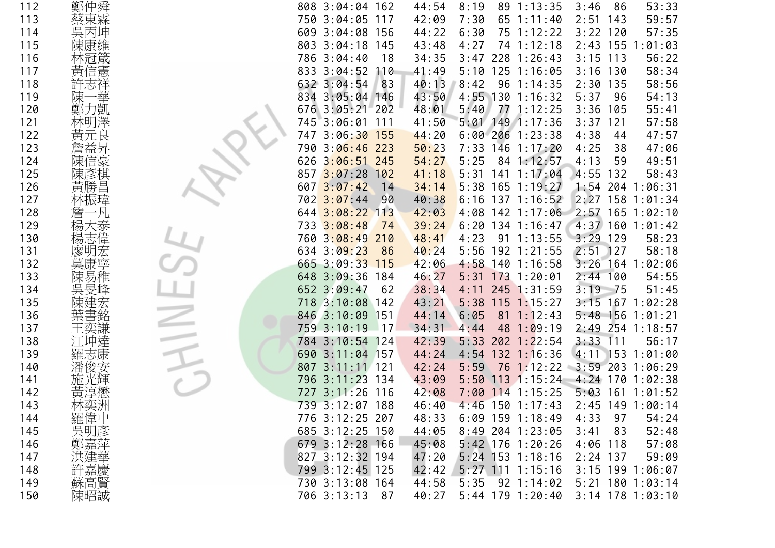| 112 | 鄭仲舜     | 808 3:04:04 162      |       | 44:54 | 8:19 |    | 89 1:13:35         | 3:46<br>86         | 53:33   |
|-----|---------|----------------------|-------|-------|------|----|--------------------|--------------------|---------|
| 113 | 蔡東霖     | 750 3:04:05          | 117   | 42:09 | 7:30 |    | 65 1:11:40         | $2:51$ 143         | 59:57   |
| 114 | 吳丙坤     | 609 3:04:08 156      |       | 44:22 | 6:30 |    | 75 1:12:22         | $3:22$ 120         | 57:35   |
| 115 |         | 803 3:04:18 145      |       | 43:48 | 4:27 |    | 74 1:12:18         | $2:43$ 155         | 1:01:03 |
| 116 |         | 786 3:04:40          | 18    | 34:35 |      |    | 3:47 228 1:26:43   | $3:15$ 113         | 56:22   |
| 117 |         | 833 3:04:52 110      |       | 41:49 |      |    | 5:10 125 1:16:05   | $3:16$ 130         | 58:34   |
| 118 |         | 632 3:04:54          | 83    | 40:13 | 8:42 |    | 96 1:14:35         | $2:30$ 135         | 58:56   |
| 119 | 陳       | 834 3:05:04 146      |       | 43:50 |      |    | 4:55 130 1:16:32   | 5:37<br>96         | 54:13   |
| 120 | 〕凱<br>鄭 | 676 3:05:21 202      |       | 48:01 | 5:40 |    | 77 1:12:25         | 3:36<br>105        | 55:41   |
| 121 |         | 745 3:06:01          | 111   | 41:50 |      |    | $5:01$ 149 1:17:36 | $3:37$ 121         | 57:58   |
| 122 | 黃元良     | $3:06:30$ 155<br>747 |       | 44:20 |      |    | $6:00$ 206 1:23:38 | 4:38<br>44         | 47:57   |
| 123 |         | 790 3:06:46 223      |       | 50:23 |      |    | 7:33 146 1:17:20   | 4:25<br>38         | 47:06   |
| 124 | 陳信豪     | 626 3:06:51 245      |       | 54:27 | 5:25 |    | 84 1:12:57         | 4:13<br>59         | 49:51   |
| 125 |         | 3:07:28<br>857       | 102   | 41:18 |      |    | $5:31$ 141 1:17:04 | 4:55 132           | 58:43   |
| 126 | 黃勝      | 6073:07:42           | 14    | 34:14 |      |    | $5:38$ 165 1:19:27 | $1:54$ 204 1:06:31 |         |
| 127 |         | $702 \ \ 3:07:44$    | 90    | 40:38 |      |    | $6:16$ 137 1:16:52 | 2:27 158 1:01:34   |         |
| 128 |         | 644 3:08:22 113      |       | 42:03 |      |    | 4:08 142 1:17:06   | 2:57 165 1:02:10   |         |
| 129 |         | 733 3:08:48          | 74    | 39:24 |      |    | $6:20$ 134 1:16:47 | $4:37$ 160 1:01:42 |         |
| 130 |         | 760 3:08:49          | 210   | 48:41 | 4:23 |    | $91 \t1:13:55$     | $3:29$ 129         | 58:23   |
| 131 | 廖明宏     | 634 3:09:23          | 86    | 40:24 |      |    | 5:56 192 1:21:55   | $2:51$ 127         | 58:18   |
| 132 | 莫康寧     | 665 3:09:33 115      |       | 42:06 |      |    | $4:58$ 140 1:16:58 | $3:26$ 164 1:02:06 |         |
| 133 | 陳易稚     | 648 3:09:36 184      |       | 46:27 |      |    | $5:31$ 173 1:20:01 | $2:44$ 100         | 54:55   |
| 134 |         | 652 3:09:47          | 62    | 38:34 |      |    | 4:11 245 1:31:59   | $3:19$ 75          | 51:45   |
| 135 |         | 718 3:10:08 142      |       | 43:21 |      |    | $5:38$ 115 1:15:27 | 3:15 167 1:02:28   |         |
| 136 |         | 846 3:10:09          | 151   | 44:14 | 6:05 |    | $81 \t1:12:43$     | $5:48$ 156 1:01:21 |         |
| 137 |         | 759 3:10:19          | $-17$ | 34:31 | 4:44 | 48 | 1:09:19            | 2:49 254 1:18:57   |         |
| 138 |         | 784 3:10:54 124      |       | 42:39 |      |    | $5:33$ 202 1:22:54 | $3:33$ 111         | 56:17   |
| 139 | 羅志康     | 690 3:11:04 157      |       | 44:24 |      |    | $4:54$ 132 1:16:36 | $4:11$ 153 1:01:00 |         |
| 140 |         | 807<br>$3:11:11$ 121 |       | 42:24 | 5:59 |    | 76 1:12:22         | $3:59$ 203         | 1:06:29 |
| 141 |         | 796 3:11:23 134      |       | 43:09 |      |    | $5:50$ 113 1:15:24 | $4:24$ 170 1:02:38 |         |
| 142 |         | 727 3:11:26 116      |       | 42:08 |      |    | 7:00 114 1:15:25   | $5:03$ 161 1:01:52 |         |
| 143 |         | 739 3:12:07 188      |       | 46:40 |      |    | $4:46$ 150 1:17:43 | 2:45 149 1:00:14   |         |
| 144 | 羅偉中     | 776 3:12:25 207      |       | 48:33 |      |    | $6:09$ 159 1:18:49 | 4:33<br>97         | 54:24   |
| 145 | 吳明彥     | 685 3:12:25 150      |       | 44:05 |      |    | 8:49 204 1:23:05   | 3:41<br>83         | 52:48   |
| 146 | 鄭嘉萍     | 679 3:12:28 166      |       | 45:08 |      |    | 5:42 176 1:20:26   | $4:06$ 118         | 57:08   |
| 147 |         | 827 3:12:32 194      |       | 47:20 |      |    | $5:24$ 153 1:18:16 | $2:24$ 137         | 59:09   |
| 148 | 許嘉慶     | 799 3:12:45 125      |       | 42:42 |      |    | 5:27 111 1:15:16   | $3:15$ 199 1:06:07 |         |
| 149 |         | 730 3:13:08 164      |       | 44:58 | 5:35 |    | 92 1:14:02         | 5:21 180 1:03:14   |         |
| 150 | 陳昭誠     | 706 3:13:13          | 87    | 40:27 |      |    | $5:44$ 179 1:20:40 | 3:14 178 1:03:10   |         |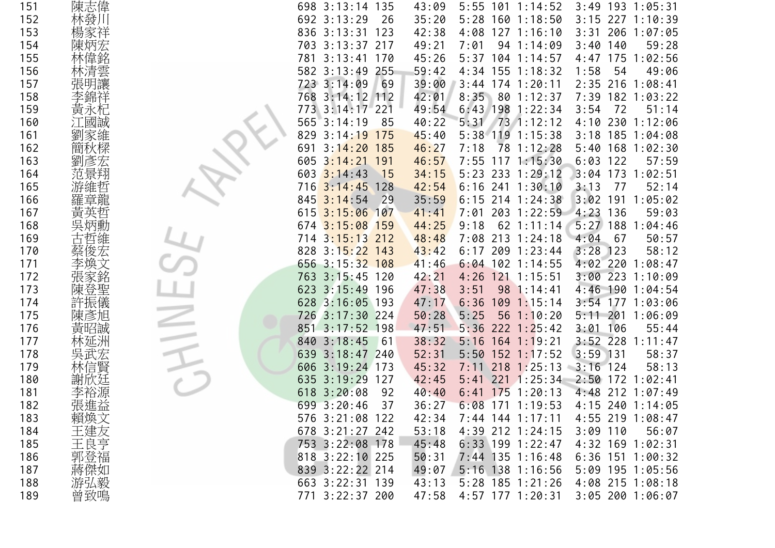| 151 | 陳志偉         | 698 3:13:14 135      |           | 43:09 |            |     | $5:55$ 101 1:14:52 | $3:49$ 193 1:05:31 |             |  |
|-----|-------------|----------------------|-----------|-------|------------|-----|--------------------|--------------------|-------------|--|
| 152 | 林發川         | 692 3:13:29          | 26        | 35:20 |            |     | 5:28 160 1:18:50   | 3:15 227 1:10:39   |             |  |
| 153 | 楊家祥         | 836 3:13:31 123      |           | 42:38 |            |     | 4:08 127 1:16:10   | $3:31$ 206 1:07:05 |             |  |
| 154 | 陳炳宏         | 703 3:13:37 217      |           | 49:21 | 7:01       |     | 94 1:14:09         | $3:40$ 140         | 59:28       |  |
| 155 |             | 781<br>$3:13:41$ 170 |           | 45:26 | $5:37$ 104 |     | 1:14:57            | 4:47<br>175        | 1:02:56     |  |
| 156 | 清雲          | 582 3:13:49 255      |           | 59:42 |            |     | 4:34 155 1:18:32   | 1:58<br>54         | 49:06       |  |
| 157 |             | 723 3:14:09          | 69        | 39:00 |            |     | $3:44$ 174 1:20:11 | 2:35 216 1:08:41   |             |  |
| 158 |             | $3:14:12$ 112<br>768 |           | 42:01 | 8:35 80    |     | 1:12:37            | 7:39               | 182 1:03:22 |  |
| 159 | 黃           | $3:14:17$ 221<br>773 |           | 49:54 | $6:43$ 198 |     | 1:22:34            | 3:54<br>72         | 51:14       |  |
| 160 |             | 565<br>3:14:19       | 85        | 40:22 | 5:31       |     | $73$ 1:12:12       | 4:10 230 1:12:06   |             |  |
| 161 | 劉           | 829<br>3:14:19       | 175       | 45:40 | $5:38$ 119 |     | 1:15:38            | 3:18 185 1:04:08   |             |  |
| 162 | 簡秋          | $3:14:20$ 185<br>691 |           | 46:27 | 7:18       | 78  | 1:12:28            | $5:40$ 168 1:02:30 |             |  |
| 163 | 劉           | $3:14:21$ 191<br>605 |           | 46:57 |            |     | 7:55 117 1:15:30   | 6:03<br>122        | 57:59       |  |
| 164 |             | 3:14:43<br>603       | 15        | 34:15 | $5:23$ 233 |     | 1:29:12            | $3:04$ 173         | 1:02:51     |  |
| 165 |             | $3:14:45$ 128<br>716 |           | 42:54 |            |     | $6:16$ 241 1:30:10 | 3:13<br>-77        | 52:14       |  |
| 166 |             | 3:14:54<br>845       | 29        | 35:59 |            |     | $6:15$ 214 1:24:38 | 3:02 191 1:05:02   |             |  |
| 167 |             | $3:15:06$ 107<br>615 |           | 41:41 | $7:01$ 203 |     | 1:22:59            | $4:23$ 136         | 59:03       |  |
| 168 |             | 674 3:15:08 159      |           | 44:25 | 9:18       |     | $62$ 1:11:14       | $5:27$ 188 1:04:46 |             |  |
| 169 |             | $3:15:13$ 212<br>714 |           | 48:48 |            |     | 7:08 213 1:24:18   | 4:04<br>67         | 50:57       |  |
| 170 |             | 828<br>$3:15:22$ 143 |           | 43:42 | $6:17$ 209 |     | 1:23:44            | 3:28<br>123        | 58:12       |  |
| 171 |             | 656 3:15:32 108      |           | 41:46 |            |     | $6:04$ 102 1:14:55 | 4:02 220 1:08:47   |             |  |
| 172 | 張家銘         | 763 3:15:45 120      |           | 42:21 |            |     | 4:26 121 1:15:51   | 3:00 223 1:10:09   |             |  |
| 173 |             | $3:15:49$ 196<br>623 |           | 47:38 | 3:51       | 98  | 1:14:41            | 4:46 190 1:04:54   |             |  |
| 174 |             | 628 3:16:05 193      |           | 47:17 | 6:36       | 109 | 1:15:14            | 3:54 177 1:03:06   |             |  |
| 175 | 陳彥旭         | $3:17:30$ 224<br>726 |           | 50:28 | 5:25       | 56  | 1:10:20            | 5:11 201 1:06:09   |             |  |
| 176 | 黃昭誠         | $3:17:52$ 198<br>851 |           | 47:51 | $5:36$ 222 |     | 1:25:42            | 106<br>3:01        | 55:44       |  |
| 177 |             | 840 3:18:45          | <b>61</b> | 38:32 |            |     | $5:16$ 164 1:19:21 | $3:52$ 228 1:11:47 |             |  |
| 178 |             | $3:18:47$ 240<br>639 |           | 52:31 |            |     | $5:50$ 152 1:17:52 | $3:59$ 131         | 58:37       |  |
| 179 |             | $3:19:24$ 173<br>606 |           | 45:32 | $7:11$ 218 |     | 1:25:13            | $3:16$ 124         | 58:13       |  |
| 180 | 謝欣廷         | $3:19:29$ 127<br>635 |           | 42:45 |            |     | $5:41$ 221 1:25:34 | 2:50 172 1:02:41   |             |  |
| 181 |             | 3:20:08<br>618       | 92        | 40:40 |            |     | $6:41$ 175 1:20:13 | 4:48 212 1:07:49   |             |  |
| 182 | 張進益         | 699 3:20:46          | 37        | 36:27 |            |     | $6:08$ 171 1:19:53 | 4:15 240 1:14:05   |             |  |
| 183 | 賴煥文<br>王建友亨 | 576 3:21:08 122      |           | 42:34 |            |     | $7:44$ 144 1:17:11 | 4:55 219 1:08:47   |             |  |
| 184 |             | 678 3:21:27 242      |           | 53:18 |            |     | 4:39 212 1:24:15   | $3:09$ 110         | 56:07       |  |
| 185 |             | 753 3:22:08 178      |           | 45:48 |            |     | $6:33$ 199 1:22:47 | 4:32 169 1:02:31   |             |  |
| 186 | 郭登福         | 818 3:22:10 225      |           | 50:31 |            |     | 7:44 135 1:16:48   | $6:36$ 151 1:00:32 |             |  |
| 187 | 蔣傑如<br>游弘毅  | 839 3:22:22 214      |           | 49:07 |            |     | 5:16 138 1:16:56   | 5:09 195 1:05:56   |             |  |
| 188 |             | 663 3:22:31 139      |           | 43:13 |            |     | 5:28 185 1:21:26   | 4:08 215 1:08:18   |             |  |
| 189 | 曾致鳴         | 771 3:22:37 200      |           | 47:58 |            |     | 4:57 177 1:20:31   | 3:05 200 1:06:07   |             |  |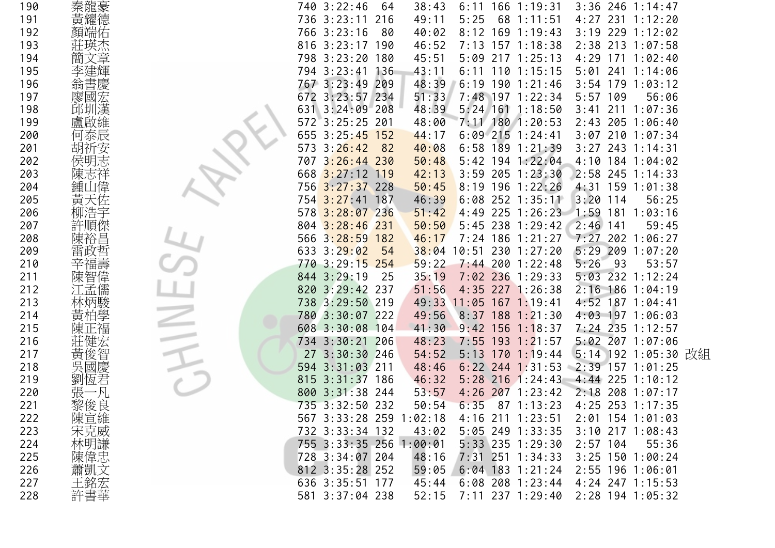| 190 |         | 740 3:22:46             | 64   | 38:43 |      | $6:11$ 166 1:19:31      |            |     | $3:36$ 246 1:14:47  |  |
|-----|---------|-------------------------|------|-------|------|-------------------------|------------|-----|---------------------|--|
| 191 |         | 736 3:23:11             | 216  | 49:11 | 5:25 | 68 1:11:51              |            |     | 4:27 231 1:12:20    |  |
| 192 |         | 766 3:23:16             | - 80 | 40:02 |      | 8:12 169 1:19:43        | 3:19       |     | 229 1:12:02         |  |
| 193 |         | 816 3:23:17 190         |      | 46:52 |      | 7:13 157 1:18:38        |            |     | 2:38 213 1:07:58    |  |
| 194 |         | 798 3:23:20 180         |      | 45:51 |      | 5:09 217 1:25:13        | 4:29       |     | $171 \t1:02:40$     |  |
| 195 |         | 794 3:23:41 136         |      | 43:11 |      | $6:11$ 110 1:15:15      | 5:01       |     | 241 1:14:06         |  |
| 196 | 翁       | 767 3:23:49             | 209  | 48:39 |      | $6:19$ 190 1:21:46      |            |     | $3:54$ 179 1:03:12  |  |
| 197 |         | 672 3:23:57 234         |      | 51:33 |      | 7:48 197 1:22:34        | 5:57       | 109 | 56:06               |  |
| 198 |         | $3:24:09$ 208<br>631    |      | 48:39 |      | $5:24$ 161 1:18:50      | 3:41       |     | 211 1:07:36         |  |
| 199 |         | 572 3:25:25 201         |      | 48:00 |      | 7:11 180 1:20:53        |            |     | $2:43$ 205 1:06:40  |  |
| 200 |         | 655 3:25:45 152         |      | 44:17 |      | $6:09$ 215 1:24:41      |            |     | 3:07 210 1:07:34    |  |
| 201 |         | 3:26:42<br>573          | 82   | 40:08 |      | $6:58$ 189 1:21:39      |            |     | $3:27$ 243 1:14:31  |  |
| 202 |         | $3:26:44$ 230<br>707    |      | 50:48 |      | $5:42$ 194 1:22:04      |            |     | 4:10 184 1:04:02    |  |
| 203 |         | 668 3:27:12 119         |      | 42:13 |      | 3:59 205 1:23:30        |            |     | 2:58 245 1:14:33    |  |
| 204 | 鍾       | 756 3:27:37 228         |      | 50:45 |      | $8:19$ 196 1:22:26      |            |     | 4:31 159 1:01:38    |  |
| 205 | 黃       | 754 3:27:41 187         |      | 46:39 |      | $6:08$ 252 1:35:11      | 3:20       | 114 | 56:25               |  |
| 206 |         | 578 3:28:07 236         |      | 51:42 |      | 4:49 225 1:26:23        | $1:59$ 181 |     | 1:03:16             |  |
| 207 |         | 804 3:28:46 231         |      | 50:50 |      | $5:45$ 238 1:29:42      | $2:46$ 141 |     | 59:45               |  |
| 208 |         | 566 3:28:59 182         |      | 46:17 |      | 7:24 186 1:21:27        |            |     | $7:27$ 202 1:06:27  |  |
| 209 |         | 633 3:29:02             | 54   |       |      | 38:04 10:51 230 1:27:20 | 5:29       | 209 | 1:07:20             |  |
| 210 | 福壽      | 770 3:29:15 254         |      | 59:22 |      | $7:44$ 200 1:22:48      | 5:26       | 93  | 53:57               |  |
| 211 |         | 844 3:29:19             | 25   | 35:19 |      | 7:02 236 1:29:33        |            |     | 5:03 232 1:12:24    |  |
| 212 |         | 820 3:29:42 237         |      | 51:56 |      | 4:35 227 1:26:38        |            |     | 2:16 186 1:04:19    |  |
| 213 |         | 738 3:29:50 219         |      | 49:33 |      | $11:05$ 167 1:19:41     |            |     | 4:52 187 1:04:41    |  |
| 214 |         | 780 3:30:07 222         |      | 49:56 |      | $8:37$ 188 1:21:30      |            |     | 4:03 197 1:06:03    |  |
| 215 |         | 608 3:30:08 104         |      | 41:30 | 9:42 | $156$ $1:18:37$         |            |     | 7:24 235 1:12:57    |  |
| 216 |         | 734 3:30:21 206         |      | 48:23 |      | 7:55 193 1:21:57        |            |     | 5:02 207 1:07:06    |  |
| 217 | 黃<br>俊智 | 27 3:30:30 246          |      | 54:52 |      | $5:13$ 170 1:19:44      |            |     | 5:14 192 1:05:30 改組 |  |
| 218 |         | $3:31:03$ 211<br>594    |      | 48:46 |      | $6:22$ 244 1:31:53      |            |     | 2:39 157 1:01:25    |  |
| 219 |         | $3:31:37$ 186<br>815    |      | 46:32 |      | $5:28$ 216 1:24:43      |            |     | $4:44$ 225 1:10:12  |  |
| 220 |         | 800 3:31:38 244         |      | 53:57 |      | $4:26$ 207 1:23:42      |            |     | 2:18 208 1:07:17    |  |
| 221 | 黎俊良     | 735 3:32:50 232         |      | 50:54 | 6:35 | 87 1:13:23              |            |     | 4:25 253 1:17:35    |  |
| 222 | 陳宣維     | 567 3:33:28 259 1:02:18 |      |       |      | 4:16 211 1:23:51        |            |     | 2:01 154 1:01:03    |  |
| 223 | 宋克威     | 732 3:33:34 132         |      | 43:02 |      | $5:05$ 249 1:33:35      |            |     | 3:10 217 1:08:43    |  |
| 224 | 林明謙     | 755 3:33:35 256 1:00:01 |      |       |      | 5:33 235 1:29:30        | $2:57$ 104 |     | 55:36               |  |
| 225 | 陳偉忠     | 728 3:34:07 204         |      | 48:16 |      | 7:31 251 1:34:33        |            |     | $3:25$ 150 1:00:24  |  |
| 226 | 蕭凱文     | 812 3:35:28 252         |      | 59:05 |      | $6:04$ 183 1:21:24      |            |     | 2:55 196 1:06:01    |  |
| 227 | 王銘宏     | 636 3:35:51 177         |      | 45:44 |      | $6:08$ 208 1:23:44      |            |     | 4:24 247 1:15:53    |  |
| 228 | 許書華     | 581 3:37:04 238         |      | 52:15 |      | 7:11 237 1:29:40        |            |     | 2:28 194 1:05:32    |  |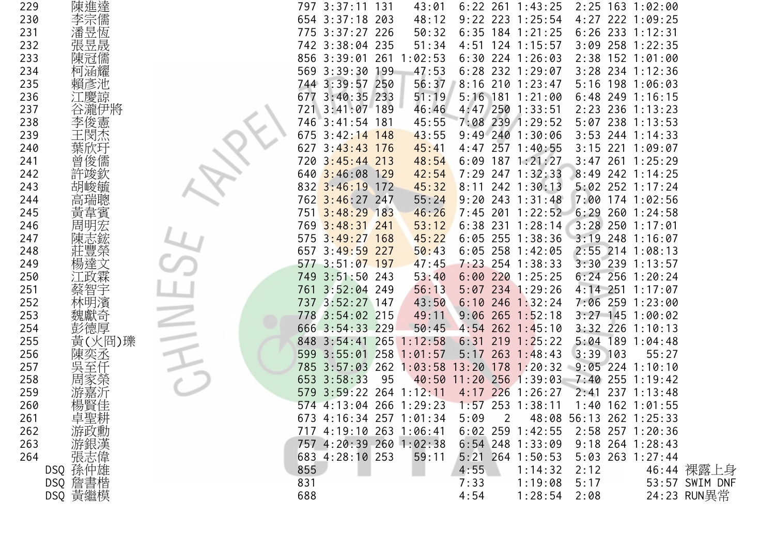| 229 | 陳進達                   | 797 3:37:11 131         |     | 43:01   |               |                | $6:22$ 261 1:43:25 |                         | 2:25 163 1:02:00   |         |                |
|-----|-----------------------|-------------------------|-----|---------|---------------|----------------|--------------------|-------------------------|--------------------|---------|----------------|
| 230 | 李宗儒                   | 654 3:37:18 203         |     | 48:12   |               |                | $9:22$ 223 1:25:54 |                         | 4:27 222 1:09:25   |         |                |
| 231 | 潘昱恆                   | 775 3:37:27 226         |     | 50:32   |               |                | $6:35$ 184 1:21:25 |                         | $6:26$ 233 1:12:31 |         |                |
| 232 | 張昱晟                   | 742 3:38:04 235         |     | 51:34   |               |                | 4:51 124 1:15:57   |                         | 3:09 258 1:22:35   |         |                |
| 233 | 陳冠儒                   | 856 3:39:01 261         |     | 1:02:53 |               |                | $6:30$ 224 1:26:03 |                         | 2:38 152 1:01:00   |         |                |
| 234 | 柯涵耀                   | 569 3:39:30 199         |     | 47:53   |               |                | $6:28$ 232 1:29:07 |                         | $3:28$ 234 1:12:36 |         |                |
| 235 | 賴彥池                   | 744 3:39:57 250         |     | 56:37   |               |                | 8:16 210 1:23:47   |                         | 5:16 198 1:06:03   |         |                |
| 236 | 慶諒                    | 677 3:40:35 233         |     | 51:19   |               |                | 5:16 181 1:21:00   |                         | $6:48$ 249 1:16:15 |         |                |
| 237 | 谷瀧伊將                  | $3:41:07$ 189<br>721    |     | 46:46   |               |                | 4:47 250 1:33:51   |                         | 2:23 236 1:13:23   |         |                |
| 238 | 李俊憲                   | 746 3:41:54 181         |     | 45:55   |               |                | 7:08 239 1:29:52   |                         | 5:07 238 1:13:53   |         |                |
| 239 | 主閔杰                   | 675 3:42:14 148         |     | 43:55   |               |                | $9:49$ 240 1:30:06 |                         | $3:53$ 244 1:14:33 |         |                |
| 240 | 葉欣玗                   | 627 3:43:43 176         |     | 45:41   |               |                | 4:47 257 1:40:55   | $3:15$ 221              |                    | 1:09:07 |                |
| 241 | 曾俊儒                   | 720 3:45:44 213         |     | 48:54   |               |                | $6:09$ 187 1:21:27 |                         | $3:47$ 261 1:25:29 |         |                |
| 242 | 許竣欽                   | 640 3:46:08 129         |     | 42:54   |               |                | 7:29 247 1:32:33   |                         | 8:49 242 1:14:25   |         |                |
| 243 | 胡峻毓                   | 832 3:46:19 172         |     | 45:32   | 8:11          |                | 242 1:30:13        |                         | $5:02$ 252 1:17:24 |         |                |
| 244 | 高瑞聰                   | 762 3:46:27 247         |     | 55:24   | 9:20          |                | 243 1:31:48        |                         | 7:00 174 1:02:56   |         |                |
| 245 | 黃韋賓                   | 751 3:48:29 183         |     | 46:26   |               |                | 7:45 201 1:22:52   |                         | $6:29$ 260 1:24:58 |         |                |
| 246 | 周明宏                   | 769 3:48:31 241         |     | 53:12   |               |                | $6:38$ 231 1:28:14 |                         | $3:28$ 250 1:17:01 |         |                |
| 247 | 陳志鋐                   | 575 3:49:27 168         |     | 45:22   |               |                | $6:05$ 255 1:38:36 |                         | 3:19 248 1:16:07   |         |                |
| 248 | 莊豐榮                   | 657 3:49:59 227         |     | 50:43   |               |                | $6:05$ 258 1:42:05 |                         | 2:55 214 1:08:13   |         |                |
| 249 | 楊達文                   | 577 3:51:07 197         |     | 47:45   |               |                | 7:23 254 1:38:33   |                         | $3:30$ 239 1:13:57 |         |                |
| 250 |                       | 749 3:51:50 243         |     | 53:40   |               |                | $6:00$ 220 1:25:25 | $6:24$ 256              |                    | 1:20:24 |                |
| 251 | 蔡智宇                   | 761 3:52:04 249         |     | 56:13   |               |                | 5:07 234 1:29:26   | $4:14$ 251              |                    | 1:17:07 |                |
| 252 | 林明濱                   | 737 3:52:27 147         |     | 43:50   |               |                | $6:10$ 246 1:32:24 |                         | 7:06 259 1:23:00   |         |                |
| 253 | 魏獻奇                   | 778 3:54:02 215         |     | 49:11   |               |                | $9:06$ 265 1:52:18 |                         | $3:27$ 145 1:00:02 |         |                |
| 254 | 彭德厚                   | 666 3:54:33 229         |     | 50:45   |               |                | $4:54$ 262 1:45:10 |                         | $3:32$ 226 1:10:13 |         |                |
| 255 | 黃(火冏)瓅                | 848 3:54:41 265 1:12:58 |     |         | 6:31          |                | $219$ 1:25:22      |                         | $5:04$ 189 1:04:48 |         |                |
| 256 | 陳奕丞                   | 599 3:55:01 258 1:01:57 |     |         | 5:17          |                | $263$ 1:48:43      | $3:39$ 103              |                    | 55:27   |                |
| 257 |                       | 785 3:57:03 262 1:03:58 |     |         |               |                | 13:20 178 1:20:32  |                         | $9:05$ 224 1:10:10 |         |                |
| 258 | 周家榮                   | 653 3:58:33             | -95 |         | $40:50$ 11:20 |                | $256$ 1:39:03      |                         | 7:40 255 1:19:42   |         |                |
| 259 |                       | 579 3:59:22 264 1:12:11 |     |         |               |                | 4:17 226 1:26:27   | 2:41                    | 237 1:13:48        |         |                |
| 260 | 楊賢佳                   | 574 4:13:04 266 1:29:23 |     |         |               |                | $1:57$ 253 1:38:11 |                         | $1:40$ 162 1:01:55 |         |                |
| 261 |                       | 673 4:16:34 257 1:01:34 |     |         | 5:09          | $\overline{2}$ |                    | 48:08 56:13 262 1:25:33 |                    |         |                |
| 262 | 卓聖耕                   | 717 4:19:10 263 1:06:41 |     |         |               |                | $6:02$ 259 1:42:55 |                         | 2:58 257 1:20:36   |         |                |
| 263 | 游銀漢<br>游銀漢<br>DSQ 孫仲雄 | 757 4:20:39 260 1:02:38 |     |         |               |                | $6:54$ 248 1:33:09 |                         | $9:18$ 264 1:28:43 |         |                |
| 264 |                       | 683 4:28:10 253         |     | 59:11   |               |                | $5:21$ 264 1:50:53 |                         | 5:03 263 1:27:44   |         |                |
|     |                       | 855                     |     |         | 4:55          |                | 1:14:32            | 2:12                    |                    |         | 46:44 裸露上身     |
|     | DSQ 詹書楷               | 831                     |     |         | 7:33          |                | 1:19:08            | 5:17                    |                    |         | 53:57 SWIM DNF |
|     | DSQ 黃繼模               | 688                     |     |         | 4:54          |                | 1:28:54            | 2:08                    |                    |         | 24:23 RUN異常    |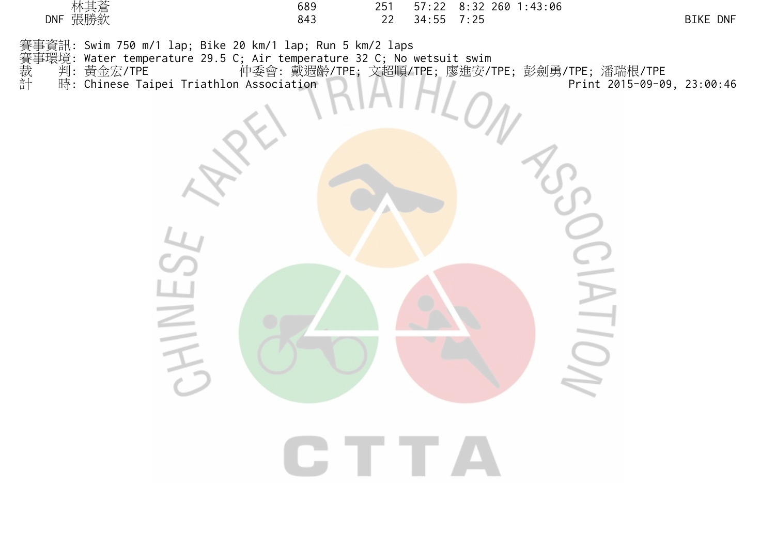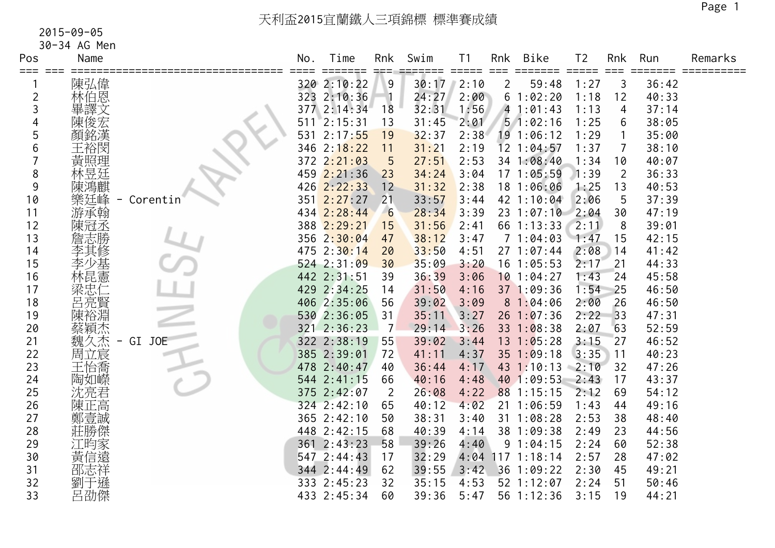| Pos     | Name       |          | No. | Time            | Rnk            | Swim  | T <sub>1</sub>              | Rnk                    | Bike           | T <sub>2</sub> | Rnk            | Run   | Remarks |
|---------|------------|----------|-----|-----------------|----------------|-------|-----------------------------|------------------------|----------------|----------------|----------------|-------|---------|
| === === | 陳弘偉        |          |     | 320 2:10:22     | 9              | 30:17 | $=$ $=$ $=$ $=$ $=$<br>2:10 | $==$<br>$\overline{2}$ | 59:48          | 1:27           | 3              | 36:42 |         |
| 2       | 林伯恩        |          |     | 323 2:10:36     |                | 24:27 | 2:00                        |                        | 61:02:20       | 1:18           | 12             | 40:33 |         |
| 3       | 畢譯文        |          |     | 377 2:14:34     | 18             | 32:31 | 1:56                        |                        | 41:01:43       | 1:13           | 4              | 37:14 |         |
| 4       | 陳俊宏        |          | 511 | 2:15:31         | 13             | 31:45 | 2:01                        |                        | 51:02:16       | 1:25           | 6              | 38:05 |         |
| 5       | 顏銘漢        |          | 531 | 2:17:55         | 19             | 32:37 | 2:38                        |                        | 19 1:06:12     | 1:29           |                | 35:00 |         |
| 6       | 王裕閔        |          |     | 346 2:18:22     | 11             | 31:21 | 2:19                        |                        | 12 1:04:57     | 1:37           | $\overline{7}$ | 38:10 |         |
|         | 黃照理        |          |     | 372 2:21:03     | 5              | 27:51 | 2:53                        |                        | 34 1:08:40     | 1:34           | 10             | 40:07 |         |
| 8       | 林昱廷        |          |     | 459 2:21:36     | 23             | 34:24 | 3:04                        |                        | 17 1:05:59     | 1:39           | $\overline{2}$ | 36:33 |         |
| 9       |            |          |     | 426 2:22:33     | 12             | 31:32 | 2:38                        |                        | 18 1:06:06     | 1:25           | 13             | 40:53 |         |
| 10      | 樂廷峰        | Corentin | 351 | 2:27:27         | 21             | 33:57 | 3:44                        |                        | 42 1:10:04     | 2:06           | 5              | 37:39 |         |
| 11      | 游承翰        |          |     | 434 2:28:44     | 6              | 28:34 | 3:39                        |                        | 231:07:10      | 2:04           | 30             | 47:19 |         |
| 12      | 陳冠丞        |          |     | 388 2:29:21     | 15             | 31:56 | 2:41                        |                        | 66 1:13:33     | 2:11           | 8              | 39:01 |         |
| 13      | 詹志勝        |          |     | 356 2:30:04     | 47             | 38:12 | 3:47                        |                        | 71:04:03       | 1:47           | 15             | 42:15 |         |
| 14      | 李其修        |          |     | 475 2:30:14     | 20             | 33:50 | 4:51                        |                        | 27 1:07:44     | 2:08           | 14             | 41:42 |         |
| 15      | 李少基        |          |     | $524$ $2:31:09$ | 30             | 35:09 | 3:20                        |                        | $16$ 1:05:53   | 2:17           | 21             | 44:33 |         |
| 16      | 林昆憲        |          |     | 442 2:31:51     | 39             | 36:39 | 3:06                        |                        | $10$ 1:04:27   | 1:43           | 24             | 45:58 |         |
| 17      | 深忠仁賢       |          |     | 429 2:34:25     | 14             | 31:50 | 4:16                        |                        | 37 1:09:36     | 1:54           | 25             | 46:50 |         |
| 18      |            |          |     | 406 2:35:06     | 56             | 39:02 | 3:09                        |                        | 81:04:06       | 2:00           | 26             | 46:50 |         |
| 19      | 陳裕淵        |          |     | 530 2:36:05     | 31             | 35:11 | 3:27                        |                        | $26$ 1:07:36   | 2:22           | 33             | 47:31 |         |
| 20      | 蔡穎杰        |          |     | 321 2:36:23     | $\overline{7}$ | 29:14 | 3:26                        |                        | $33 \t1:08:38$ | 2:07           | 63             | 52:59 |         |
| 21      | 魏久杰<br>$-$ | GI JOE   |     | 322 2:38:19     | 55             | 39:02 | 3:44                        |                        | $13 \t1:05:28$ | 3:15           | 27             | 46:52 |         |
| 22      | 周立宸        |          |     | 385 2:39:01     | 72             | 41:11 | 4:37                        |                        | $35$ 1:09:18   | 3:35           | 11             | 40:23 |         |
| 23      | 王怡喬        |          |     | 478 2:40:47     | 40             | 36:44 | 4:17                        |                        | 43 1:10:13     | 2:10           | 32             | 47:26 |         |
| 24      | 陶如嶸        |          |     | 544 2:41:15     | 66             | 40:16 | 4:48                        |                        | 40 1:09:53     | 2:43           | 17             | 43:37 |         |
| 25      | 沈亮君        |          |     | 375 2:42:07     | $\overline{2}$ | 26:08 | 4:22                        |                        | 88 1:15:15     | 2:12           | 69             | 54:12 |         |
| 26      | 陳正高        |          |     | 324 2:42:10     | 65             | 40:12 | 4:02                        |                        | 21 1:06:59     | 1:43           | 44             | 49:16 |         |
| 27      | 鄭壹誠        |          |     | 365 2:42:10     | 50             | 38:31 | 3:40                        |                        | 31 1:08:28     | 2:53           | 38             | 48:40 |         |
| 28      | 莊勝傑        |          |     | 448 2:42:15     | 68             | 40:39 | 4:14                        |                        | 38 1:09:38     | 2:49           | 23             | 44:56 |         |
| 29      | 江昀家<br>黄信遠 |          |     | 361 2:43:23     | 58             | 39:26 | 4:40                        |                        | 91:04:15       | 2:24           | 60             | 52:38 |         |
| 30      |            |          |     | 547 2:44:43     | 17             | 32:29 | 4:04                        |                        | $117$ 1:18:14  | 2:57           | 28             | 47:02 |         |
| 31      | 邵志祥        |          |     | 344 2:44:49     | 62             | 39:55 | 3:42                        | 36                     | 1:09:22        | 2:30           | 45             | 49:21 |         |
| 32      | 于遜<br>劉    |          |     | 333 2:45:23     | 32             | 35:15 | 4:53                        |                        | 52 1:12:07     | 2:24           | 51             | 50:46 |         |
| 33      | 呂劭傑        |          |     | 433 2:45:34     | 60             | 39:36 | 5:47                        |                        | 56 1:12:36     | 3:15           | 19             | 44:21 |         |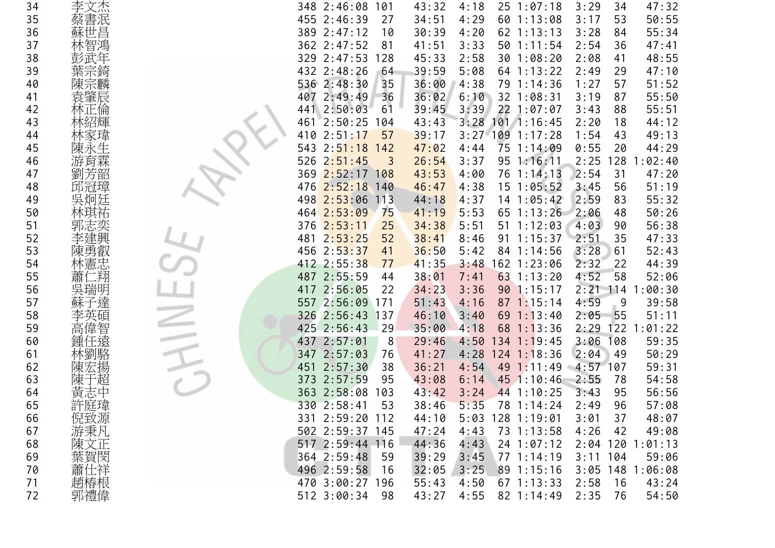| 34 | 李文杰     | 348 2:46:08<br>47:32<br>101<br>43:32<br>4:18<br>$25 \t1:07:18$<br>3:29<br>34                             |
|----|---------|----------------------------------------------------------------------------------------------------------|
| 35 | 書泯      | 455 2:46:39<br>60 1:13:08<br>50:55<br>27<br>34:51<br>4:29<br>3:17<br>53                                  |
| 36 | 蘇世昌     | 389 2:47:12<br>4:20<br>62 1:13:13<br>55:34<br>30:39<br>3:28<br>10<br>84                                  |
| 37 | 智鴻      | 362 2:47:52<br>3:33<br>50 1:11:54<br>2:54<br>47:41<br>81<br>41:51<br>36                                  |
| 38 |         | 329 2:47:53<br>128<br>2:58<br>30 1:08:20<br>48:55<br>45:33<br>2:08<br>41                                 |
| 39 | 葉宗錡     | 432 2:48:26<br>5:08<br>64 1:13:22<br>47:10<br>64<br>39:59<br>2:49<br>29                                  |
| 40 | 陳宗麟     | 536 2:48:30<br>35<br>36:00<br>4:38<br>79 1:14:36<br>51:52<br>1:27<br>57                                  |
| 41 | 袁肇辰     | 407 2:49:49<br>36<br>36:02<br>6:10<br>32 1:08:31<br>55:50<br>3:19<br>87                                  |
| 42 |         | 39:45<br>3:39<br>22 1:07:07<br>55:51<br>2:50:03<br>61<br>3:43<br>88<br>441                               |
| 43 |         | 2:50:25<br>3:28<br>$101$ 1:16:45<br>44:12<br>461<br>104<br>43:43<br>2:20<br>18                           |
| 44 |         | 57<br>$3:27$ 109<br>49:13<br>410<br>2:51:17<br>39:17<br>1:17:28<br>1:54<br>43                            |
| 45 | 陳永生     | 75 1:14:09<br>0:55<br>44:29<br>543<br>2:51:18<br>47:02<br>20<br>142<br>4:44                              |
| 46 | 游育霖     | 2:51:45<br>95<br>526<br>26:54<br>3:37<br>1:16:11<br>2:25<br>128<br>1:02:40<br>$\overline{\phantom{a}}$ 3 |
| 47 | 劉芳韶     | 369 2:52:17 108<br>4:00<br>76 1:14:13<br>2:54<br>31<br>47:20<br>43:53                                    |
| 48 | 邱冠璋     | 476<br>2:52:18<br>51:19<br>140<br>46:47<br>4:38<br>$15 \t1:05:52$<br>3:45<br>56                          |
| 49 | 吳炯廷     | 2:53:06<br>113<br>2:59<br>55:32<br>498<br>44:18<br>4:37<br>$14$ 1:05:42<br>83                            |
| 50 |         | 464 2:53:09<br>75<br>5:53<br>65 1:13:26<br>50:26<br>41:19<br>2:06<br>48                                  |
| 51 |         | 51 1:12:03<br>56:38<br>376 2:53:11<br>25<br>34:38<br>5:51<br>4:03<br>90                                  |
| 52 | 建興      | 2:53:25<br>52<br>38:41<br>1:15:37<br>47:33<br>481<br>8:46<br>91<br>2:51<br>35                            |
| 53 | 陳勇叡     | 456 2:53:37<br>41<br>5:42<br>3:28<br>52:43<br>36:50<br>84 1:14:56<br>61                                  |
| 54 | 林憲忠     | 412 2:55:38<br>162 1:23:06<br>44:39<br>77<br>41:35<br>3:48<br>2:32<br>22                                 |
| 55 | 二翔<br>蕭 | 487 2:55:59<br>63 1:13:20<br>52:06<br>44<br>38:01<br>7:41<br>4:52<br>58                                  |
| 56 | 吳瑞明     | 417 2:56:05<br>3:36<br>90 1:15:17<br>$2:21$ 114<br>:00:30<br>22<br>34:23                                 |
| 57 |         | 557 2:56:09<br>4:59<br>39:58<br>171<br>51:43<br>4:16<br>$87 \t1:15:14$<br>9                              |
| 58 | 李英碩     | 326 2:56:43 137<br>69 1:13:40<br>55<br>51:11<br>46:10<br>3:40<br>2:05                                    |
| 59 | 高偉智     | 425 2:56:43<br>29<br>$68$ 1:13:36<br>2:29<br>122<br>: 01:22<br>35:00<br>4:18                             |
| 60 | 鍾任遠     | 3:06<br>108<br>59:35<br>437 2:57:01<br>29:46<br>4:50<br>$134$ 1:19:45<br>8                               |
| 61 | 林劉駱     | 347 2:57:03<br>4:28<br>$124$ 1:18:36<br>2:04<br>50:29<br>76<br>41:27<br>49                               |
| 62 |         | 2:57:30<br>4:54<br>49<br>59:31<br>451<br>38<br>36:21<br>1:11:49<br>$4:57$ 107                            |
| 63 | 超<br>陳  | 54:58<br>373 2:57:59<br>95<br>6:14<br>45 1:10:46<br>2:55<br>78<br>43:08                                  |
| 64 | 中<br>黃志 | 363 2:58:08<br>3:24<br>44 1:10:25<br>56:56<br>103<br>43:42<br>3:43<br>95                                 |
| 65 |         | 330 2:58:41<br>53<br>38:46<br>5:35<br>78 1:14:24<br>96<br>57:08<br>2:49                                  |
| 66 | 倪致源     | 331 2:59:20 112<br>44:10<br>5:03 128 1:19:01<br>3:01<br>37<br>48:07                                      |
| 67 | 游秉凡     | 502 2:59:37 145<br>4:43<br>4:26<br>47:24<br>73 1:13:58<br>42<br>49:08                                    |
| 68 | 陳文正     | 517 2:59:44 116<br>44:36<br>4:43<br>24 1:07:12<br>2:04 120 1:01:13                                       |
| 69 | 葉賀閔     | 364 2:59:48<br>- 59<br>39:29<br>3:45<br>771:14:19<br>$3:11$ 104<br>59:06                                 |
| 70 | 蕭仕祥     | 496 2:59:58<br>32:05<br>3:25<br>16<br>89 1:15:16<br>$3:05$ 148 1:06:08                                   |
| 71 | 趙椿根     | 470 3:00:27 196<br>67 1:13:33<br>55:43<br>4:50<br>2:58<br>43:24<br>16                                    |
| 72 | 郭禮偉     | 512 3:00:34<br>82 1:14:49<br>2:35<br>54:50<br>-98<br>43:27<br>4:55<br>76                                 |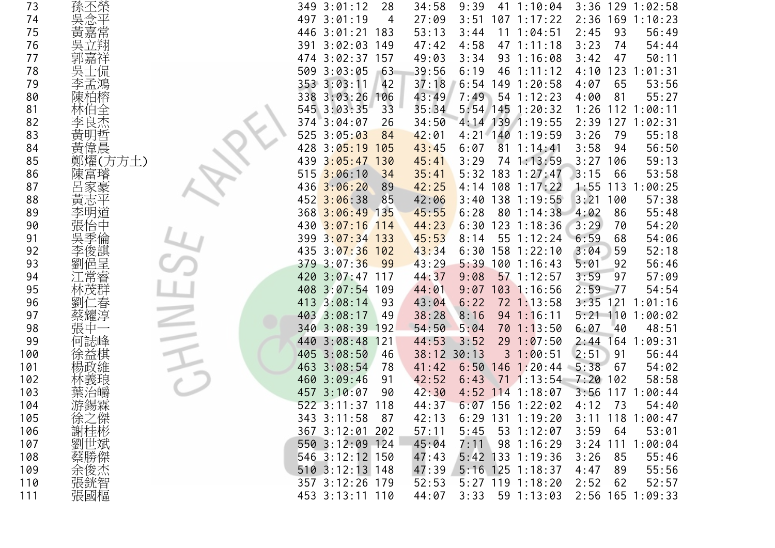| 73  | 孫丕榮        | 349 3:01:12              | 28             | 34:58           | 9:39 |     | $41 \t1:10:04$     | $3:36$ 129 1:02:58 |             |
|-----|------------|--------------------------|----------------|-----------------|------|-----|--------------------|--------------------|-------------|
| 74  |            | 3:01:19<br>497           | 4              | 27:09           | 3:51 |     | $107$ 1:17:22      | 169<br>2:36        | 1:10:23     |
| 75  | 黃嘉常        | $3:01:21$ 183<br>446     |                | 53:13           | 3:44 | 11  | 1:04:51            | 2:45<br>93         | 56:49       |
| 76  | 吳立翔        | $3:02:03$ 149<br>391     |                | 47:42           | 4:58 |     | 47 1:11:18         | 3:23<br>74         | 54:44       |
| 77  |            | 3:02:37<br>474           | 157            | 49:03           | 3:34 |     | 93 1:16:08         | 3:42<br>47         | 50:11       |
| 78  | 吳-         | 3:03:05<br>509           | $-63$          | 39:56           | 6:19 |     | 46 1:11:12         | 4:10<br>123        | 1:01:31     |
| 79  | 李孟鴻        | 353 3:03:11              | 42             | 37:18           | 6:54 |     | 149 1:20:58        | 65<br>4:07         | 53:56       |
| 80  | 陳柏榕        | $3:03:26$ 106<br>338     |                | 43:49           | 7:49 |     | 54 1:12:23         | 4:00<br>81         | 55:27       |
| 81  | 林伯全        | 545 3:03:35              | 3 <sup>3</sup> | 35:34           |      |     | 5:54 145 1:20:32   | 1:26<br>112        | 1:00:11     |
| 82  | 李良杰        | 374 3:04:07              | 26             | 34:50           |      |     | 4:14 139 1:19:55   | 2:39<br>127        | 1:02:31     |
| 83  | 黃          | 525<br>3:05:03           | 84             | 42:01           |      |     | 4:21 140 1:19:59   | 79<br>3:26         | 55:18       |
| 84  | 黃偉晨        | 428<br>3:05:19           | 105            | 43:45           | 6:07 |     | $81 \t1:14:41$     | 3:58<br>94         | 56:50       |
| 85  | 鄭燿(方方土)    | $3:05:47$ 130<br>439     |                | 45:41           | 3:29 |     | 74 1:13:59         | 3:27<br>106        | 59:13       |
| 86  | 陳富璿        | 3:06:10<br>515           | 34             | 35:41           |      |     | 5:32 183 1:27:47   | 3:15<br>66         | 53:58       |
| 87  |            | 436<br>3:06:20           | 89             | 42:25           |      |     | $4:14$ 108 1:17:22 | 1:55<br>113        | 1:00:25     |
| 88  | 黃志平        | $452 \overline{3:06:38}$ | 85             | 42:06           |      |     | 3:40 138 1:19:55   | 3:21<br>100        | 57:38       |
| 89  |            | 368 3:06:49 135          |                | 45:55           | 6:28 |     | 80 1:14:38         | 4:02<br>86         | 55:48       |
| 90  |            | 430 3:07:16 114          |                | 44:23           | 6:30 |     | $123$ $1:18:36$    | 3:29<br>70         | 54:20       |
| 91  | 季          | 399 3:07:34 133          |                | 45:53           | 8:14 |     | 55 1:12:24         | 6:59<br>68         | 54:06       |
| 92  | 俊諆         | 435 3:07:36 102          |                | 43:34           | 6:30 |     | 158 1:22:10        | 3:04<br>59         | 52:18       |
| 93  | 俋<br>呈     | 379 3:07:36              | - 99           | 43:29           | 5:39 |     | 1001:16:43         | 5:01<br>92         | 56:46       |
| 94  |            | $3:07:47$ 117<br>420     |                | 44:37           | 9:08 |     | $57$ 1:12:57       | 3:59<br>97         | 57:09       |
| 95  |            | 3:07:54<br>408           | 109            | 44:01           | 9:07 |     | 103 1:16:56        | 2:59<br>-77        | 54:54       |
| 96  |            | 3:08:14<br>413           | 93             | 43:04           | 6:22 |     | 72 1:13:58         | $3:35$ 121         | 1:01:16     |
| 97  | 蔡耀淳        | 403<br>3:08:17           | 49             | 38:28           | 8:16 |     | 94 1:16:11         | $5:21$ 110 1:00:02 |             |
| 98  |            | 340 3:08:39 192          |                | 54:50           | 5:04 |     | 70 1:13:50         | 6:07<br>40         | 48:51       |
| 99  | 何誌峰        | 3:08:48<br>440           | 121            | 44:53           | 3:52 |     | 291:07:50          | $2:44$ 164         | 1:09:31     |
| 100 | 徐益棋        | 3:08:50<br>405           | 46             | $38:12$ $30:13$ |      |     | 31:00:51           | 2:51<br>91         | 56:44       |
| 101 |            | 463<br>3:08:54           | 78             | 41:42           | 6:50 | 146 | 1:20:44            | 5:38<br>67         | 54:02       |
| 102 |            | 460 3:09:46              | 91             | 42:52           | 6:43 |     | $71 \t1:13:54$     | 7:20<br>102        | 58:58       |
| 103 | 葉治皭        | 457 3:10:07              | 90             | 42:30           |      |     | 4:52 114 1:18:07   | 117<br>3:56        | 1:00:44     |
| 104 | 游錫霖        | 522 3:11:37 118          |                | 44:37           |      |     | $6:07$ 156 1:22:02 | 4:12<br>73         | 54:40       |
| 105 | 徐之傑<br>謝桂彬 | 343 3:11:58              | 87             | 42:13           |      |     | $6:29$ 131 1:19:20 | $3:11$ 118         | 1:00:47     |
| 106 |            | 367 3:12:01 202          |                | 57:11           | 5:45 |     | 53 1:12:07         | 3:59<br>64         | 53:01       |
| 107 | 劉世斌        | 550 3:12:09 124          |                | 45:04           | 7:11 |     | 98 1:16:29         | 3:24               | 111 1:00:04 |
| 108 | 蔡勝傑        | 546 3:12:12 150          |                | 47:43           |      |     | 5:42 133 1:19:36   | 3:26<br>85         | 55:46       |
| 109 | 余俊杰智       | 510 3:12:13 148          |                | 47:39           |      |     | 5:16 125 1:18:37   | 4:47<br>89         | 55:56       |
| 110 |            | 357 3:12:26 179          |                | 52:53           |      |     | $5:27$ 119 1:18:20 | 2:52<br>62         | 52:57       |
| 111 | 張國樞        | 453 3:13:11 110          |                | 44:07           | 3:33 |     | 59 1:13:03         | 2:56 165 1:09:33   |             |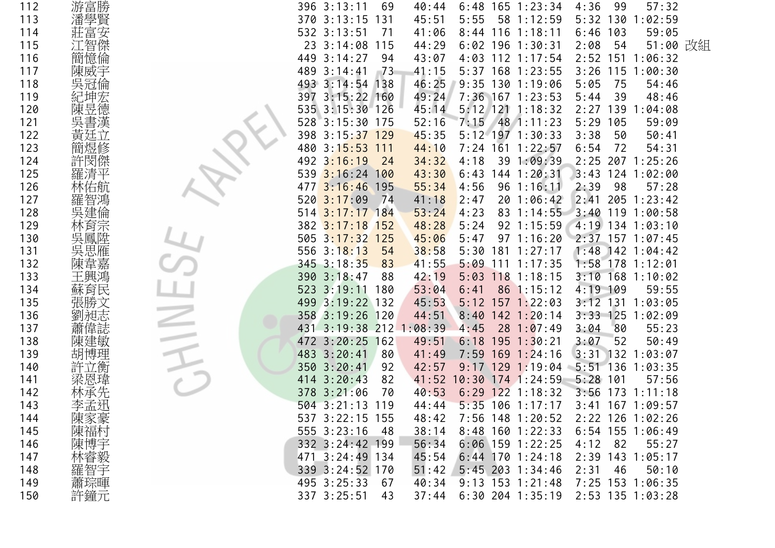| 112 | 游富勝        | 396 3:13:11<br>$165$ 1:23:34<br>4:36<br>99<br>57:32<br>69<br>40:44<br>6:48          |
|-----|------------|-------------------------------------------------------------------------------------|
| 113 | 潘學賢        | 370 3:13:15<br>131<br>45:51<br>5:55<br>58 1:12:59<br>5:32<br>130<br>1:02:59         |
| 114 | 富安         | 1:18:11<br>59:05<br>532 3:13:51<br>71<br>41:06<br>6:46<br>103<br>8:44<br>116        |
| 115 | 江智傑        | 51:00 改組<br>23 3:14:08<br>115<br>44:29<br>$6:02$ 196 1:30:31<br>2:08<br>54          |
| 116 | 簡憶倫        | 449 3:14:27<br>94<br>4:03 112 1:17:54<br>2:52<br>151<br>1:06:32<br>43:07            |
| 117 | 陳威宇        | 5:37 168 1:23:55<br>3:26<br>115<br>1:00:30<br>489<br>3:14:41<br>$-73$<br>41:15      |
| 118 | 吳冠倫        | $3:14:54$ 138<br>9:35 130 1:19:06<br>5:05<br>75<br>493<br>46:25<br>54:46            |
| 119 |            | $3:15:22$ 160<br>49:24<br>7:36 167 1:23:53<br>48:46<br>397<br>5:44<br>39            |
| 120 | 德<br>陳     | 45:14<br>5:12 121 1:18:32<br>1:04:08<br>535<br>$3:15:30$ 126<br>139<br>2:27         |
| 121 |            | 528 3:15:30 175<br>$48$ 1:11:23<br>59:09<br>52:16<br>7:15<br>5:29<br>105            |
| 122 |            | $3:15:37$ 129<br>5:12 197 1:30:33<br>3:38<br>50:41<br>398<br>45:35<br>50            |
| 123 |            | 7:24 161 1:22:57<br>480<br>3:15:53<br>111<br>44:10<br>6:54<br>72<br>54:31           |
| 124 |            | 4:18<br>1:09:39<br>2:25<br>207 1:25:26<br>3:16:19<br>24<br>34:32<br>39<br>492       |
| 125 |            | $3:16:24$ 100<br>144 1:20:31<br>3:43<br>124<br>1:02:00<br>539<br>43:30<br>6:43      |
| 126 | 右航         | $3:16:46$ 195<br>55:34<br>4:56<br>96<br>1:16:11<br>2:39<br>98<br>57:28<br>477       |
| 127 |            | 3:17:09<br>74<br>2:41<br>205<br>1:23:42<br>520<br>41:18<br>2:47<br>20<br>1:06:42    |
| 128 |            | $3:17:17$ 184<br>53:24<br>4:23<br>83<br>1:14:55<br>3:40<br>119<br>1:00:58<br>514    |
| 129 | 月示         | 1:15:59<br>382 3:17:18 152<br>48:28<br>5:24<br>92<br>4:19 134 1:03:10               |
| 130 |            | 505 3:17:32 125<br>$157$ 1:07:45<br>45:06<br>97<br>1:16:20<br>2:37<br>5:47          |
| 131 | 思雁         | 556 3:18:13<br>54<br>181<br>1:48<br>$142$ 1:04:42<br>38:58<br>5:30<br>1:27:17       |
| 132 | 韋嘉<br>陳    | $345$ 3:18:35<br>41:55<br>$5:09$ 111 1:17:35<br>1:58<br>$178$ 1:12:01<br>83         |
| 133 | 王興鴻        | 390 3:18:47<br>3:10<br>$168$ 1:10:02<br>88<br>42:19<br>5:03<br>$118$ 1:18:15        |
| 134 | 蘇育民        | 3:19:11<br>59:55<br>523<br>180<br>53:04<br>86 1:15:12<br>4:19 109<br>6:41           |
| 135 |            | 499 3:19:22 132<br>3:12 131 1:03:05<br>45:53<br>$157$ 1:22:03<br>5:12               |
| 136 | 昶志         | 358 3:19:26 120<br>3:33 125 1:02:09<br>44:51<br>8:40<br>$142$ 1:20:14               |
| 137 | 偉誌         | 3:19:38 212 1:08:39<br>80<br>55:23<br>431<br>28<br>1:07:49<br>3:04<br>4:45          |
| 138 | 陳          | 472 3:20:25 162<br>3:07<br>52<br>50:49<br>49:51<br>6:18<br>$195$ $1:30:21$          |
| 139 | 博理<br>胡    | 3:20:41<br>169<br>$132$<br>1:03:07<br>483<br>80<br>7:59<br>1:24:16<br>3:31<br>41:49 |
| 140 |            | 3:20:41<br>$9:17$ 129 1:19:04<br>$5:51$ 136<br>1:03:35<br>92<br>42:57<br>350        |
| 141 | 梁恩         | 3:20:43<br>82<br>41:52<br>10:30 174 1:24:59<br>5:28<br>101<br>57:56<br>414          |
| 142 |            | 173<br>378<br>3:21:06<br>70<br>40:53<br>6:29<br>$122$ 1:18:32<br>3:56<br>1:11:18    |
| 143 | 李孟迅        | $504$ 3:21:13<br>$5:35$ 106 1:17:17<br>3:41 167 1:09:57<br>119<br>44:44             |
| 144 | 陳家豪<br>陳福村 | 537 3:22:15 155<br>48:42<br>7:56 148 1:20:52<br>2:22 126 1:02:26                    |
| 145 |            | 555 3:23:16<br>$6:54$ 155 1:06:49<br>38:14<br>$8:48$ 160 1:22:33<br>- 48            |
| 146 |            | 332 3:24:42 199<br>56:34<br>$6:06$ 159 1:22:25<br>82<br>4:12<br>55:27               |
| 147 | 陳博宇毅       | 471 3:24:49 134<br>45:54<br>$6:44$ 170 1:24:18<br>2:39 143 1:05:17                  |
| 148 | 羅智宇        | 339 3:24:52 170<br>2:31<br>51:42<br>$5:45$ 203 1:34:46<br>46<br>50:10               |
| 149 | 蕭琮暉        | 495 3:25:33<br>$9:13$ 153 1:21:48<br>67<br>40:34<br>7:25 153 1:06:35                |
| 150 | 許鐘元        | 337 3:25:51<br>2:53 135 1:03:28<br>$6:30$ 204 1:35:19<br>43<br>37:44                |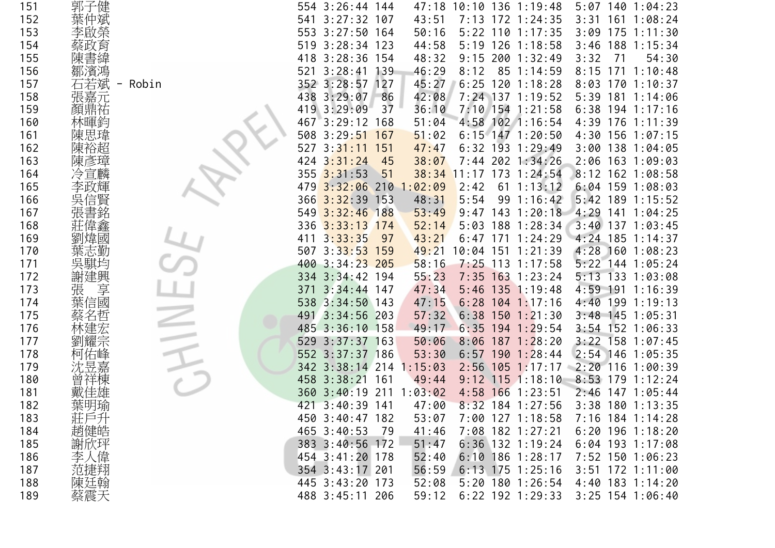| 151 | 郭子健     |       | 554 3:26:44 144         |       |         |      | 47:18 10:10 136 1:19:48 | $5:07$ 140 1:04:23 |                 |
|-----|---------|-------|-------------------------|-------|---------|------|-------------------------|--------------------|-----------------|
| 152 |         |       | $3:27:32$ 107<br>541    |       | 43:51   |      | 7:13 172 1:24:35        | 3:31               | $161 \t1:08:24$ |
| 153 | 啟榮      |       | 553 3:27:50 164         |       | 50:16   |      | $5:22$ 110 1:17:35      | 3:09               | $175$ 1:11:30   |
| 154 | 育       |       | 519 3:28:34 123         |       | 44:58   |      | 5:19 126 1:18:58        | 3:46               | 188 1:15:34     |
| 155 |         |       | $3:28:36$ 154<br>418    |       | 48:32   |      | $9:15$ 200 1:32:49      | 3:32<br>71         | 54:30           |
| 156 | 鄒濱馮     |       | $3:28:41$ 139<br>521    |       | 46:29   | 8:12 | 85 1:14:59              | 8:15<br>171        | 1:10:48         |
| 157 | 石若斌     | Robin | 352 3:28:57 127         |       | 45:27   |      | $6:25$ 120 1:18:28      | 8:03               | 1701:10:37      |
| 158 | 張嘉元     |       | 438 3:29:07             | $-86$ | 42:08   |      | 7:24 137 1:19:52        | 5:39               | 181 1:14:06     |
| 159 | 顏鼎祐     |       | 419 3:29:09             | 37    | 36:10   |      | 7:10 154 1:21:58        | 6:38               | $194$ 1:17:16   |
| 160 |         |       | 467 3:29:12 168         |       | 51:04   |      | 4:58 102 1:16:54        | 4:39               | $176$ 1:11:39   |
| 161 | 陳思瑋     |       | 508 3:29:51             | 167   | 51:02   |      | $6:15$ 147 1:20:50      | 4:30 156 1:07:15   |                 |
| 162 | 陳裕超     |       | 527<br>3:31:11          | 151   | 47:47   |      | $6:32$ 193 1:29:49      | 3:00 138 1:04:05   |                 |
| 163 | 陳彥璋     |       | $424$ $3:31:24$         | 45    | 38:07   |      | 7:44 202 1:34:26        | 2:06 163 1:09:03   |                 |
| 164 | 冷宣麟     |       | $355$ $3:31:53$         | 51    |         |      | 38:34 11:17 173 1:24:54 | 8:12 162 1:08:58   |                 |
| 165 | 攺輝      |       | $3:32:06$ 210<br>479    |       | 1:02:09 | 2:42 | $61 \; 1:13:12$         | $6:04$ 159 1:08:03 |                 |
| 166 |         |       | 366 3:32:39 153         |       | 48:31   | 5:54 | 99 1:16:42              | 5:42 189 1:15:52   |                 |
| 167 |         |       | 549 3:32:46 188         |       | 53:49   |      | $9:47$ 143 1:20:18      | 4:29               | $141$ $1:04:25$ |
| 168 |         |       | 336 3:33:13 174         |       | 52:14   |      | 5:03 188 1:28:34        | $3:40$ 137 1:03:45 |                 |
| 169 | 煒國      |       | 3:33:35<br>411          | 97    | 43:21   |      | $6:47$ 171 1:24:29      | 4:24 185 1:14:37   |                 |
| 170 |         |       | $3:33:53$ 159<br>507    |       | 49:21   |      | 10:04 151 1:21:39       | 4:28               | 1601:08:23      |
| 171 |         |       | 400 3:34:23 205         |       | 58:16   |      | $7:25$ 113 1:17:58      | $5:22$ 144 1:05:24 |                 |
| 172 | 謝建興     |       | 334 3:34:42 194         |       | 55:23   |      | $7:35$ 163 1:23:24      | 5:13 133 1:03:08   |                 |
| 173 | 享<br>張  |       | $3:34:44$ 147<br>371    |       | 47:34   |      | 5:46 135 1:19:48        | $4:59$ 191         | 1:16:39         |
| 174 | 國<br>葉信 |       | 538 3:34:50 143         |       | 47:15   |      | $6:28$ 104 1:17:16      | 4:40 199 1:19:13   |                 |
| 175 |         |       | $3:34:56$ 203<br>491    |       | 57:32   |      | $6:38$ 150 1:21:30      | $3:48$ 145 1:05:31 |                 |
| 176 |         |       | 485 3:36:10 158         |       | 49:17   |      | $6:35$ 194 1:29:54      | 3:54 152 1:06:33   |                 |
| 177 |         |       | 529 3:37:37 163         |       | 50:06   |      | $8:06$ 187 1:28:20      | $3:22$ 158 1:07:45 |                 |
| 178 |         |       | 552 3:37:37 186         |       | 53:30   |      | $6:57$ 190 1:28:44      | 2:54 146 1:05:35   |                 |
| 179 |         |       | 342 3:38:14 214         |       | 1:15:03 |      | $2:56$ 105 1:17:17      | $2:20$ 116 1:00:39 |                 |
| 180 |         |       | 458 3:38:21 161         |       | 49:44   |      | $9:12$ 115 1:18:10      | $8:53$ 179 1:12:24 |                 |
| 181 |         |       | 360 3:40:19 211 1:03:02 |       |         |      | 4:58 166 1:23:51        | $2:46$ 147 1:05:44 |                 |
| 182 | 葉明瑜     |       | 421 3:40:39 141         |       | 47:00   |      | $8:32$ 184 1:27:56      | 3:38 180 1:13:35   |                 |
| 183 | 莊戶升     |       | 450 3:40:47 182         |       | 53:07   |      | 7:00 127 1:18:58        | 7:16 184 1:14:28   |                 |
| 184 | 趙健皓     |       | 465 3:40:53             | 79    | 41:46   |      | 7:08 182 1:27:21        | $6:20$ 196 1:18:20 |                 |
| 185 | 謝欣玶     |       | 383 3:40:56 172         |       | 51:47   |      | $6:36$ 132 1:19:24      | $6:04$ 193 1:17:08 |                 |
| 186 | 李人偉     |       | 454 3:41:20 178         |       | 52:40   |      | $6:10$ 186 1:28:17      | 7:52 150 1:06:23   |                 |
| 187 | 范捷翔     |       | 354 3:43:17 201         |       | 56:59   |      | $6:13$ 175 1:25:16      | $3:51$ 172 1:11:00 |                 |
| 188 | 陳廷翰     |       | 445 3:43:20 173         |       | 52:08   |      | $5:20$ 180 1:26:54      | 4:40 183 1:14:20   |                 |
| 189 | 蔡震天     |       | 488 3:45:11 206         |       | 59:12   |      | $6:22$ 192 1:29:33      | $3:25$ 154 1:06:40 |                 |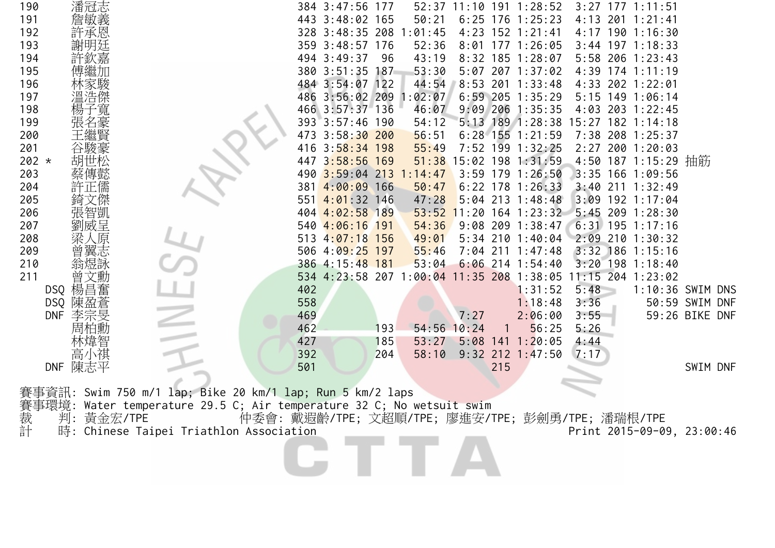| 190                      | 潘冠志        |                                                                       | 384 3:47:56                                      | 177 |               |             |     | 52:37 11:10 191 1:28:52 |              | $3:27$ 177 1:11:51         |                                  |
|--------------------------|------------|-----------------------------------------------------------------------|--------------------------------------------------|-----|---------------|-------------|-----|-------------------------|--------------|----------------------------|----------------------------------|
| 191                      | 詹敏義        |                                                                       | 443 3:48:02 165                                  |     | 50:21         | $6:25$ 176  |     | 1:25:23                 | 4:13         | 201 1:21:41                |                                  |
| 192                      | 許承恩        |                                                                       | 328 3:48:35 208                                  |     | :01:45        |             |     | 4:23 152 1:21:41        |              | 4:17 190 1:16:30           |                                  |
| 193                      | 謝明廷        |                                                                       | 359 3:48:57 176                                  |     | 52:36         |             |     | 8:01 177 1:26:05        |              | $3:44$ 197 1:18:33         |                                  |
| 194                      | 許欽嘉        |                                                                       | 494 3:49:37                                      | 96  | 43:19         | $8:32$ 185  |     | 1:28:07                 |              | 5:58 206 1:23:43           |                                  |
| 195                      |            |                                                                       | 380 3:51:35                                      | 187 | 53:30         |             |     | 5:07 207 1:37:02        |              | 4:39 174 1:11:19           |                                  |
| 196                      |            |                                                                       | 484 3:54:07 122                                  |     | 44:54         | 8:53        |     | 201 1:33:48             |              | 4:33 202 1:22:01           |                                  |
| 197                      | 溫浩傑        |                                                                       | 486 3:56:02 209                                  |     | :02:07        | $6:59$ 205  |     | 1:35:29                 |              | 5:15 149 1:06:14           |                                  |
| 198                      | 「寬         |                                                                       | 466 3:57:37 136                                  |     | 46:07         | $9:09$ 206  |     | 1:35:35                 |              | 4:03 203 1:22:45           |                                  |
| 199                      |            |                                                                       | 393 3:57:46 190                                  |     | 54:12         |             |     | 5:13 189 1:28:38        | 15:27        | $182$ 1:14:18              |                                  |
| 200                      |            |                                                                       | $3:58:30$ 200<br>473                             |     | 56:51         | $6:28$ 155  |     | 1:21:59                 | 7:38         | 208 1:25:37                |                                  |
| 201                      |            |                                                                       | $3:58:34$ 198<br>416                             |     | 55:49         |             |     | 7:52 199 1:32:25        |              | 2:27 200 1:20:03           |                                  |
| $202 *$                  | 胡世松        |                                                                       | 447 3:58:56 169                                  |     | 51:38         | 15:02 198   |     | 1:31:59                 |              | 4:50 187 1:15:29 抽筋        |                                  |
| 203                      | 蔡傳懿        |                                                                       | 490 3:59:04 213                                  |     | 1:14:47       | $3:59$ 179  |     | 1:26:50                 |              | 3:35 166 1:09:56           |                                  |
| 204                      | 許正儒        |                                                                       | 4:00:09 166<br>381                               |     | 50:47         |             |     | $6:22$ 178 1:26:33      |              | $3:40$ 211 1:32:49         |                                  |
| 205                      | 〔傑         |                                                                       | $4:01:32$ 146<br>551                             |     | 47:28         |             |     | $5:04$ 213 1:48:48      |              | 3:09 192 1:17:04           |                                  |
| 206                      | 張智凱        |                                                                       | 404 4:02:58 189                                  |     | 53:52         |             |     | $11:20$ 164 1:23:32     |              | 5:45 209 1:28:30           |                                  |
| 207                      | 劉威呈        |                                                                       | 540 4:06:16                                      | 191 | 54:36         | $9:08$ 209  |     | 1:38:47                 |              | $6:31$ 195 1:17:16         |                                  |
| 208                      | (原         |                                                                       | 4:07:18 156<br>513                               |     | 49:01         | $5:34$ 210  |     | 1:40:04                 |              | 2:09 210 1:30:32           |                                  |
| 209                      | 曾翼志        |                                                                       | 506 4:09:25 197                                  |     | 55:46         |             |     | $7:04$ 211 1:47:48      | 3:32         | $186$ 1:15:16              |                                  |
| 210                      | 翁煜詠        |                                                                       | 386 4:15:48 181                                  |     | 53:04         | $6:06$ 214  |     | 1:54:40                 | 3:20         | 198 1:18:40                |                                  |
| 211                      | 文勳<br>曽    |                                                                       | 534 4:23:58 207 1:00:04                          |     |               | $11:35$ 208 |     | 1:38:05                 |              | 11:15 204 1:23:02          |                                  |
| DSQ                      | 楊昌奮        |                                                                       | 402                                              |     |               |             |     | 1:31:52                 | 5:48         |                            | 1:10:36 SWIM DNS                 |
| <b>DSQ</b><br><b>DNF</b> | :盈蒼<br>陳   |                                                                       | 558<br>469                                       |     |               | 7:27        |     | 1:18:48<br>2:06:00      | 3:36<br>3:55 |                            | 50:59 SWIM DNF<br>59:26 BIKE DNF |
|                          | 李宗旻<br>周柏勳 |                                                                       | 462                                              | 193 | $54:56$ 10:24 |             |     | 56:25                   | 5:26         |                            |                                  |
|                          | 林煒智        |                                                                       | 427                                              | 185 | 53:27         | $5:08$ 141  |     | 1:20:05                 | 4:44         |                            |                                  |
|                          | 高小祺        |                                                                       | 392                                              | 204 | 58:10         | 9:32        | 212 | 1:47:50                 | 7:17         |                            |                                  |
| <b>DNF</b>               | 陳志平        |                                                                       | 501                                              |     |               |             | 215 |                         |              |                            | SWIM DNF                         |
|                          |            |                                                                       |                                                  |     |               |             |     |                         |              |                            |                                  |
| 事資訊:                     |            | Swim 750 m/1 lap; Bike 20 km/1 lap; Run 5 km/2 laps                   |                                                  |     |               |             |     |                         |              |                            |                                  |
|                          |            | 賽事環境: Water temperature 29.5 C; Air temperature 32 C; No wetsuit swim |                                                  |     |               |             |     |                         |              |                            |                                  |
|                          | 判:黃金宏/TPE  |                                                                       | 仲委會: 戴遐齡/TPE; 文超順/TPE; 廖進安/TPE; 彭劍勇/TPE; 潘瑞根/TPE |     |               |             |     |                         |              |                            |                                  |
| 裁計                       |            | 時: Chinese Taipei Triathlon Association                               |                                                  |     |               |             |     |                         |              | Print 2015-09-09, 23:00:46 |                                  |
|                          |            |                                                                       |                                                  |     |               |             |     |                         |              |                            |                                  |
|                          |            |                                                                       |                                                  |     |               |             |     |                         |              |                            |                                  |
|                          |            |                                                                       |                                                  |     |               |             |     |                         |              |                            |                                  |
|                          |            |                                                                       |                                                  |     |               |             |     |                         |              |                            |                                  |
|                          |            |                                                                       |                                                  |     |               |             |     |                         |              |                            |                                  |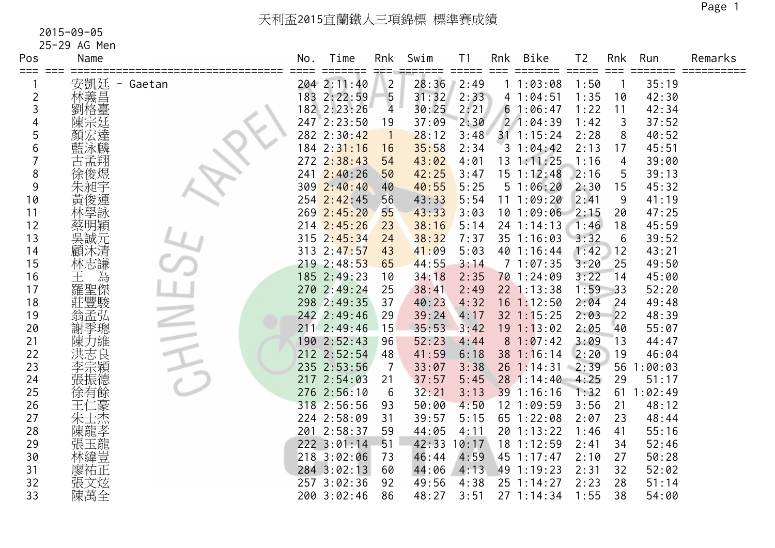25-29 AG Men

| Pos            | Name            | No. | Time                 | Rnk            | Swim  | Τ1<br>$=$ $=$ $=$ $=$ $=$ | Rnk  | <b>Bike</b>    | T <sub>2</sub> | Rnk | Run     | Remarks |
|----------------|-----------------|-----|----------------------|----------------|-------|---------------------------|------|----------------|----------------|-----|---------|---------|
| ===            | 安凱廷<br>- Gaetan |     | =====<br>204 2:11:40 | $\overline{2}$ | 28:36 | 2:49                      | $==$ | 11:03:08       | =====<br>1:50  |     | 35:19   |         |
| $\overline{c}$ | 林義昌             |     | 183 2:22:59          | 5              | 31:32 | 2:33                      |      | 41:04:51       | 1:35           | 10  | 42:30   |         |
| 3              | 劉格臺             |     | 182 2:23:26          | $\overline{4}$ | 30:25 | 2:21                      |      | 61:06:47       | 1:22           | 11  | 42:34   |         |
|                | 陳宗廷             |     | $247$ 2:23:50        | 19             | 37:09 | 2:30                      |      | 21:04:39       | 1:42           | 3   | 37:52   |         |
| 5              | 達<br>顏宏         |     | 282 2:30:42          | $\overline{1}$ | 28:12 | 3:48                      |      | $31$ 1:15:24   | 2:28           | 8   | 40:52   |         |
| 6              | 藍泳麟             |     | 184 2:31:16          | 16             | 35:58 | 2:34                      |      | 31:04:42       | 2:13           | 17  | 45:51   |         |
|                | 古孟翔             |     | $272 \t2:38:43$      | 54             | 43:02 | 4:01                      |      | $13 \t1:11:25$ | 1:16           | 4   | 39:00   |         |
| 8              | 徐俊煜             | 241 | 2:40:26              | 50             | 42:25 | 3:47                      |      | $15 \t1:12:48$ | 2:16           | 5   | 39:13   |         |
| 9              | 朱昶宇             | 309 | 2:40:40              | 40             | 40:55 | 5:25                      |      | 51:06:20       | 2:30           | 15  | 45:32   |         |
| 10             | 黃俊運             |     | $254$ $2:42:45$      | 56             | 43:33 | 5:54                      | 11   | 1:09:20        | 2:41           | 9   | 41:19   |         |
| 11             | 林學詠             |     | 269 2:45:20          | 55             | 43:33 | 3:03                      |      | 101:09:06      | 2:15           | 20  | 47:25   |         |
| 12             | 蔡明穎             |     | $214$ $2:45:26$      | 23             | 38:16 | 5:14                      |      | 24 1:14:13     | 1:46           | 18  | 45:59   |         |
| 13             | 吳誠元             |     | 315 2:45:34          | 24             | 38:32 | 7:37                      |      | 35 1:16:03     | 3:32           | 6   | 39:52   |         |
| 14             | 顧沐清             |     | 313 2:47:57          | 43             | 41:09 | 5:03                      |      | 40 1:16:44     | 1:42           | 12  | 43:21   |         |
| 15             | 林志謙             |     | $219$ $2:48:53$      | 65             | 44:55 | 3:14                      |      | 71:07:35       | 3:20           | 25  | 49:50   |         |
| 16             | 為<br>王          |     | 185 2:49:23          | 10             | 34:18 | 2:35                      |      | 70 1:24:09     | 3:22           | 14  | 45:00   |         |
| 17             | 羅聖傑             |     | 270 2:49:24          | 25             | 38:41 | 2:49                      |      | 22 1:13:38     | 1:59           | 33  | 52:20   |         |
| 18             | 莊豐駿             |     | 298 2:49:35          | 37             | 40:23 | 4:32                      |      | 16 1:12:50     | 2:04           | 24  | 49:48   |         |
| 19             | 翁孟弘             |     | 242 2:49:46          | 29             | 39:24 | 4:17                      |      | $32$ $1:15:25$ | 2:03           | 22  | 48:39   |         |
| 20             | 謝季璁             |     | 211 2:49:46          | 15             | 35:53 | 3:42                      |      | $19 \t1:13:02$ | 2:05           | 40  | 55:07   |         |
| 21             | 陳力維             |     | 190 2:52:43          | 96             | 52:23 | 4:44                      |      | 81:07:42       | 3:09           | 13  | 44:47   |         |
| 22             | 洪志良             |     | 212 2:52:54          | 48             | 41:59 | 6:18                      |      | 38 1:16:14     | 2:20           | 19  | 46:04   |         |
| 23             | 李宗穎             |     | 235 2:53:56          | 7              | 33:07 | 3:38                      |      | $26$ 1:14:31   | 2:39           | 56  | 1:00:03 |         |
| 24             | 張振德             |     | 217 2:54:03          | 21             | 37:57 | 5:45                      |      | 28 1:14:40     | 4:25           | 29  | 51:17   |         |
| 25             | 徐有餘             |     | 276 2:56:10          | 6              | 32:21 | 3:13                      |      | 39 1:16:16     | 1:32           | 61  | 1:02:49 |         |
| 26             |                 |     | 318 2:56:56          | 93             | 50:00 | 4:50                      |      | 12 1:09:59     | 3:56           | 21  | 48:12   |         |
| 27             | 朱士杰             |     | 224 2:58:09          | 31             | 39:57 | 5:15                      |      | 65 1:22:08     | 2:07           | 23  | 48:44   |         |
| 28             | 陳龍孝             |     | 201 2:58:37          | 59             | 44:05 | 4:11                      |      | 20 1:13:22     | 1:46           | 41  | 55:16   |         |
| 29             | ·<br>張玉龍<br>林緯豈 |     | $222$ $3:01:14$      | 51             | 42:33 | 10:17                     |      | 18 1:12:59     | 2:41           | 34  | 52:46   |         |
| 30             |                 |     | 218 3:02:06          | 73             | 46:44 | 4:59                      |      | 45 1:17:47     | 2:10           | 27  | 50:28   |         |
| 31             | 廖祐正             |     | 284 3:02:13          | 60             | 44:06 | 4:13                      |      | 49 1:19:23     | 2:31           | 32  | 52:02   |         |
| 32             | 張文炫             |     | 257 3:02:36          | 92             | 49:56 | 4:38                      |      | 25 1:14:27     | 2:23           | 28  | 51:14   |         |
| 33             | 陳萬全             |     | 200 3:02:46          | 86             | 48:27 | 3:51                      |      | 27 1:14:34     | 1:55           | 38  | 54:00   |         |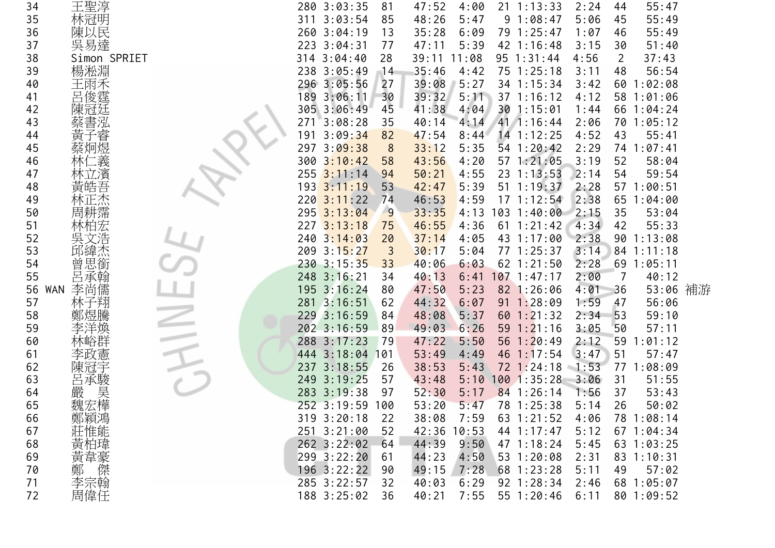| 34               | 王聖淳          | 280 3:03:35    | 81  | 47:52 | 4:00  | $21 \t1:13:33$  | 2:24 | 44 | 55:47        |  |
|------------------|--------------|----------------|-----|-------|-------|-----------------|------|----|--------------|--|
| 35               | 林冠明          | 3:03:54<br>311 | 85  | 48:26 | 5:47  | 91:08:47        | 5:06 | 45 | 55:49        |  |
| 36               | 陳以民          | 260 3:04:19    | 13  | 35:28 | 6:09  | 79 1:25:47      | 1:07 | 46 | 55:49        |  |
| 37               | 吳易達          | 223 3:04:31    | 77  | 47:11 | 5:39  | 42 1:16:48      | 3:15 | 30 | 51:40        |  |
| 38               | Simon SPRIET | 314 3:04:40    | 28  | 39:11 | 11:08 | 95 1:31:44      | 4:56 | 2  | 37:43        |  |
| 39               | 楊淞淵          | 238 3:05:49    | 14  | 35:46 | 4:42  | $75 \t1:25:18$  | 3:11 | 48 | 56:54        |  |
| 40               | 王雨禾          | 296 3:05:56    | 27  | 39:08 | 5:27  | 34 1:15:34      | 3:42 | 60 | 1:02:08      |  |
| 41               | 俊霆           | 3:06:11<br>189 | 30  | 39:32 | 5:11  | 37 1:16:12      | 4:12 |    | 58 1:01:06   |  |
| 42               |              | 305 3:06:49    | 45  | 41:38 | 4:04  | 301:15:01       | 1:44 |    | 66 1:04:24   |  |
| 43               |              | 271<br>3:08:28 | 35  | 40:14 | 4:14  | 41 1:16:44      | 2:06 |    | 70 1:05:12   |  |
| 44               |              | 3:09:34<br>191 | 82  | 47:54 | 8:44  | $14$ 1:12:25    | 4:52 | 43 | 55:41        |  |
| 45               |              | 3:09:38<br>297 | 8   | 33:12 | 5:35  | 54 1:20:42      | 2:29 |    | 74 1:07:41   |  |
| 46               |              | 3:10:42<br>300 | 58  | 43:56 | 4:20  | 57 1:21:05      | 3:19 | 52 | 58:04        |  |
| 47               |              | 255<br>3:11:14 | 94  | 50:21 | 4:55  | 23 1:13:53      | 2:14 | 54 | 59:54        |  |
| 48               | 茰            | 193 3:11:19    | 53  | 42:47 | 5:39  | $51 \t1:19:37$  | 2:28 |    | 57 1:00:51   |  |
| 49               |              | 220<br>3:11:22 | 74  | 46:53 | 4:59  | $17 \t1:12:54$  | 2:38 | 65 | 1:04:00      |  |
| 50               |              | 295 3:13:04    | 9   | 33:35 | 4:13  | 1031:40:00      | 2:15 | 35 | 53:04        |  |
| 51               |              | 2273:13:18     | 75  | 46:55 | 4:36  | $61 \t1:21:42$  | 4:34 | 42 | 55:33        |  |
| 52               | 吳文浩          | 240 3:14:03    | 20  | 37:14 | 4:05  | 43 1:17:00      | 2:38 | 90 | 1:13:08      |  |
| 53               | 邱緯杰          | 209 3:15:27    | 3   | 30:17 | 5:04  | 77 1:25:37      | 3:14 |    | 84 1:11:18   |  |
| 54               | 思銜<br>曽      | $230$ 3:15:35  | 33  | 40:06 | 6:03  | $62$ 1:21:50    | 2:28 |    | $69$ 1:05:11 |  |
| 55               | 呂承翰          | 248 3:16:21    | 34  | 40:13 | 6:41  | $107$ 1:47:17   | 2:00 | 7  | 40:12        |  |
| 56<br><b>WAN</b> | 李尚儒          | 195 3:16:24    | 80  | 47:50 | 5:23  | 82 1:26:06      | 4:01 | 36 | 53:06 補游     |  |
| 57               |              | 281 3:16:51    | 62  | 44:32 | 6:07  | $91 \t1:28:09$  | 1:59 | 47 | 56:06        |  |
| 58               |              | 229 3:16:59    | 84  | 48:08 | 5:37  | $60$ 1:21:32    | 2:34 | 53 | 59:10        |  |
| 59               |              | 202 3:16:59    | 89  | 49:03 | 6:26  | $59$ $1:21:16$  | 3:05 | 50 | 57:11        |  |
| 60               |              | 288 3:17:23    | 79  | 47:22 | 5:50  | 56 $1:20:49$    | 2:12 | 59 | 1:01:12      |  |
| 61               |              | 444 3:18:04    | 101 | 53:49 | 4:49  | $46$ 1:17:54    | 3:47 | 51 | 57:47        |  |
| 62               |              | 237<br>3:18:55 | 26  | 38:53 | 5:43  | 72 1:24:18      | 1:53 | 77 | 1:08:09      |  |
| 63               | 呂承駿          | 249 3:19:25    | 57  | 43:48 | 5:10  | 1001:35:28      | 3:06 | 31 | 51:55        |  |
| 64               | 嚴 昊          | 283 3:19:38    | 97  | 52:30 | 5:17  | 84 1:26:14      | 1:56 | 37 | 53:43        |  |
| 65               |              | 252 3:19:59    | 100 | 53:20 | 5:47  | 78 1:25:38      | 5:14 | 26 | 50:02        |  |
| 66               |              | 319 3:20:18    | 22  | 38:08 | 7:59  | 63 1:21:52      | 4:06 |    | 78 1:08:14   |  |
| 67               |              | 251 3:21:00    | 52  | 42:36 | 10:53 | 44 1:17:47      | 5:12 |    | 671:04:34    |  |
| 68               | 鄭莊黃黃 /       | $262$ 3:22:02  | 64  | 44:39 | 9:50  | $47 \; 1:18:24$ | 5:45 |    | 63 1:03:25   |  |
| 69               |              | 299 3:22:20    | 61  | 44:23 | 4:50  | $53 \t1:20:08$  | 2:31 |    | 83 1:10:31   |  |
| 70               | 鄭<br>傑       | 196 3:22:22    | 90  | 49:15 | 7:28  | $68$ 1:23:28    | 5:11 | 49 | 57:02        |  |
| 71               | 李宗翰          | 285 3:22:57    | 32  | 40:03 | 6:29  | 92 1:28:34      | 2:46 |    | 68 1:05:07   |  |
| 72               | 周偉任          | 188 3:25:02    | 36  | 40:21 | 7:55  | 55 1:20:46      | 6:11 |    | 80 1:09:52   |  |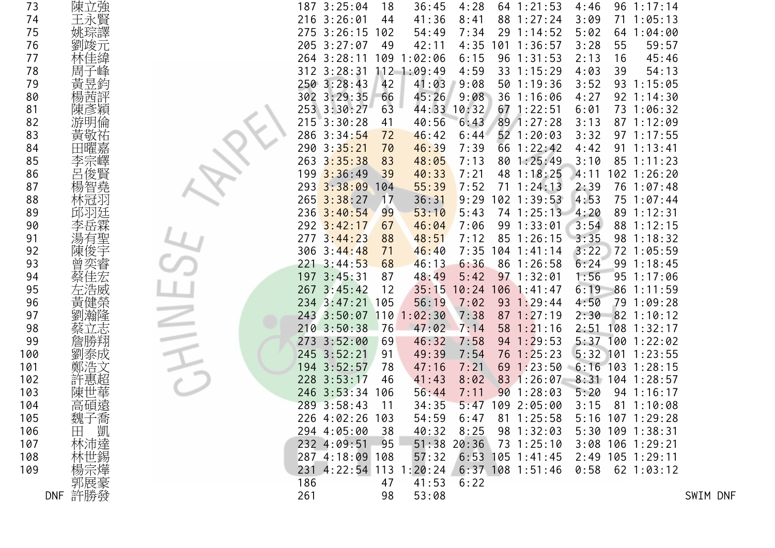| 73  | 陳立強     |     | 187 3:25:04             | 18    | 36:45       | 4:28          | $64$ 1:21:53       | 4:46 | $96 \t1:17:14$     |          |
|-----|---------|-----|-------------------------|-------|-------------|---------------|--------------------|------|--------------------|----------|
| 74  | 王永賢     |     | 216 3:26:01             | 44    | 41:36       | 8:41          | 88 1:27:24         | 3:09 | $71 \t1:05:13$     |          |
| 75  | 姚琮譯     |     | $275$ 3:26:15           | 102   | 54:49       | 7:34          | 29 1:14:52         | 5:02 | 64 1:04:00         |          |
| 76  | 劉竣元     |     | 205 3:27:07             | 49    | 42:11       | 4:35          | $101$ 1:36:57      | 3:28 | 55<br>59:57        |          |
| 77  |         |     | 264 3:28:11             |       | 109 1:02:06 | 6:15          | 96 1:31:53         | 2:13 | 16<br>45:46        |          |
| 78  | 周子峰     |     | $312$ $3:28:31$         |       | 112 1:09:49 | 4:59          | 33 1:15:29         | 4:03 | 39<br>54:13        |          |
| 79  | 黃昱鈞     |     | $250$ $3:28:43$         | 42    | 41:03       | 9:08          | 50 1:19:36         | 3:52 | 93 1:15:05         |          |
| 80  | 楊茜評     |     | 302 3:29:35             | 66    | 45:26       | 9:08          | 36 1:16:06         | 4:27 | $92 \t1:14:30$     |          |
| 81  | 陳彥穎     |     | 253 3:30:27             | 63    | 44:33       | 10:32         | $67$ 1:22:51       | 6:01 | 73 1:06:32         |          |
| 82  | 游明倫     |     | $215$ $3:30:28$         | 41    | 40:56       | 6:43          | 89 1:27:28         | 3:13 | 87 1:12:09         |          |
| 83  | 黃敬祐     |     | 286 3:34:54             | 72    | 46:42       | 6:44          | 52 1:20:03         | 3:32 | 97 1:17:55         |          |
| 84  | 田曜嘉     |     | 290 3:35:21             | 70    | 46:39       | 7:39          | 66 1:22:42         | 4:42 | $91 \t1:13:41$     |          |
| 85  | 李宗嶧     |     | $263 \ \ 3:35:38$       | 83    | 48:05       | 7:13          | 80 1:25:49         | 3:10 | 85 1:11:23         |          |
| 86  | 呂俊賢     |     | 199 3:36:49             | 39    | 40:33       | 7:21          | 48 1:18:25         | 4:11 | $102$ $1:26:20$    |          |
| 87  | 楊智堯     |     | 293 3:38:09             | 104   | 55:39       | 7:52          | $71 \t1:24:13$     | 2:39 | 76 1:07:48         |          |
| 88  | 林冠羽     |     | $265$ 3:38:27           | 17    | 36:31       | 9:29          | $102$ 1:39:53      | 4:53 | 75 1:07:44         |          |
| 89  |         |     | $236$ 3:40:54           | 99    | 53:10       | 5:43          | 74 1:25:13         | 4:20 | 89 1:12:31         |          |
| 90  | 李岳霖     |     | $292$ 3:42:17           | 67    | 46:04       | 7:06          | 99 1:33:01         | 3:54 | 88 1:12:15         |          |
| 91  | 湯有聖     |     | $277 \cdot 3:44:23$     | 88    | 48:51       | 7:12          | 85 1:26:15         | 3:35 | 98 1:18:32         |          |
| 92  | 陳俊宇     |     | 306 3:44:48             | 71    | 46:40       | 7:35          | $104$ 1:41:14      | 3:22 | 72 1:05:59         |          |
| 93  | 曾奕睿     |     | $221 \t3:44:53$         | 68    | 46:13       | 6:36          | 86 1:26:58         | 6:24 | 99 1:18:45         |          |
| 94  | 蔡佳宏     |     | 197 3:45:31             | 87    | 48:49       | 5:42          | $97 \t1:32:01$     | 1:56 | 95 1:17:06         |          |
| 95  | 左浩威     |     | 267 3:45:42             | 12    | 35:15       | 10:24         | 106 1:41:47        | 6:19 | 86 1:11:59         |          |
| 96  | 黃健榮     |     | 234 3:47:21             | 105   | 56:19       | 7:02          | 93 1:29:44         | 4:50 | 79 1:09:28         |          |
| 97  | 劉瀚隆     |     | 243 3:50:07 110 1:02:30 |       |             | 7:38          | 871:27:19          | 2:30 | 82 1:10:12         |          |
| 98  | 蔡立志     |     | 210 3:50:38             | 176   | 47:02       | 7:14          | $58$ 1:21:16       | 2:51 | $108$ 1:32:17      |          |
| 99  |         |     | 273 3:52:00             | 69    | 46:32       | 7:58          | $94$ 1:29:53       |      | $5:37$ 100 1:22:02 |          |
| 100 |         |     | 245 3:52:21             | 91    | 49:39       | 7:54          | 76 1:25:23         |      | $5:32$ 101 1:23:55 |          |
| 101 | 劉泰成     |     | 194 3:52:57             | 78    | 47:16       | 7:21          | $69$ 1:23:50       |      | $6:16$ 103 1:28:15 |          |
|     | 鄭浩文     |     |                         |       |             |               |                    |      |                    |          |
| 102 | 許惠超     |     | 228 3:53:17             | 46    | 41:43       | 8:02          | 83 1:26:07         |      | $8:31$ 104 1:28:57 |          |
| 103 | 陳世華     |     | 246 3:53:34             | 106   | 56:44       | 7:11          | 901:28:03          | 5:20 | 94 1:16:17         |          |
| 104 | 高碩遠     |     | 289 3:58:43             | 11    | 34:35       | 5:47          | 109 2:05:00        | 3:15 | 81 1:10:08         |          |
| 105 |         |     | 226 4:02:26 103         |       | 54:59       | 6:47          | $81 \t1:25:58$     |      | 5:16 107 1:29:28   |          |
| 106 |         |     | 294 4:05:00             | $-38$ | 40:32       | 8:25          | 98 1:32:03         |      | 5:30 109 1:38:31   |          |
| 107 | 魏田林林!   |     | 232 4:09:51             | - 95  |             | $51:38$ 20:36 | 73 1:25:10         |      | 3:08 106 1:29:21   |          |
| 108 |         |     | 287 4:18:09 108         |       | 57:32       |               | $6:53$ 105 1:41:45 |      | 2:49 105 1:29:11   |          |
| 109 | 楊宗燁     |     | 231 4:22:54 113 1:20:24 |       |             |               | $6:37$ 108 1:51:46 | 0:58 | 62 1:03:12         |          |
|     | 郭展豪     | 186 |                         | 47    | 41:53       | 6:22          |                    |      |                    |          |
|     | DNF 許勝發 | 261 |                         | 98    | 53:08       |               |                    |      |                    | SWIM DNF |
|     |         |     |                         |       |             |               |                    |      |                    |          |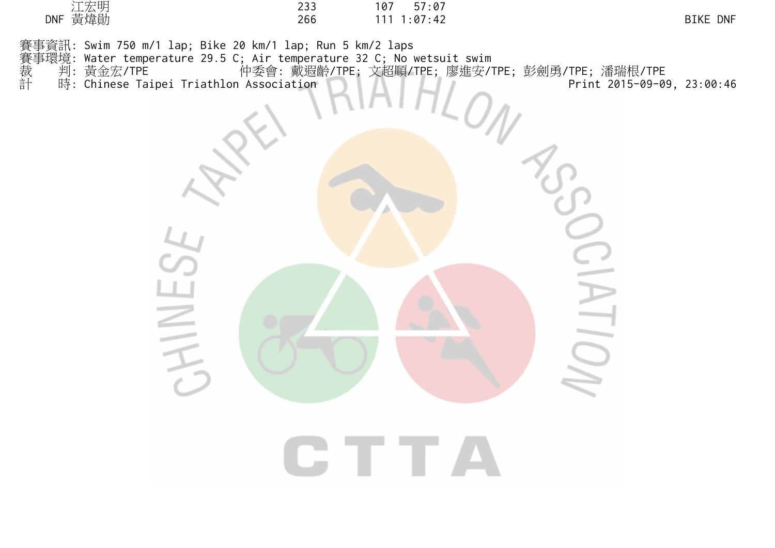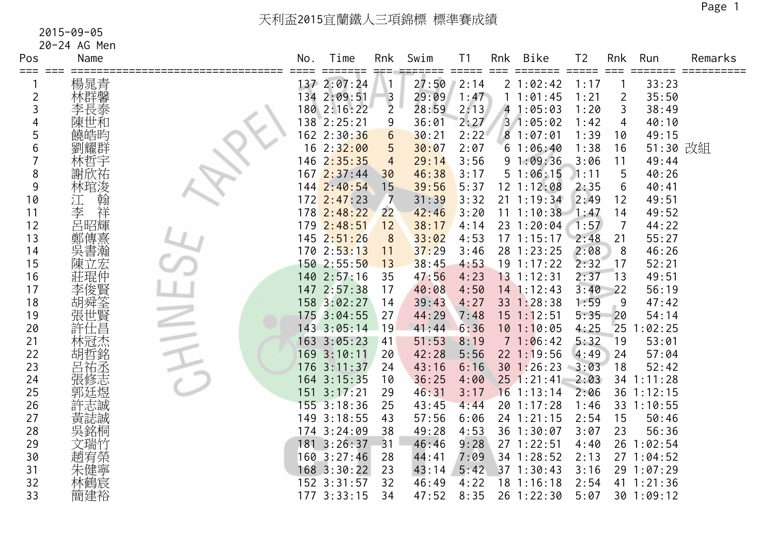20-24 AG Men

| Pos<br>===     | Name    | No. | Time<br>====  | Rnk            | Swim  | Τ1<br>$=$ $=$ $=$ $=$ $=$ | Rnk | <b>Bike</b>           | T <sub>2</sub> | Rnk             | Run        | Remarks |
|----------------|---------|-----|---------------|----------------|-------|---------------------------|-----|-----------------------|----------------|-----------------|------------|---------|
|                | 楊晁青     |     | 137 2:07:24   |                | 27:50 | 2:14                      |     | 21:02:42              | 1:17           |                 | 33:23      |         |
| $\overline{c}$ |         |     | 134 2:09:51   | $\overline{3}$ | 29:09 | 1:47                      |     | 11:01:45              | 1:21           | $\overline{2}$  | 35:50      |         |
| 3              | 林群馨泰    |     | 180 2:16:22   | $\overline{2}$ | 28:59 | 2:13                      |     | 41:05:03              | 1:20           | 3               | 38:49      |         |
|                | 陳世和     |     | 138 2:25:21   | 9              | 36:01 | 2:27                      |     | 31:05:02              | 1:42           | 4               | 40:10      |         |
| 5              | 饒皓昀     |     | 162 2:30:36   | 6              | 30:21 | 2:22                      |     | 81:07:01              | 1:39           | 10              | 49:15      |         |
| 6              | 劉耀群     |     | 162:32:00     | 5              | 30:07 | 2:07                      |     | 61:06:40              | 1:38           | 16              | 51:30 改組   |         |
|                | 林哲宇     | 146 | 2:35:35       | 4              | 29:14 | 3:56                      |     | 91:09:36              | 3:06           | 11              | 49:44      |         |
| 8              | 謝欣祐     |     | 1672:37:44    | 30             | 46:38 | 3:17                      |     | 51:06:15              | 1:11           | 5               | 40:26      |         |
| 9              | 林琯浚     | 144 | 2:40:54       | 15             | 39:56 | 5:37                      |     | 12 1:12:08            | 2:35           | 6               | 40:41      |         |
| 10             | 翰<br>江  |     | 172 2:47:23   | 7              | 31:39 | 3:32                      |     | $21 \t1:19:34$        | 2:49           | 12              | 49:51      |         |
| 11             | 李<br>祥  |     | 178 2:48:22   | 22             | 42:46 | 3:20                      |     | $11 \t1:10:38 \t1:47$ |                | 14              | 49:52      |         |
| 12             | 呂昭輝     |     | 179 2:48:51   | 12             | 38:17 | 4:14                      |     | 23 1:20:04            | 1:57           | $\overline{7}$  | 44:22      |         |
| 13             | 鄭傳熹     |     | 145 2:51:26   | 8              | 33:02 | 4:53                      |     | 171:15:17             | 2:48           | 21              | 55:27      |         |
| 14             | 吳書瀚     |     | 1702:53:13    | 11             | 37:29 | 3:46                      |     | 28 1:23:25            | 2:08           | 8               | 46:26      |         |
| 15             | 陳立宏     |     | 150 2:55:50   | 13             | 38:45 | 4:53                      |     | $19$ $1:17:22$        | 2:32           | 17              | 52:21      |         |
| 16             | 莊琨仲     |     | 140 2:57:16   | 35             | 47:56 | 4:23                      |     | $13$ 1:12:31          | 2:37           | $\overline{13}$ | 49:51      |         |
| 17             | 李俊賢     |     | 147 2:57:38   | 17             | 40:08 | 4:50                      |     | $14$ 1:12:43          | 3:40           | 22              | 56:19      |         |
| 18             | 胡舜筌     |     | 158 3:02:27   | 14             | 39:43 | 4:27                      |     | 33 1:28:38            | 1:59           | 9               | 47:42      |         |
| 19             | 賢<br>張世 |     | 175 3:04:55   | 27             | 44:29 | 7:48                      |     | $15$ $1:12:51$        | 5:35           | 20              | 54:14      |         |
| 20             | 許仕昌     |     | 143 3:05:14   | 19             | 41:44 | 6:36                      |     | 101:10:05             | 4:25           | 25              | :02:25     |         |
| 21             | 林冠杰     |     | 163 3:05:23   | 41             | 51:53 | 8:19                      |     | 71:06:42              | 5:32           | 19              | 53:01      |         |
| 22             | 胡哲銘     |     | 169 3:10:11   | 20             | 42:28 | 5:56                      |     | $22$ 1:19:56          | 4:49           | 24              | 57:04      |         |
| 23             | 呂祐丞     | 176 | 3:11:37       | 24             | 43:16 | 6:16                      |     | 30 1:26:23            | 3:03           | 18              | 52:42      |         |
| 24             | 張修志     |     | 164 3:15:35   | 10             | 36:25 | 4:00                      |     | $25 \t1:21:41$        | 2:03           | 34              | 1:11:28    |         |
| 25             |         | 151 | 3:17:21       | 29             | 46:31 | 3:17                      |     | $16$ 1:13:14          | 2:06           |                 | 36 1:12:15 |         |
| 26             | 許志誠     |     | $155$ 3:18:36 | 25             | 43:45 | 4:44                      |     | 20 1:17:28            | 1:46           |                 | 33 1:10:55 |         |
| 27             | 黃誌誠     |     | 149 3:18:55   | 43             | 57:56 | 6:06                      |     | 24 1:21:15            | 2:54           | 15              | 50:46      |         |
| 28             | 吳銘桐     |     | 174 3:24:09   | 38             | 49:28 | 4:53                      |     | 36 1:30:07            | 3:07           | 23              | 56:36      |         |
| 29             | 文瑞竹     |     | 181 3:26:37   | 31             | 46:46 | 9:28                      |     | 27 1:22:51            | 4:40           | 26              | 1:02:54    |         |
| 30             | 趙宥榮     |     | 160 3:27:46   | 28             | 44:41 | 7:09                      |     | 34 1:28:52            | 2:13           |                 | 27 1:04:52 |         |
| 31             | 朱健寧     |     | 168 3:30:22   | 23             | 43:14 | 5:42                      |     | 37 1:30:43            | 3:16           | 29              | 1:07:29    |         |
| 32             | 林鶴宸     |     | 152 3:31:57   | 32             | 46:49 | 4:22                      |     | $18$ 1:16:18          | 2:54           |                 | 41 1:21:36 |         |
| 33             | 簡建裕     |     | 177 3:33:15   | 34             | 47:52 | 8:35                      |     | 26 1:22:30            | 5:07           |                 | 30 1:09:12 |         |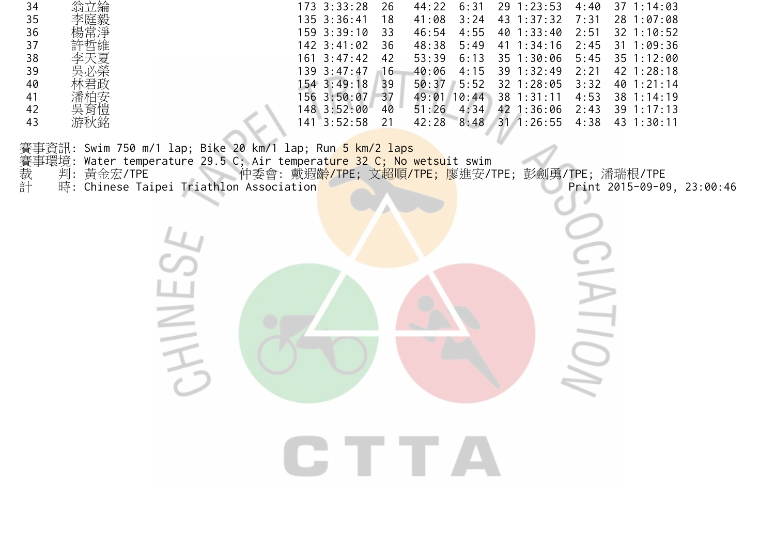| 34 | 翁立綸<br>য়য় | 173 3:33:28     | 26 | 44:22 | 6:31  | 1:23:53<br>29  | 4:40 | 37<br>1:14:03   |
|----|-------------|-----------------|----|-------|-------|----------------|------|-----------------|
| 35 | 李庭毅         | 135 3:36:41     | 18 | 41:08 | 3:24  | 1:37:32<br>43  | 7:31 | 28 1:07:08      |
| 36 | 楊常淨         | $159$ $3:39:10$ | 33 | 46:54 | 4:55  | 1:33:40<br>40  | 2:51 | $32 \t1:10:52$  |
| 37 | 許哲維         | $142 \t3:41:02$ | 36 | 48:38 | 5:49  | 1:34:16<br>41  | 2:45 | :09:36<br>31    |
| 38 | 李天夏         | $161 \t3:47:42$ | 42 | 53:39 | 6:13  | $35 \t1:30:06$ | 5:45 | 35 1:12:00      |
| 39 | 吳必榮         | 139 3:47:47     | 16 | 40:06 | 4:15  | $39 \t1:32:49$ | 2:21 | $42 \; 1:28:18$ |
| 40 | 林君政         | 154 3:49:18     | 39 | 50:37 | 5:52  | $32 \t1:28:05$ | 3:32 | 40 1:21:14      |
| 41 | 潘柏安         | 156 3:50:07     | 37 | 49:01 | 10:44 | $38$ 1:31:11   | 4:53 | $38 \t1:14:19$  |
| 42 | 吳育愷         | 148 3:52:00     | 40 | 51:26 | 4:34  | 1:36:06<br>42  | 2:43 | $39 \t1:17:13$  |
| 43 | 游秋銘         | 3:52:58<br>141  |    | 42:28 | 8:48  | 1:26:55<br>31  | 4:38 | 43 1<br>1:30:11 |

HINE

賽事資訊: Swim 750 m/1 lap; Bike 20 km/1 lap; Run <mark>5 km/2 laps</mark> 賽事環境: Water temperature 29.5 C; Air temperat<mark>ure 32 C; No wetsu</mark>it swim 裁 判:黃金宏/TPE 仲委會:戴遐<mark>齡/TPE; 文超順/TPE; 廖</mark>進安/TPE; 彭劍勇/TPE; 潘瑞根/TPE 計 時: Chinese Taipei Triathlon Association Print 2015-09-09, 23:00:46

CTTA

 $\overline{O}$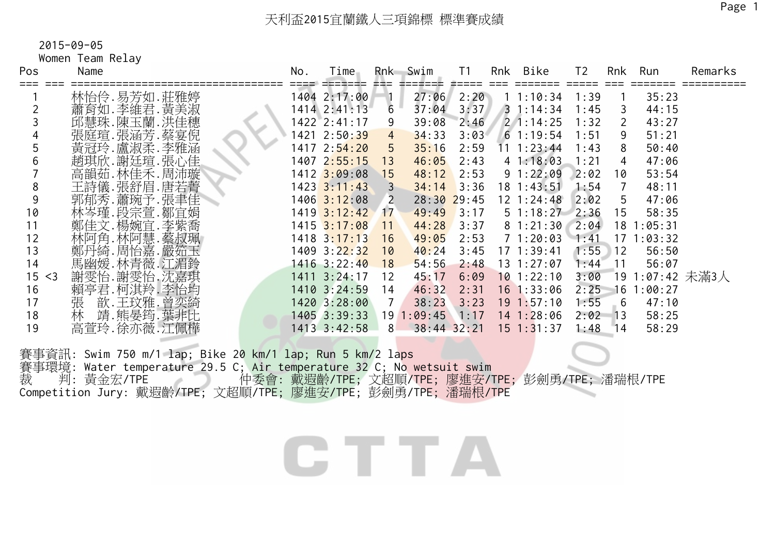Women Team Relay

| Pos                   | Name           | No. | Time                      | Rnk            | Swim            | T <sub>1</sub> | Rnk<br>Bike       | T <sub>2</sub> | Rnk             | Run          | Remarks |
|-----------------------|----------------|-----|---------------------------|----------------|-----------------|----------------|-------------------|----------------|-----------------|--------------|---------|
|                       | 林怡伶.易芳如.莊雅婷    |     | 1404 2:17:00              |                | 27:06           | 2:20           | 11:10:34          | 1:39           |                 | 35:23        |         |
|                       | 蕭育如.李維君.黃美淑    |     | $1414$ $2:41:13$          | 6              | 37:04           | 3:37           | $3 \t1:14:34$     | 1:45           | 3               | 44:15        |         |
|                       | 邱慧珠.陳玉蘭.洪佳穗    |     | $1422 \ 2:41:17$          | 9              | 39:08           | 2:46           | $2 \cdot 1:14:25$ | 1:32           | $\overline{2}$  | 43:27        |         |
|                       | 張庭瑄.張涵芳.蔡宴倪    |     | 1421 2:50:39              | $\overline{4}$ | 34:33           | 3:03           | $6 \t1:19:54$     | 1:51           | 9               | 51:21        |         |
|                       | 黃冠玲.盧淑柔.李雅涵    |     | 1417 2:54:20              | 5              | 35:16           | 2:59           | $11 \t1:23:44$    | 1:43           | 8               | 50:40        |         |
|                       | 趙琪欣. 謝廷瑄. 張心佳  |     | $1407$ $2:55:15$          | 13             | 46:05           | 2:43           | 41:18:03          | 1:21           | 4               | 47:06        |         |
|                       | 高韻茹.林佳禾.周沛璇    |     | $1412 \overline{3:09:08}$ | 15             | 48:12           | 2:53           | 91:22:09          | 2:02           | 10              | 53:54        |         |
| 8                     | 王詩儀.張舒眉.唐若菁    |     | $1423$ $3:11:43$          |                | 34:14           | 3:36           | $18 \t1:43:51$    | 1:54           | 7               | 48:11        |         |
|                       | 郭郁秀.蕭琬予.張聿佳    |     | $1406$ 3:12:08            | <sup>2</sup>   | $28:30$ 29:45   |                | $12 \t1:24:48$    | 2:02           | 5               | 47:06        |         |
| 10                    | 林岑瑾.段宗萱.鄒宜娟    |     | $1419$ $3:12:42$          | 17             | 49:49           | 3:17           | $5 \; 1:18:27$    | 2:36           | 15              | 58:35        |         |
| 11                    | 鄭佳文.楊婉宜.李紫喬    |     | $1415$ $3:17:08$          | 11             | 44:28           | 3:37           | 81:21:30          | 2:04           | 18              | :05:31       |         |
| 12                    | 林阿角.林阿慧.蔡叔珮    |     | $1418 \ \ 3:17:13$        | 16             | 49:05           | 2:53           | 71:20:03          | 1:41           | 17              | :03:32       |         |
| 13                    | 鄭丹綺.周怡嘉.嚴筎玉    |     | 1409 3:22:32              | 10             | 40:24           | 3:45           | 171:39:41         | 1:55           | 12              | 56:50        |         |
| 14                    | 馬幽媛.林青薇.江湄鈴    |     | $1416$ 3:22:40            | 18             | 54:56           | 2:48           | $13 \t1:27:07$    | 1 : 44         | $\overline{11}$ | 56:07        |         |
| 15 <sub>1</sub><br>≺3 | 謝雯怡.謝雯怡.沈嘉琪    |     | $1411 \quad 3:24:17$      | 12             | 45:17           | 6:09           | $10$ 1:22:10      | 3:00           | 19              | 1:07:42 未滿3人 |         |
| 16                    | 賴亭君. 柯淇羚. 李怡均  |     | 1410 3:24:59              | 14             | 46:32           | 2:31           | $16$ 1:33:06      | 2:25           | 16              | 1:00:27      |         |
| 17                    | 歆.王玟雅.曾奕綺<br>張 |     | 1420 3:28:00              |                | 38:23           | 3:23           | $19 \t1:57:10$    | 1:55           | 6               | 47:10        |         |
| 18                    | 靖.熊晏筠.葉非比<br>林 |     | 1405 3:39:33              |                | 191:09:45       | 1:17           | 14 1:28:06        | 2:02           | $\overline{13}$ | 58:25        |         |
| 19                    | 高萱玲.徐亦薇.江佩樺    |     | 1413 3:42:58              | 8              | $38:44$ $32:21$ |                | $15$ 1:31:37      | 1:48           | 14              | 58:29        |         |
|                       |                |     |                           |                |                 |                |                   |                |                 |              |         |

賽事資訊: Swim 750 m/1 lap; Bike 20 km/1 lap; Run 5 km/2 laps 養事環境: Water temperature 29.5 C; Air temperature 32 C; No wetsuit swim<br>裁 判: 黃金宏/TPE 仲委會· 載淵齡/TPE· 立却順行下: 雨浩亮 裁 判:黃金宏/TPE 仲委會:戴遐齡/TPE; 文超順/TPE; 廖進安/TPE; 彭劍勇/TPE; 潘瑞根/TPE Competition Jury: 戴遐齡/TPE; 文超順/TPE; 廖進安/TPE; 彭劍勇/TPE; 潘瑞根/TPE

CTTA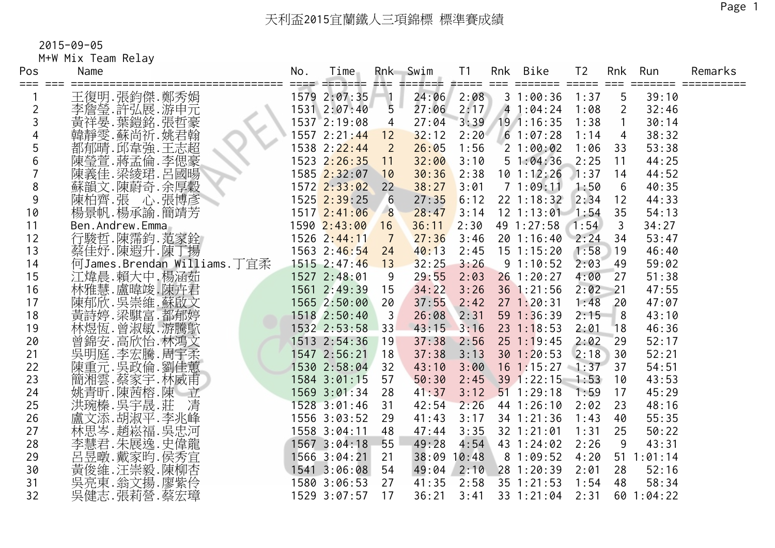## 天利盃2015宜蘭鐵人三項錦標 標準賽成績

2015-09-05

M+W Mix Team Relay

| Pos     | Name                                      | No. | Time<br>==== ======= === |                 | Rnk Swim<br>2002000 | T1                | Rnk Bike          | T <sub>2</sub> |                | Rnk Run    | Remarks |
|---------|-------------------------------------------|-----|--------------------------|-----------------|---------------------|-------------------|-------------------|----------------|----------------|------------|---------|
| === === | 王復明.張鈞傑.鄭秀娟                               |     | 1579 2:07:35             | $\P_1$          | 24:06               | #==== ===<br>2:08 | 31:00:36          | 1:37           | 5              | 39:10      |         |
| 2       | 李詹瑩.許弘展.游申元                               |     | 1531 2:07:40             | $5\overline{)}$ | 27:06               | 2:17              | 41:04:24          | 1:08           | $\mathbf{2}$   | 32:46      |         |
|         | 黄祥晏.葉鎧銘.張哲豪                               |     | 1537 2:19:08             | $\overline{4}$  | 27:04               | 3:39              | $19$ 1:16:35      | 1:38           | $\mathbf{1}$   | 30:14      |         |
|         | 韓靜雯.蘇尚祈.姚君翰                               |     | 1557 2:21:44 12          |                 | 32:12               | 2:20              | 61:07:28          | 1:14           | $\overline{4}$ | 38:32      |         |
| 5       | 都郁晴. 邱韋強. 王志超                             |     | 1538 2:22:44             | $\overline{2}$  | 26:05               | 1:56              | 21:00:02          | 1:06           | 33             | 53:38      |         |
| 6       | 陳瑩萱.蔣孟倫.李偲豪                               |     | 1523 2:26:35             | 11              | 32:00               | 3:10              | 51:04:36          | 2:25           | 11             | 44:25      |         |
|         | 陳義佳.梁綾珺.呂國暘                               |     | 1585 2:32:07             | 10              | 30:36               | 2:38              | $10$ 1:12:26      | 1:37           | 14             | 44:52      |         |
| 8       | 蘇韻文.陳蔚奇.余厚穀                               |     | $1572$ $2:33:02$         | 22              | 38:27               | 3:01              | 71:09:11          | 1:50           | 6              | 40:35      |         |
| 9       | 陳柏齊.張<br>楊景帆.楊承諭.簡靖芳                      |     | $1525$ $2:39:25$         | 6               | 27:35               | 6:12              | $22 \t1:18:32$    | 2:34           | 12             | 44:33      |         |
| 10      |                                           |     | 1517 2:41:06             | 8               | 28:47               | 3:14              | $12$ 1:13:01 1:54 |                | 35             | 54:13      |         |
| 11      | Ben.Andrew.Emma                           |     | 1590 2:43:00             | 16              | 36:11               | 2:30              | 49 1:27:58        | 1:54           | 3              | 34:27      |         |
| 12      | 行駿哲.陳霈鈞.范家銓                               |     | 1526 2:44:11             | $\overline{7}$  | 27:36               | 3:46              | 20 1:16:40 2:24   |                | 34             | 53:47      |         |
| 13      | 蔡佳妤.陳遐升.陳丁揚                               |     | 1563 2:46:54             | 24              | 40:13               | 2:45              | $15 \t1:15:20$    | 1:58           | 19             | 46:40      |         |
| 14      | 何James.Brendan Williams.丁宜柔               |     | $1515$ 2:47:46           | 13              | 32:25               | 3:26              | 91:10:52          | 2:03           | 49             | 59:02      |         |
| 15      | 江煒晨.賴大中.楊涵茹                               |     | 1527 2:48:01             | 9               | 29:55               | 2:03              | $26$ 1:20:27      | 4:00           | 27             | 51:38      |         |
| 16      | 林雅慧.盧暐竣.陳卉君                               |     | 1561 2:49:39             | 15              | 34:22               | 3:26              | 36 1:21:56        | 2:02           | $-21$          | 47:55      |         |
| 17      | 陳郁欣. 吳崇維. 蘇啟文                             |     | 1565 2:50:00             | 20              | 37:55               | 2:42              | 271:20:31         | 1:48           | 20             | 47:07      |         |
| 18      | 黃詩婷.梁騏富.都郁婷<br>林煜恆.曾淑敏.游騰鴥<br>曾錦安.高欣怡.林鴻文 |     | 1518 2:50:40             | $\overline{3}$  | 26:08               | 2:31              | 59 1:36:39        | 2:15           | $-8$           | 43:10      |         |
| 19      |                                           |     | 1532 2:53:58 33          |                 | 43:15               | 3:16              | $23 \t1:18:53$    | 2:01           | 18             | 46:36      |         |
| 20      |                                           |     | 1513 2:54:36             | 19              | 37:38               | 2:56              | $25$ 1:19:45      | 2:02           | 29             | 52:17      |         |
| 21      | 吳明庭.李宏騰.周宇柔                               |     | 1547 2:56:21             | 18              | 37:38               | 3:13              | 301:20:53         | 2:18           | 30             | 52:21      |         |
| 22      | 陳重元.吳政倫.劉佳蕙                               |     | 1530 2:58:04             | 32              | 43:10               | 3:00              | $16$ 1:15:27 1:37 |                | 37             | 54:51      |         |
| 23      | 簡湘雲.蔡家宇.林威甫                               |     | 1584 3:01:15             | 57              | 50:30               | 2:45              | $39$ 1:22:15 1:53 |                | 10             | 43:53      |         |
| 24      | 姚青昕.陳茜榕.陳<br>洪琬榛.吳宇晟.莊 清                  |     | 1569 3:01:34             | 28              | 41:37               | 3:12              | $51$ 1:29:18      | 1:59           | 17             | 45:29      |         |
| 25      |                                           |     | 1528 3:01:46             | 31              | 42:54               | 2:26              | 44 1:26:10        | 2:02           | 23             | 48:16      |         |
| 26      | 盧文添.胡淑平.李兆峰                               |     | 1556 3:03:52             | 29              | 41:43               | 3:17              | 34 1:21:36        | 1:43           | 40             | 55:35      |         |
| 27      | 林思岑.趙崧福.吳忠河                               |     | 1558 3:04:11             | 48              | 47:44               | 3:35              | 32 1:21:01        | 1:31           | 25             | 50:22      |         |
| 28      | 李慧君. 朱展逸. 史偉龍                             |     | 1567 3:04:18             | 55              | 49:28               | 4:54              | 43 1:24:02        | 2:26           | 9              | 43:31      |         |
| 29      |                                           |     | 1566 3:04:21             | 21              | 38:09 10:48         |                   | 81:09:52          | 4:20           |                | 51 1:01:14 |         |
| 30      | ·呂曼·戴家昀·侯秀宜<br>黃俊維·汪崇毅·陳柳杏<br>吳亮·翁文揚·廖紫   |     | $1541$ 3:06:08           | 54              | 49:04               | 2:10              | 28 1:20:39        | 2:01           | 28             | 52:16      |         |
| 31      |                                           |     | 1580 3:06:53             | 27              | 41:35               | 2:58              | 35 1:21:53        | 1:54           | 48             | 58:34      |         |
| 32      | 吳健志.張莉營.蔡宏璋                               |     | 1529 3:07:57             | 17              | 36:21               | 3:41              | 33 1:21:04        | 2:31           |                | 60 1:04:22 |         |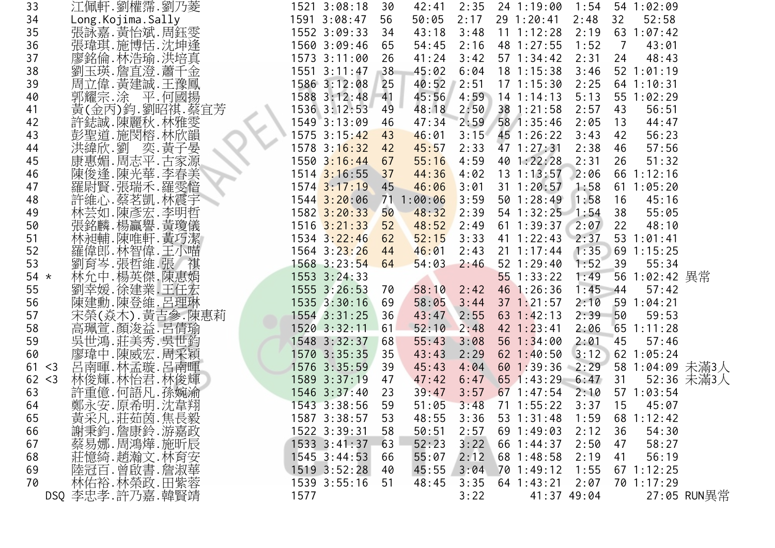| 33         |       | 江佩軒.劉權霈.劉乃菱                          |      | 1521 3:08:18     | 30 | 42:41   | 2:35 | 24 1:19:00 1:54 54 1:02:09 |               |                         |                 |
|------------|-------|--------------------------------------|------|------------------|----|---------|------|----------------------------|---------------|-------------------------|-----------------|
| 34         |       | Long. Kojima. Sally                  |      | 1591 3:08:47     | 56 | 50:05   | 2:17 | 29 1:20:41                 | 2:48          | 32<br>52:58             |                 |
| 35         |       | 張詠嘉.黃怡斌.周鈺雯                          |      | 1552 3:09:33     | 34 | 43:18   | 3:48 | $11 \t1:12:28$             |               | $2:19$ 63 1:07:42       |                 |
| 36         |       | 張瑋琪.施博恬.沈坤逢                          |      | 1560 3:09:46     | 65 | 54:45   | 2:16 | 48 1:27:55                 | 1:52          | $\overline{7}$<br>43:01 |                 |
| 37         |       | 廖銘倫.林浩瑜.洪培真                          |      | 1573 3:11:00     | 26 | 41:24   | 3:42 | $57$ 1:34:42               | 2:31          | 24<br>48:43             |                 |
| 38         |       | 劉玉瑛.詹直澄.蕭千金                          |      | $1551 \t3:11:47$ | 38 | 45:02   | 6:04 | $18$ 1:15:38               | 3:46          | $52$ $1:01:19$          |                 |
| 39         |       | 周立偉. 黃建誠. 王豫鳳                        |      | 1586 3:12:08     | 25 | 40:52   | 2:51 | $17 \t1:15:30$             | 2:25          | $64$ 1:10:31            |                 |
| 40         |       | 郭耀宗.涂 平.何國揚                          |      | 1588 3:12:48 41  |    | 45:56   | 4:59 | $14$ 1:14:13               | 5:13          | 55 1:02:29              |                 |
| 41         |       | 黃(金丙)鈞.劉昭祺.蔡宜芳                       |      | 1536 3:12:53     | 49 | 48:18   | 2:50 | 38 1:21:58 2:57            |               | 56:51<br>43             |                 |
| 42         |       | 許鋕誠.陳麗秋.林雅雯                          |      | 1549 3:13:09     | 46 | 47:34   |      | 2:59 58 1:35:46            | 2:05          | 44:47<br>13             |                 |
| 43         |       | 彭聖道.施閔榕.林欣韻                          |      | 1575 3:15:42     | 43 | 46:01   | 3:15 | 45 1:26:22                 | 3:43          | 42<br>56:23             |                 |
| 44         |       |                                      |      | 1578 3:16:32     | 42 | 45:57   | 2:33 | 47 1:27:31                 | 2:38          | 46<br>57:56             |                 |
| 45         |       | 洪緯欣.劉<br>康惠媚.周志平.古家源集<br>陳俊逢.陳光華.李春美 |      | $1550$ $3:16:44$ | 67 | 55:16   | 4:59 | 40 1:22:28                 | 2:31          | 51:32<br>26             |                 |
| 46         |       |                                      |      | $1514$ 3:16:55   | 37 | 44:36   | 4:02 | $13 \t1:13:57$             | 2:06          | 66 1:12:16              |                 |
| 47         |       | 羅尉賢.張瑞禾.羅雯愔                          |      | $1574$ 3:17:19   | 45 | 46:06   | 3:01 | $31 \t1:20:57$             | 1:58          | 61 1:05:20              |                 |
| 48         |       | 許維心 蔡茗凱 林震宇                          |      | $1544$ $3:20:06$ | 71 | 1:00:06 | 3:59 | 50 1:28:49                 | 1:58          | 45:16<br>16             |                 |
| 49         |       |                                      |      | 1582 3:20:33     | 50 | 48:32   | 2:39 | $54$ 1:32:25 1:54          |               | 38<br>55:05             |                 |
| 50         |       | 林芸如.陳彥宏.李明哲<br>張銘麟.楊贏譽.黃瓊儀           |      | $1516$ $3:21:33$ | 52 | 48:52   | 2:49 | $61$ 1:39:37 2:07          |               | 22<br>48:10             |                 |
| 51         |       | 林昶輔.陳唯軒.黃巧潔                          |      | 1534 3:22:46     | 62 | 52:15   | 3:33 | 41 1:22:43 2:37            |               | $53 \t1:01:41$          |                 |
| 52         |       | 羅偉郎.林智偉.王小喵                          |      | 1564 3:23:26     | 44 | 46:01   | 2:43 | $21 \t1:17:44$             | 1:35          | 69 1:15:25              |                 |
| 53         |       | 劉育岑.張哲維.張 祺                          |      | $1568$ 3:23:54   | 64 | 54:03   | 2:46 | $52 \; 1:29:40$            | 1:52          | 39<br>55:34             |                 |
| 54 $\star$ |       | 林允中,楊英傑.陳惠娟                          |      | 1553 3:24:33     |    |         |      | $55$ 1:33:22               | 1:49          | 56 1:02:42 異常           |                 |
| 55         |       | 劉幸媛.徐建業.王任宏                          |      | 1555 3:26:53     | 70 | 58:10   | 2:42 | 46 1:26:36                 | $1:45$ 44     | 57:42                   |                 |
| 56         |       |                                      |      | 1535 3:30:16     | 69 | 58:05   | 3:44 | $37$ 1:21:57               | 2:10          | 591:04:21               |                 |
| 57         |       | 陳建勳.陳登維.呂理琳<br>宋榮(焱木), 黃吉參.陳惠莉       |      | 1554 3:31:25     | 36 | 43:47   | 2:55 | 63 $1:42:13$               | 2:39          | 50<br>59:53             |                 |
| 58         |       | 高珮萱.顏浚益.呂倩瑜                          |      | 1520 3:32:11     | 61 | 52:10   | 2:48 | $42 \; 1:23:41$            | 2:06          | $65$ 1:11:28            |                 |
| 59         |       | 吳世鴻.莊美秀.吳世鈞                          |      | 1548 3:32:37     | 68 | 55:43   | 3:08 | $56 \t1:34:00$             | 2:01          | -45<br>57:46            |                 |
| 60         |       | 廖瑋中.陳威宏.周采穎                          |      | 1570 3:35:35     | 35 | 43:43   | 2:29 | $62$ 1:40:50               | 3:12          | 62 1:05:24              |                 |
| 61         | $<$ 3 | 呂南暉.林孟璇.呂南暉                          |      | 1576 3:35:59     | 39 | 45:43   | 4:04 | $60$ 1:39:36 2:29          |               |                         | 58 1:04:09 未滿3人 |
| 62 < 3     |       | 林俊輝.林怡君.林俊輝                          |      | 1589 3:37:19     | 47 | 47:42   | 6:47 | $65$ 1:43:29 6:47 31       |               |                         | 52:36 未滿3人      |
| 63         |       | 許重億.何語凡.孫婉渝                          |      | 1546 3:37:40     | 23 | 39:47   | 3:57 | $67$ 1:47:54               | 2:10          | 57 1:03:54              |                 |
| 64         |       | 鄭永安.原希明.沈韋翔                          |      | 1543 3:38:56     | 59 | 51:05   | 3:48 | $71 \t1:55:22$             | 3:37          | 15<br>45:07             |                 |
| 65         |       |                                      |      | 1587 3:38:57     | 53 | 48:55   | 3:36 | 53 1:31:48                 | 1:59          | 68<br>1:12:42           |                 |
| 66         |       | 黃采凡.莊茹茵.焦長毅<br>謝秉鈞.詹康鈴.游嘉政           |      | 1522 3:39:31     | 58 | 50:51   | 2:57 | $69$ 1:49:03               | 2:12          | 36<br>54:30             |                 |
| 67         |       | 蔡易娜.周鴻燁.施昕辰                          |      | $1533$ $3:41:37$ | 63 | 52:23   | 3:22 | 66 1:44:37                 | 2:50          | 58:27<br>47             |                 |
| 68         |       |                                      |      | 1545 3:44:53     | 66 | 55:07   | 2:12 | $68$ 1:48:58               | 2:19          | 56:19<br>41             |                 |
| 69         |       | 莊憶綺.趙瀚文.林育安<br>陸冠百.曾啟書.詹淑華           |      | $1519$ $3:52:28$ | 40 | 45:55   | 3:04 | 701:49:12                  | 1:55          | $67$ 1:12:25            |                 |
| 70         |       |                                      |      | 1539 3:55:16     | 51 | 48:45   | 3:35 | $64$ 1:43:21               | 2:07          | 70 1:17:29              |                 |
|            |       | 林佑裕.林榮政.田紫蓉<br>DSQ 李忠孝.許乃嘉.韓賢靖       | 1577 |                  |    |         | 3:22 |                            | $41:37$ 49:04 |                         | 27:05 RUN異常     |
|            |       |                                      |      |                  |    |         |      |                            |               |                         |                 |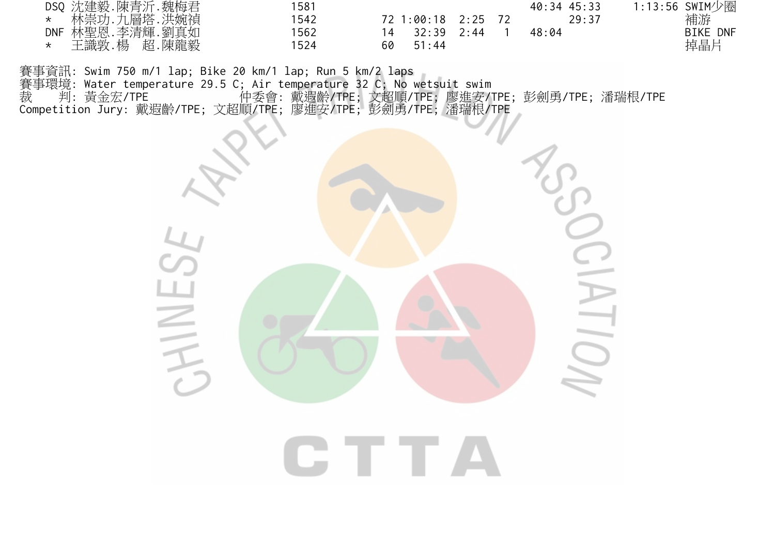| DSQ 沈建毅.陳青沂.魏梅君           | 1581 |                          | 40:34 45:33 | 1:13:56 SWIM少圈  |
|---------------------------|------|--------------------------|-------------|-----------------|
| 林崇功.九層塔.洪婉禎<br>$\star$    | 1542 | 72 1:00:18 2:25 72       | 29:37       | 補游              |
| DNF 林聖恩.李清輝.劉真如           | 1562 | 14 32:39<br>$2 \cdot 44$ | 48:04       | <b>BIKE DNF</b> |
| 王識敦.楊<br>超.陳龍毅<br>$\star$ | 1524 | 60<br>51:44              |             | 掉晶片             |

賽事資訊: Swim 750 m/1 lap; Bike 20 km/1 lap; Run 5 km/2 laps 賽事環境: Water temperature 29.5 C; Air temperature 32 C; No wetsuit swim 裁 判: 黃金宏/TPE 仲委會: 戴遐齡/TPE; 文超順/TPE; 廖進安/TPE; 彭劍勇/TPE; 潘瑞根/TPE Competition Jury: 戴遐齡/TPE; 文超順/TPE; 廖進安/TPE; 彭劍勇/TPE; 潘瑞根/TPE

HIVE

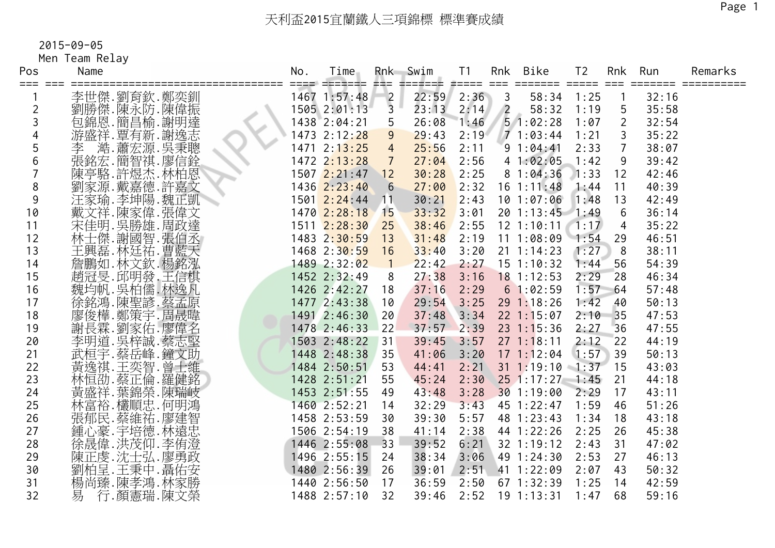Men Team Relay

| Pos<br>=== === | Name                         | No. | Time<br>---- ------- --- |                  | Rnk Swim<br>2002000 | T1   | Rnk            | Bike              | T <sub>2</sub> |                 | Rnk Run | Remarks |
|----------------|------------------------------|-----|--------------------------|------------------|---------------------|------|----------------|-------------------|----------------|-----------------|---------|---------|
|                | 李世傑.劉育欽.鄭奕釧                  |     | 1467 1:57:48             |                  | 22:59               | 2:36 | $\overline{3}$ | 58:34             | 1:25           |                 | 32:16   |         |
| 2              | 劉勝傑.陳永防.陳偉振                  |     | 1505 2:01:13             | $\frac{2}{3}$    | 23:13               | 2:14 | $\sqrt{2}$     | 58:32             | 1:19           | 5               | 35:58   |         |
|                | 包錦恩.簡昌榆.謝明達                  |     | 1438 2:04:21             | 5                | 26:08               | 1:46 |                | 51:02:28          | 1:07           | $\overline{2}$  | 32:54   |         |
|                |                              |     | 1473 2:12:28             | 9                | 29:43               | 2:19 |                | 1:03:44           | 1:21           | 3               | 35:22   |         |
| 5              | 游盛祥.覃有新.謝逸志<br>李   萧宏源. 吴秉聰. |     | 1471 2:13:25             | $\overline{4}$   | 25:56               | 2:11 |                | 91:04:41          | 2:33           | $\overline{7}$  | 38:07   |         |
| 6              | 張銘宏.簡智祺.廖信銓                  |     | 1472 2:13:28             | $\overline{7}$   | 27:04               | 2:56 |                | 41:02:05          | 1:42           | 9               | 39:42   |         |
|                | 陳亭駱.許煜杰.林柏恩                  |     | 1507 2:21:47             | 12               | 30:28               | 2:25 |                | 81:04:36          | 1:33           | 12              | 42:46   |         |
| 8              | 劉家源.戴嘉德.許嘉文                  |     | 1436 2:23:40             | $6 \overline{6}$ | 27:00               | 2:32 |                | $16 \t1:11:48$    | 1:44           | 11              | 40:39   |         |
| 9              |                              |     | 1501 2:24:44             | 11               | 30:21               | 2:43 |                | 101:07:06         | 1:48           | 13              | 42:49   |         |
| 10             | 注家瑜.李坤陽.魏正凱<br>戴文祥.陳家偉.張偉文   |     | 1470 2:28:18             | <b>15</b>        | 33:32               | 3:01 |                | 20 1:13:45 1:49   |                | $6\phantom{1}6$ | 36:14   |         |
| 11             | 宋佳明. 吳勝雄. 周政達                |     | 1511 2:28:30             | 25               | 38:46               | 2:55 |                | $12$ 1:10:11 1:17 |                | 4               | 35:22   |         |
| 12             | 林士傑.謝國智.張伯丞                  |     | 1483 2:30:59             | 13               | 31:48               | 2:19 |                | $11 1:08:09$ 1:54 |                | 29              | 46:51   |         |
| 13             | 王興磊. 林廷祐. 曹藍天                |     | 1468 2:30:59             | 16               | 33:40               | 3:20 |                | $21 \t1:14:23$    | 1:27           | 8               | 38:11   |         |
| 14             | 詹鵬如.林文欽.楊銘泓                  |     | 1489 2:32:02             | $\blacksquare$ 1 | 22:42               | 2:27 |                | $15$ 1:10:32      | 1:44           | 56              | 54:39   |         |
| 15             | 趙冠旻.邱明發.王信棋                  |     | 1452 2:32:49             | 8                | 27:38               | 3:16 |                | $18$ 1:12:53      | 2:29           | 28              | 46:34   |         |
| 16             | 魏均帆. 吴柏儒. 林逸凡                |     | 1426 2:42:27             | 18               | 37:16               | 2:29 |                | 61:02:59          | 1:57           | 64              | 57:48   |         |
| 17             | 徐銘鴻.陳聖諺.蔡孟原                  |     | 1477 2:43:38             | 10               | 29:54               | 3:25 |                | 291:18:26         | 1:42           | 40              | 50:13   |         |
| 18             | 廖俊樺.鄭策宇.周晟暐                  |     | 1491 2:46:30             | 20               | 37:48               | 3:34 |                | $22$ 1:15:07      | 2:10           | 35              | 47:53   |         |
| 19             | 謝長霖.劉家佑.廖偉名                  |     | 1478 2:46:33             | 22               | 37:57               | 2:39 |                | $23 \t1:15:36$    | 2:27           | 36              | 47:55   |         |
| 20             | 李明道.吴梓誠.蔡志堅<br>武桓宇.蔡岳峰.鐘文助   |     | 1503 2:48:22             | 31               | 39:45               | 3:57 |                | $27 \t1:18:11$    | 2:12           | 22              | 44:19   |         |
| 21             |                              |     | 1448 2:48:38             | 35               | 41:06               | 3:20 |                | $17 \t1:12:04$    | 1:57           | 39              | 50:13   |         |
| 22             | 黃逸祺.王奕智.曾士維                  |     | 1484 2:50:51             | 53               | 44:41               | 2:21 |                | $31$ 1:19:10 1:37 |                | 15              | 43:03   |         |
| 23             | 林恒劭.蔡正倫.羅健銘                  |     | 1428 2:51:21             | 55               | 45:24               | 2:30 |                | $25$ 1:17:27 1:45 |                | 21              | 44:18   |         |
| 24             | 黃盛祥.葉錦榮.陳瑞岐                  |     | 1453 2:51:55             | 49               | 43:48               | 3:28 |                | 301:19:00         | 2:29           | 17              | 43:11   |         |
| 25             | 林富裕.欉順忠.何明鴻                  |     | 1460 2:52:21             | 14               | 32:29               | 3:43 |                | 45 1:22:47        | 1:59           | 46              | 51:26   |         |
| 26             | 張郁民.蔡維祐.廖建智                  |     | 1458 2:53:59             | 30               | 39:30               | 5:57 |                | 48 1:23:43        | 1:34           | 18              | 43:18   |         |
| 27             | 鍾心豪.宇培德.林遠忠                  |     | 1506 2:54:19             | 38               | 41:14               | 2:38 |                | 44 1:22:26        | 2:25           | 26              | 45:38   |         |
| 28             | 徐晟偉.洪茂仰.李侑澄                  |     | 1446 2:55:08             | 33               | 39:52               | 6:21 |                | 32 1:19:12        | 2:43           | 31              | 47:02   |         |
| 29             | 陳正虔.沈士弘.廖勇政                  |     | 1496 2:55:15             | 24               | 38:34               | 3:06 |                | 49 1:24:30        | 2:53           | 27              | 46:13   |         |
| 30             | 劉柏呈.王秉中.聶佑安<br>楊尚臻.陳孝鴻.林家勝   |     | 1480 2:56:39             | 26               | 39:01               | 2:51 |                | 41 1:22:09        | 2:07           | 43              | 50:32   |         |
| 31             |                              |     | 1440 2:56:50             | 17               | 36:59               | 2:50 |                | 67 1:32:39        | 1:25           | 14              | 42:59   |         |
| 32             | 行.顏憲瑞.陳文榮<br>易               |     | 1488 2:57:10             | 32               | 39:46               |      |                | 2:52 19 1:13:31   | 1:47           | 68              | 59:16   |         |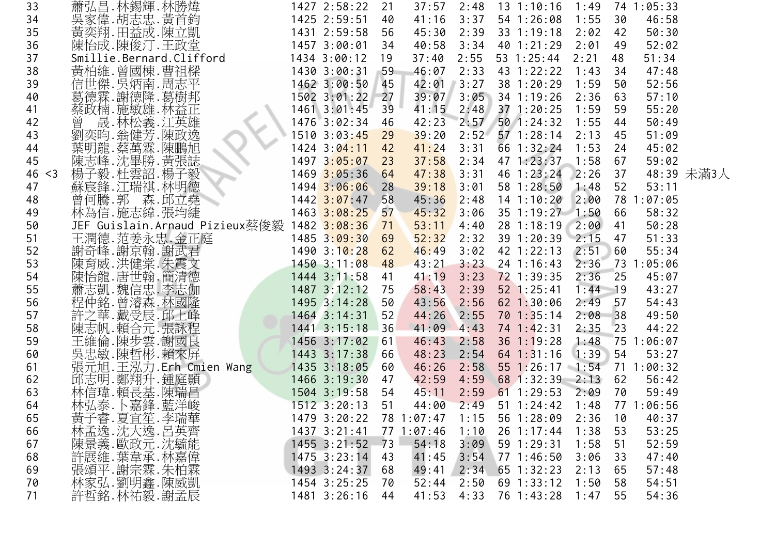| 33 |        | 蕭弘昌.林錫輝.林勝煒                                 | 1427 2:58:22     | 21 | 37:57      | 2:48 | $13 \t1:10:16$ | 1:49      |       | 74 1:05:33 |            |
|----|--------|---------------------------------------------|------------------|----|------------|------|----------------|-----------|-------|------------|------------|
| 34 |        | 吳家偉.胡志忠.黃首鈞                                 | 1425 2:59:51     | 40 | 41:16      | 3:37 | 54 1:26:08     | 1:55      | 30    | 46:58      |            |
| 35 |        | 黃奕翔.田益成.陳立凱                                 | 1431 2:59:58     | 56 | 45:30      | 2:39 | 33 1:19:18     | 2:02      | 42    | 50:30      |            |
| 36 |        | 陳怡成.陳俊汀.王政堂                                 | 1457 3:00:01     | 34 | 40:58      | 3:34 | 40 1:21:29     | 2:01      | 49    | 52:02      |            |
| 37 |        | Smillie.Bernard.Clifford                    | 1434 3:00:12     | 19 | 37:40      | 2:55 | 53 1:25:44     | 2:21      | 48    | 51:34      |            |
| 38 |        | 黃柏維.曾國棟.曹祖樑                                 | 1430 3:00:31     | 59 | 46:07      | 2:33 | 43 1:22:22     | 1:43      | 34    | 47:48      |            |
| 39 |        | 信世傑.吳炳南.周志平                                 | 1462 3:00:50     | 45 | 42:01      | 3:27 | 38 1:20:29     | 1:59      | 50    | 52:56      |            |
| 40 |        | 葛德霖.謝德隆.葛樹邦                                 | 1502 3:01:22     | 27 | 39:07      | 3:05 | 34 1:19:26     | 2:36      | 63    | 57:10      |            |
| 41 |        | 蔡政楠.施敏雄.林益正                                 | $1461$ $3:01:45$ | 39 | 41:15      | 2:48 | 37 1:20:25     | 1:59      | 59    | 55:20      |            |
| 42 |        | 晟.林松義.江英雄<br>曾                              | 1476 3:02:34     | 46 | 42:23      | 2:57 | 50 1:24:32     | 1:55      | 44    | 50:49      |            |
| 43 |        | 劉奕昀.翁健芳.陳政逸                                 | 1510 3:03:45     | 29 | 39:20      | 2:52 | $57$ 1:28:14   | 2:13      | 45    | 51:09      |            |
| 44 |        | 葉明龍.蔡萬霖.陳鵬旭                                 | 1424 3:04:11     | 42 | 41:24      | 3:31 | 66 1:32:24     | 1:53      | 24    | 45:02      |            |
| 45 |        | 陳志峰.沈畢勝.黃張誌                                 | 1497 3:05:07     | 23 | 37:58      | 2:34 | 47 1:23:37     | 1:58      | 67    | 59:02      |            |
|    | 46 < 3 | 楊子毅.杜雲詔.楊子毅                                 | 1469 3:05:36     | 64 | 47:38      | 3:31 | 46 1:23:24     | 2:26      | 37    |            | 48:39 未滿3人 |
| 47 |        | 蘇宸鋒.江瑞祺.林明德                                 | 1494 3:06:06     | 28 | 39:18      | 3:01 | 58 1:28:50     | 1:48      | 52    | 53:11      |            |
| 48 |        | 曾何騰.郭 森.邱立堯                                 | $1442$ $3:07:47$ | 58 | 45:36      | 2:48 | $14$ 1:10:20   | 2:00      | 78    | 1:07:05    |            |
| 49 |        | 林為信.施志緯.張均緁                                 | 1463 3:08:25     | 57 | 45:32      | 3:06 | 35 1:19:27     | 1:50      | 66    | 58:32      |            |
| 50 |        | JEF Guislain.Arnaud Pizieux蔡俊毅 1482 3:08:36 |                  | 71 | 53:11      | 4:40 | 28 1:18:19     | 2:00      | 41    | 50:28      |            |
| 51 |        | 王潤德.范姜永忠.金正庭                                | $1485$ $3:09:30$ | 69 | 52:32      | 2:32 | 39 1:20:39     | 2:15      | 47    | 51:33      |            |
| 52 |        | 謝奇峰. 謝京翰. 謝武君                               | 1490 3:10:28     | 62 | 46:49      | 3:02 | 42 1:22:13     | 2:51      | 60    | 55:34      |            |
| 53 |        | 陳育威.洪健棠.朱震文<br>陳怡龍.唐世翰.簡清德                  | 14503:11:08      | 48 | 43:21      | 3:23 | 24 1:16:43     | 2:36      |       | 73 1:05:06 |            |
| 54 |        |                                             | $1444$ 3:11:58   | 41 | 41:19      | 3:23 | 72 1:39:35     | 2:36      | 25    | 45:07      |            |
| 55 |        | 蕭志凱.魏信忠.李志伽                                 | 1487 3:12:12     | 75 | 58:43      | 2:39 | 52 1:25:41     | $1:44$ 19 |       | 43:27      |            |
| 56 |        | 程仲銘.曾濬森.林國隆                                 | 1495 3:14:28     | 50 | 43:56      | 2:56 | 62 1:30:06     | 2:49      | 57    | 54:43      |            |
| 57 |        | 許之華. 戴受辰. 邱上峰                               | 1464 3:14:31     | 52 | 44:26      | 2:55 | 701:35:14      | 2:08      | $-38$ | 49:50      |            |
| 58 |        | 陳志帆.賴合元.張詠程                                 | 1441 3:15:18     | 36 | 41:09      | 4:43 | 74 1:42:31     | 2:35      | 23    | 44:22      |            |
| 59 |        | 王維倫.陳步雲.謝國良<br>吳忠敏.陳哲彬.賴來屏                  | 1456 3:17:02     | 61 | 46:43      | 2:58 | $36$ 1:19:28   | 1:48      | 75    | 1:06:07    |            |
| 60 |        |                                             | 1443 3:17:38     | 66 | 48:23      | 2:54 | $64$ 1:31:16   | 1:39      | 54    | 53:27      |            |
| 61 |        | 張元旭.王泓力.Erh Cmien Wang                      | 1435 3:18:05     | 60 | 46:26      | 2:58 | 55 1:26:17     | 1:54      | 71    | 1:00:32    |            |
| 62 |        | 邱志明.鄭翔升.鍾庭顥                                 | 1466 3:19:30     | 47 | 42:59      | 4:59 | 68 1:32:39     | 2:13      | 62    | 56:42      |            |
| 63 |        | 林信瑋 賴長基 陳瑞昌                                 | 1504 3:19:58     | 54 | 45:11      | 2:59 | $61 \t1:29:53$ | 2:09      | 70    | 59:49      |            |
| 64 |        | 林弘泰.卜嘉鋒.藍洋峻                                 | $1512$ $3:20:13$ | 51 | 44:00      | 2:49 | $51 \t1:24:42$ | 1:48      |       | 77 1:06:56 |            |
| 65 |        | 黃子睿.夏宜笙.李瑞華<br>林孟逸.沈大逸.呂英齊                  | 1479 3:20:22     |    | 78 1:07:47 | 1:15 | 56 1:28:09     | 2:36      | 10    | 40:37      |            |
| 66 |        |                                             | 1437 3:21:41     |    | 77 1:07:46 | 1:10 | 26 1:17:44     | 1:38      | 53    | 53:25      |            |
| 67 |        | 陳景義.歐政元.沈毓能                                 | $1455$ $3:21:52$ | 73 | 54:18      | 3:09 | 59 1:29:31     | 1:58      | 51    | 52:59      |            |
| 68 |        | 許展維.葉韋承.林嘉偉                                 | $1475$ 3:23:14   | 43 | 41:45      | 3:54 | 77 1:46:50     | 3:06      | 33    | 47:40      |            |
| 69 |        | 張頌平.謝宗霖.朱柏霖                                 | 1493 3:24:37     | 68 | 49:41      | 2:34 | $65$ 1:32:23   | 2:13      | 65    | 57:48      |            |
| 70 |        | 林家弘.劉明鑫.陳威凱                                 | 1454 3:25:25     | 70 | 52:44      | 2:50 | 69 1:33:12     | 1:50      | 58    | 54:51      |            |
| 71 |        | 許哲銘.林祐毅.謝孟辰                                 | 1481 3:26:16     | 44 | 41:53      | 4:33 | 76 1:43:28     | 1:47      | 55    | 54:36      |            |